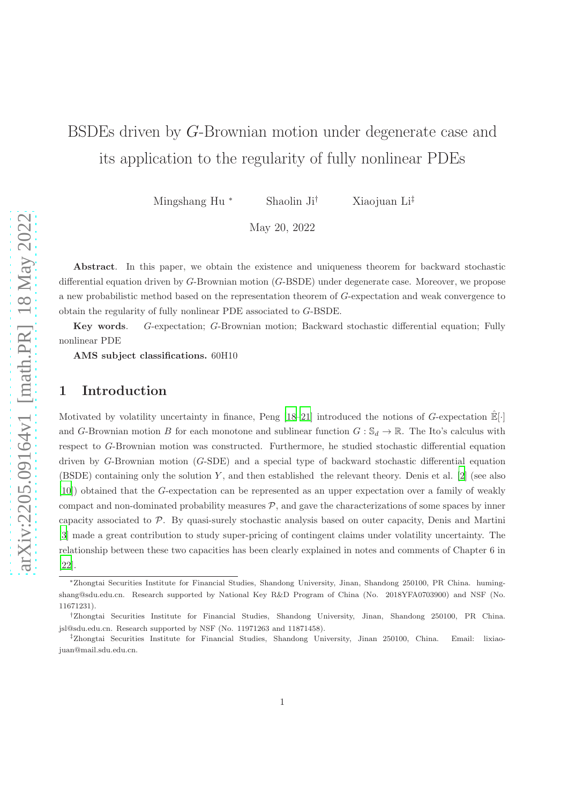# BSDEs driven by G-Brownian motion under degenerate case and its application to the regularity of fully nonlinear PDEs

Mingshang Hu <sup>∗</sup> Shaolin Ji<sup>†</sup> Xiaojuan Li<sup>‡</sup>

May 20, 2022

Abstract. In this paper, we obtain the existence and uniqueness theorem for backward stochastic differential equation driven by G-Brownian motion (G-BSDE) under degenerate case. Moreover, we propose a new probabilistic method based on the representation theorem of G-expectation and weak convergence to obtain the regularity of fully nonlinear PDE associated to G-BSDE.

Key words. G-expectation; G-Brownian motion; Backward stochastic differential equation; Fully nonlinear PDE

AMS subject classifications. 60H10

## 1 Introduction

Motivated by volatility uncertainty in finance, Peng [\[18](#page-32-0)[–21](#page-32-1)] introduced the notions of G-expectation  $\mathbb{E}[\cdot]$ and G-Brownian motion B for each monotone and sublinear function  $G : \mathbb{S}_d \to \mathbb{R}$ . The Ito's calculus with respect to G-Brownian motion was constructed. Furthermore, he studied stochastic differential equation driven by G-Brownian motion (G-SDE) and a special type of backward stochastic differential equation (BSDE) containing only the solution Y , and then established the relevant theory. Denis et al. [\[2\]](#page-31-0) (see also [\[10\]](#page-32-2)) obtained that the G-expectation can be represented as an upper expectation over a family of weakly compact and non-dominated probability measures  $P$ , and gave the characterizations of some spaces by inner capacity associated to P. By quasi-surely stochastic analysis based on outer capacity, Denis and Martini [\[3\]](#page-31-1) made a great contribution to study super-pricing of contingent claims under volatility uncertainty. The relationship between these two capacities has been clearly explained in notes and comments of Chapter 6 in [\[22\]](#page-32-3).

<sup>∗</sup>Zhongtai Securities Institute for Financial Studies, Shandong University, Jinan, Shandong 250100, PR China. humingshang@sdu.edu.cn. Research supported by National Key R&D Program of China (No. 2018YFA0703900) and NSF (No. 11671231).

<sup>†</sup>Zhongtai Securities Institute for Financial Studies, Shandong University, Jinan, Shandong 250100, PR China. jsl@sdu.edu.cn. Research supported by NSF (No. 11971263 and 11871458).

<sup>‡</sup>Zhongtai Securities Institute for Financial Studies, Shandong University, Jinan 250100, China. Email: lixiaojuan@mail.sdu.edu.cn.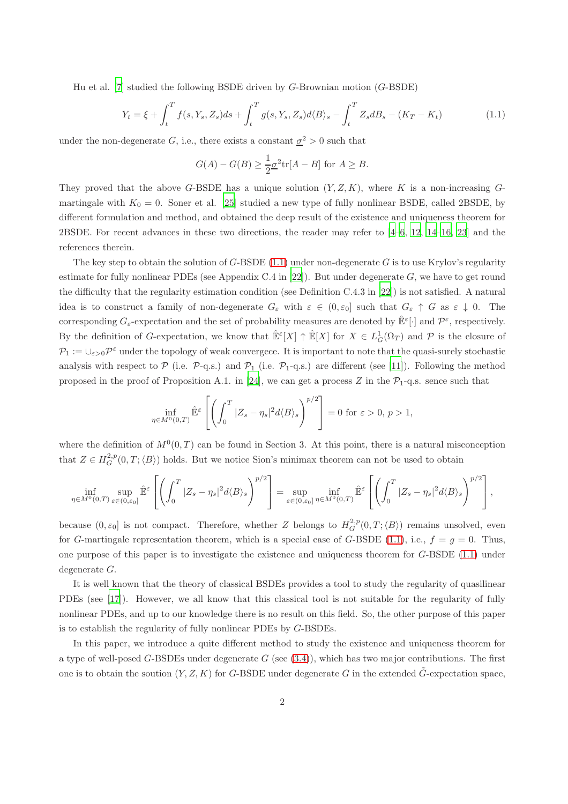Hu et al. [\[7](#page-31-2)] studied the following BSDE driven by G-Brownian motion (G-BSDE)

<span id="page-1-0"></span>
$$
Y_t = \xi + \int_t^T f(s, Y_s, Z_s) ds + \int_t^T g(s, Y_s, Z_s) d\langle B \rangle_s - \int_t^T Z_s dB_s - (K_T - K_t)
$$
 (1.1)

under the non-degenerate G, i.e., there exists a constant  $\underline{\sigma}^2 > 0$  such that

$$
G(A) - G(B) \ge \frac{1}{2} \underline{\sigma}^2 \text{tr}[A - B] \text{ for } A \ge B.
$$

They proved that the above G-BSDE has a unique solution  $(Y, Z, K)$ , where K is a non-increasing Gmartingale with  $K_0 = 0$ . Soner et al. [\[25](#page-33-0)] studied a new type of fully nonlinear BSDE, called 2BSDE, by different formulation and method, and obtained the deep result of the existence and uniqueness theorem for 2BSDE. For recent advances in these two directions, the reader may refer to [\[4](#page-31-3)[–6,](#page-31-4) [12,](#page-32-4) [14](#page-32-5)[–16](#page-32-6), [23\]](#page-32-7) and the references therein.

The key step to obtain the solution of  $G$ -BSDE  $(1.1)$  under non-degenerate G is to use Krylov's regularity estimate for fully nonlinear PDEs (see Appendix C.4 in [\[22\]](#page-32-3)). But under degenerate  $G$ , we have to get round the difficulty that the regularity estimation condition (see Definition C.4.3 in [\[22](#page-32-3)]) is not satisfied. A natural idea is to construct a family of non-degenerate  $G_{\varepsilon}$  with  $\varepsilon \in (0,\varepsilon_0]$  such that  $G_{\varepsilon} \uparrow G$  as  $\varepsilon \downarrow 0$ . The corresponding  $G_{\varepsilon}$ -expectation and the set of probability measures are denoted by  $\hat{\mathbb{E}}^{\varepsilon}[\cdot]$  and  $\mathcal{P}^{\varepsilon}$ , respectively. By the definition of G-expectation, we know that  $\hat{\mathbb{E}}[X] \uparrow \hat{\mathbb{E}}[X]$  for  $X \in L^1_G(\Omega_T)$  and  $\mathcal P$  is the closure of  $\mathcal{P}_1 := \cup_{\varepsilon > 0} \mathcal{P}^{\varepsilon}$  under the topology of weak convergece. It is important to note that the quasi-surely stochastic analysis with respect to  $P$  (i.e.  $P_{-q.s.}$ ) and  $P_1$  (i.e.  $P_{1-q.s.}$ ) are different (see [\[11\]](#page-32-8)). Following the method proposed in the proof of Proposition A.1. in [\[24\]](#page-32-9), we can get a process Z in the  $\mathcal{P}_1$ -q.s. sence such that

$$
\inf_{\eta \in M^0(0,T)} \hat{\mathbb{E}}^{\varepsilon} \left[ \left( \int_0^T |Z_s - \eta_s|^2 d\langle B \rangle_s \right)^{p/2} \right] = 0 \text{ for } \varepsilon > 0, p > 1,
$$

where the definition of  $M^0(0,T)$  can be found in Section 3. At this point, there is a natural misconception that  $Z \in H_G^{2,p}(0,T; \langle B \rangle)$  holds. But we notice Sion's minimax theorem can not be used to obtain

$$
\inf_{\eta \in M^0(0,T)} \sup_{\varepsilon \in (0,\varepsilon_0]} \hat{\mathbb{E}}^{\varepsilon} \left[ \left( \int_0^T |Z_s - \eta_s|^2 d\langle B \rangle_s \right)^{p/2} \right] = \sup_{\varepsilon \in (0,\varepsilon_0]} \inf_{\eta \in M^0(0,T)} \hat{\mathbb{E}}^{\varepsilon} \left[ \left( \int_0^T |Z_s - \eta_s|^2 d\langle B \rangle_s \right)^{p/2} \right],
$$

because  $(0, \varepsilon_0]$  is not compact. Therefore, whether Z belongs to  $H_G^{2,p}(0,T; \langle B \rangle)$  remains unsolved, even for G-martingale representation theorem, which is a special case of G-BSDE [\(1.1\)](#page-1-0), i.e.,  $f = q = 0$ . Thus, one purpose of this paper is to investigate the existence and uniqueness theorem for G-BSDE [\(1.1\)](#page-1-0) under degenerate G.

It is well known that the theory of classical BSDEs provides a tool to study the regularity of quasilinear PDEs (see [\[17](#page-32-10)]). However, we all know that this classical tool is not suitable for the regularity of fully nonlinear PDEs, and up to our knowledge there is no result on this field. So, the other purpose of this paper is to establish the regularity of fully nonlinear PDEs by G-BSDEs.

In this paper, we introduce a quite different method to study the existence and uniqueness theorem for a type of well-posed G-BSDEs under degenerate  $G$  (see  $(3.4)$ ), which has two major contributions. The first one is to obtain the soution  $(Y, Z, K)$  for G-BSDE under degenerate G in the extended  $\tilde{G}$ -expectation space,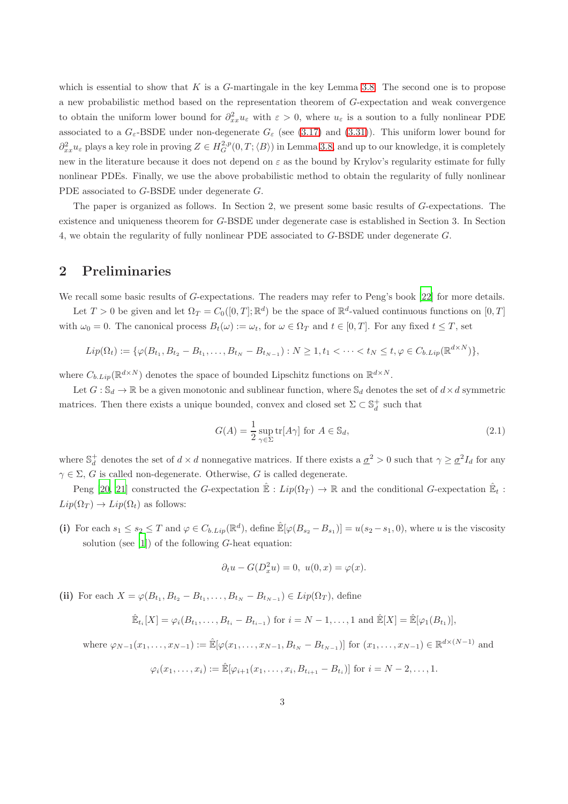which is essential to show that K is a G-martingale in the key Lemma [3.8.](#page-15-0) The second one is to propose a new probabilistic method based on the representation theorem of G-expectation and weak convergence to obtain the uniform lower bound for  $\partial_{xx}^2 u_{\varepsilon}$  with  $\varepsilon > 0$ , where  $u_{\varepsilon}$  is a soution to a fully nonlinear PDE associated to a  $G_{\varepsilon}$ -BSDE under non-degenerate  $G_{\varepsilon}$  (see [\(3.17\)](#page-9-0) and [\(3.31\)](#page-12-0)). This uniform lower bound for  $\partial_{xx}^2 u_{\varepsilon}$  plays a key role in proving  $Z \in H^{2,p}_G(0,T; \langle B \rangle)$  in Lemma [3.8,](#page-15-0) and up to our knowledge, it is completely new in the literature because it does not depend on  $\varepsilon$  as the bound by Krylov's regularity estimate for fully nonlinear PDEs. Finally, we use the above probabilistic method to obtain the regularity of fully nonlinear PDE associated to G-BSDE under degenerate G.

The paper is organized as follows. In Section 2, we present some basic results of G-expectations. The existence and uniqueness theorem for G-BSDE under degenerate case is established in Section 3. In Section 4, we obtain the regularity of fully nonlinear PDE associated to G-BSDE under degenerate G.

### 2 Preliminaries

We recall some basic results of G-expectations. The readers may refer to Peng's book [\[22\]](#page-32-3) for more details.

Let  $T > 0$  be given and let  $\Omega_T = C_0([0, T]; \mathbb{R}^d)$  be the space of  $\mathbb{R}^d$ -valued continuous functions on  $[0, T]$ with  $\omega_0 = 0$ . The canonical process  $B_t(\omega) := \omega_t$ , for  $\omega \in \Omega_T$  and  $t \in [0, T]$ . For any fixed  $t \leq T$ , set

$$
Lip(\Omega_t) := \{ \varphi(B_{t_1}, B_{t_2} - B_{t_1}, \dots, B_{t_N} - B_{t_{N-1}}) : N \ge 1, t_1 < \dots < t_N \le t, \varphi \in C_{b.Lip}(\mathbb{R}^{d \times N}) \},
$$

where  $C_{b.Lip}(\mathbb{R}^{d\times N})$  denotes the space of bounded Lipschitz functions on  $\mathbb{R}^{d\times N}$ .

Let  $G: \mathbb{S}_d \to \mathbb{R}$  be a given monotonic and sublinear function, where  $\mathbb{S}_d$  denotes the set of  $d \times d$  symmetric matrices. Then there exists a unique bounded, convex and closed set  $\Sigma \subset \mathbb{S}^+_d$  such that

<span id="page-2-0"></span>
$$
G(A) = \frac{1}{2} \sup_{\gamma \in \Sigma} \text{tr}[A\gamma] \text{ for } A \in \mathbb{S}_d,
$$
\n(2.1)

where  $\mathbb{S}_d^+$  denotes the set of  $d \times d$  nonnegative matrices. If there exists a  $\underline{\sigma}^2 > 0$  such that  $\gamma \geq \underline{\sigma}^2 I_d$  for any  $\gamma \in \Sigma$ , G is called non-degenerate. Otherwise, G is called degenerate.

Peng [\[20,](#page-32-11) [21\]](#page-32-1) constructed the G-expectation  $\hat{\mathbb{E}}$  :  $Lip(\Omega_T) \to \mathbb{R}$  and the conditional G-expectation  $\hat{\mathbb{E}}_t$  :  $Lip(\Omega_T) \to Lip(\Omega_t)$  as follows:

(i) For each  $s_1 \leq s_2 \leq T$  and  $\varphi \in C_{b.Lip}(\mathbb{R}^d)$ , define  $\mathbb{E}[\varphi(B_{s_2} - B_{s_1})] = u(s_2 - s_1, 0)$ , where u is the viscosity solution (see  $[1]$ ) of the following G-heat equation:

$$
\partial_t u - G(D_x^2 u) = 0, \ u(0, x) = \varphi(x).
$$

(ii) For each  $X = \varphi(B_{t_1}, B_{t_2} - B_{t_1}, \dots, B_{t_N} - B_{t_{N-1}}) \in Lip(\Omega_T)$ , define

$$
\hat{\mathbb{E}}_{t_i}[X] = \varphi_i(B_{t_1}, \dots, B_{t_i} - B_{t_{i-1}})
$$
 for  $i = N - 1, \dots, 1$  and  $\hat{\mathbb{E}}[X] = \hat{\mathbb{E}}[\varphi_1(B_{t_1})],$ 

where 
$$
\varphi_{N-1}(x_1,...,x_{N-1}) := \mathbb{\hat{E}}[\varphi(x_1,...,x_{N-1},B_{t_N}-B_{t_{N-1}})]
$$
 for  $(x_1,...,x_{N-1}) \in \mathbb{R}^{d \times (N-1)}$  and

$$
\varphi_i(x_1,...,x_i) := \mathbb{\hat{E}}[\varphi_{i+1}(x_1,...,x_i,B_{t_{i+1}}-B_{t_i})]
$$
 for  $i = N-2,...,1$ .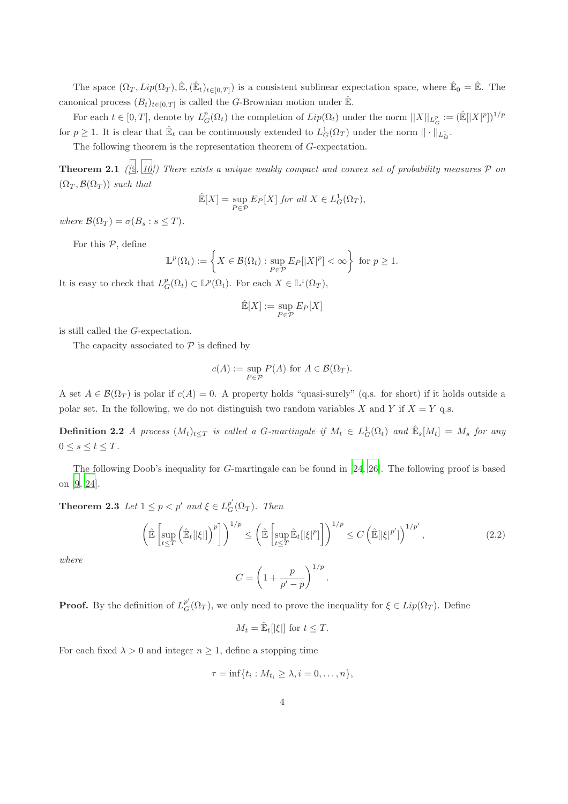The space  $(\Omega_T, Lip(\Omega_T), \hat{\mathbb{E}}, (\hat{\mathbb{E}}_t)_{t\in[0,T]})$  is a consistent sublinear expectation space, where  $\hat{\mathbb{E}}_0 = \hat{\mathbb{E}}$ . The canonical process  $(B_t)_{t\in[0,T]}$  is called the G-Brownian motion under  $\mathbb{E}$ .

For each  $t \in [0,T]$ , denote by  $L_G^p(\Omega_t)$  the completion of  $Lip(\Omega_t)$  under the norm  $||X||_{L_G^p} := (\mathbb{E}[|X|^p])^{1/p}$ for  $p \geq 1$ . It is clear that  $\hat{\mathbb{E}}_t$  can be continuously extended to  $L^1_G(\Omega_T)$  under the norm  $||\cdot||_{L^1_G}$ .

The following theorem is the representation theorem of G-expectation.

**Theorem 2.1** ([\[2](#page-31-0), [10](#page-32-2)]) There exists a unique weakly compact and convex set of probability measures  $P$  on  $(\Omega_T, \mathcal{B}(\Omega_T))$  *such that* 

$$
\mathbb{E}[X] = \sup_{P \in \mathcal{P}} E_P[X] \text{ for all } X \in L_G^1(\Omega_T),
$$

*where*  $\mathcal{B}(\Omega_T) = \sigma(B_s : s \leq T)$ *.* 

For this  $P$ , define

$$
\mathbb{L}^p(\Omega_t) := \left\{ X \in \mathcal{B}(\Omega_t) : \sup_{P \in \mathcal{P}} E_P[|X|^p] < \infty \right\} \text{ for } p \ge 1.
$$

It is easy to check that  $L_G^p(\Omega_t) \subset \mathbb{L}^p(\Omega_t)$ . For each  $X \in \mathbb{L}^1(\Omega_T)$ ,

$$
\mathbb{\hat{E}}[X] := \sup_{P \in \mathcal{P}} E_P[X]
$$

is still called the G-expectation.

The capacity associated to  $P$  is defined by

$$
c(A) := \sup_{P \in \mathcal{P}} P(A) \text{ for } A \in \mathcal{B}(\Omega_T).
$$

A set  $A \in \mathcal{B}(\Omega_T)$  is polar if  $c(A) = 0$ . A property holds "quasi-surely" (q.s. for short) if it holds outside a polar set. In the following, we do not distinguish two random variables X and Y if  $X = Y$  q.s.

**Definition 2.2** *A process*  $(M_t)_{t\leq T}$  *is called a G-martingale if*  $M_t \in L_G^1(\Omega_t)$  *and*  $\mathbb{E}_s[M_t] = M_s$  *for any*  $0 \leq s \leq t \leq T$ .

<span id="page-3-1"></span>The following Doob's inequality for G-martingale can be found in [\[24,](#page-32-9) [26](#page-33-1)]. The following proof is based on [\[9](#page-32-12), [24\]](#page-32-9).

**Theorem 2.3** *Let*  $1 \leq p < p'$  *and*  $\xi \in L_G^{p'}(\Omega_T)$ *. Then* 

<span id="page-3-0"></span>
$$
\left(\hat{\mathbb{E}}\left[\sup_{t\leq T}\left(\hat{\mathbb{E}}_t[|\xi|]\right)^p\right]\right)^{1/p}\leq \left(\hat{\mathbb{E}}\left[\sup_{t\leq T}\hat{\mathbb{E}}_t[|\xi|^p]\right]\right)^{1/p}\leq C\left(\hat{\mathbb{E}}[|\xi|^{p'}]\right)^{1/p'},\tag{2.2}
$$

*where*

$$
C = \left(1 + \frac{p}{p' - p}\right)^{1/p}.
$$

**Proof.** By the definition of  $L_G^{p'}(\Omega_T)$ , we only need to prove the inequality for  $\xi \in Lip(\Omega_T)$ . Define

$$
M_t = \hat{\mathbb{E}}_t[|\xi|] \text{ for } t \leq T.
$$

For each fixed  $\lambda > 0$  and integer  $n \geq 1$ , define a stopping time

$$
\tau = \inf\{t_i : M_{t_i} \geq \lambda, i = 0, \ldots, n\},\
$$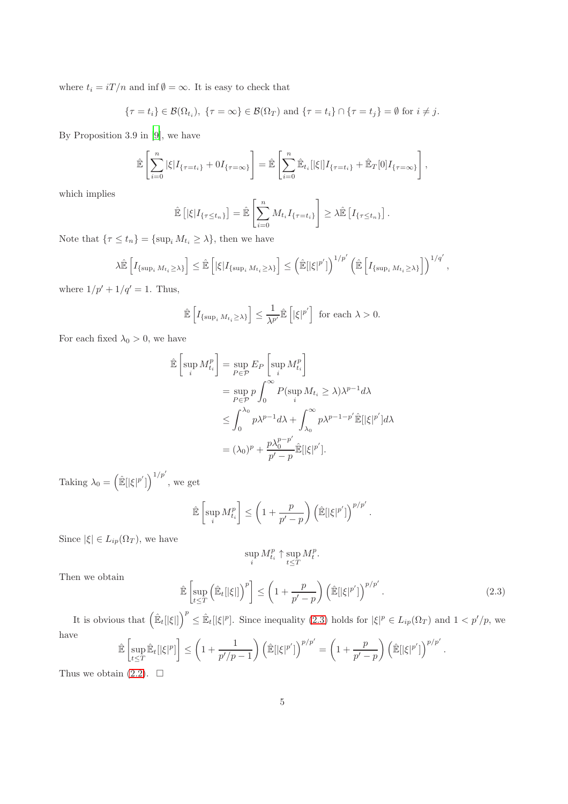where  $t_i = iT/n$  and inf  $\emptyset = \infty$ . It is easy to check that

$$
\{\tau = t_i\} \in \mathcal{B}(\Omega_{t_i}), \ \{\tau = \infty\} \in \mathcal{B}(\Omega_T) \text{ and } \{\tau = t_i\} \cap \{\tau = t_j\} = \emptyset \text{ for } i \neq j.
$$

By Proposition 3.9 in [\[9\]](#page-32-12), we have

$$
\hat{\mathbb{E}}\left[\sum_{i=0}^{n}|\xi|I_{\{\tau=t_i\}}+0I_{\{\tau=\infty\}}\right] = \hat{\mathbb{E}}\left[\sum_{i=0}^{n}\hat{\mathbb{E}}_{t_i}[\xi|]I_{\{\tau=t_i\}}+\hat{\mathbb{E}}_{T}[0]I_{\{\tau=\infty\}}\right],
$$

which implies

$$
\hat{\mathbb{E}}\left[|\xi|I_{\{\tau\leq t_n\}}\right] = \hat{\mathbb{E}}\left[\sum_{i=0}^n M_{t_i}I_{\{\tau=t_i\}}\right] \geq \lambda \hat{\mathbb{E}}\left[I_{\{\tau\leq t_n\}}\right].
$$

Note that  $\{\tau \leq t_n\} = \{\sup_i M_{t_i} \geq \lambda\}$ , then we have

$$
\lambda \hat{\mathbb{E}}\left[I_{\{\sup_i M_{t_i}\geq \lambda\}}\right] \leq \hat{\mathbb{E}}\left[|\xi|I_{\{\sup_i M_{t_i}\geq \lambda\}}\right] \leq \left(\hat{\mathbb{E}}[|\xi|^{p'}]\right)^{1/p'}\left(\hat{\mathbb{E}}\left[I_{\{\sup_i M_{t_i}\geq \lambda\}}\right]\right)^{1/q'},
$$

where  $1/p' + 1/q' = 1$ . Thus,

$$
\hat{\mathbb{E}}\left[I_{\{\sup_i M_{t_i}\geq \lambda\}}\right] \leq \frac{1}{\lambda^{p'}} \hat{\mathbb{E}}\left[|\xi|^{p'}\right] \text{ for each } \lambda > 0.
$$

For each fixed  $\lambda_0 > 0$ , we have

$$
\hat{\mathbb{E}}\left[\sup_i M_{t_i}^p\right] = \sup_{P \in \mathcal{P}} E_P \left[\sup_i M_{t_i}^p\right] \n= \sup_{P \in \mathcal{P}} p \int_0^\infty P(\sup_i M_{t_i} \ge \lambda) \lambda^{p-1} d\lambda \n\le \int_0^{\lambda_0} p \lambda^{p-1} d\lambda + \int_{\lambda_0}^\infty p \lambda^{p-1-p'} \hat{\mathbb{E}}[|\xi|^{p'}] d\lambda \n= (\lambda_0)^p + \frac{p \lambda_0^{p-p'}}{p'-p} \hat{\mathbb{E}}[|\xi|^{p'}].
$$

Taking  $\lambda_0 = \left(\hat{\mathbb{E}}[|\xi|^{p'}]\right)^{1/p'}$ , we get

$$
\hat{\mathbb{E}}\left[\sup_i M_{t_i}^p\right] \le \left(1 + \frac{p}{p'-p}\right) \left(\hat{\mathbb{E}}[|\xi|^{p'}]\right)^{p/p'}.
$$

Since  $|\xi| \in L_{ip}(\Omega_T)$ , we have

$$
\sup_i M_{t_i}^p \uparrow \sup_{t\leq T} M_t^p.
$$

Then we obtain

<span id="page-4-0"></span>
$$
\hat{\mathbb{E}}\left[\sup_{t\leq T} \left(\hat{\mathbb{E}}_t[|\xi|]\right)^p\right] \leq \left(1 + \frac{p}{p'-p}\right) \left(\hat{\mathbb{E}}[|\xi|^{p'}]\right)^{p/p'}.
$$
\n(2.3)

It is obvious that  $(\hat{\mathbb{E}}_t[[\xi]])^p \leq \hat{\mathbb{E}}_t[[\xi]^p]$ . Since inequality  $(2.3)$  holds for  $|\xi|^p \in L_{ip}(\Omega_T)$  and  $1 < p'/p$ , we have  $\hat{\mathbb{E}}$ 

$$
\hat{\mathbb{E}}\left[\sup_{t\leq T} \hat{\mathbb{E}}_t[|\xi|^p]\right] \leq \left(1 + \frac{1}{p'/p - 1}\right) \left(\hat{\mathbb{E}}[|\xi|^{p'}]\right)^{p/p'} = \left(1 + \frac{p}{p' - p}\right) \left(\hat{\mathbb{E}}[|\xi|^{p'}]\right)^{p/p'}.
$$
\n(2.2).

Thus we obtain  $(2.2)$ .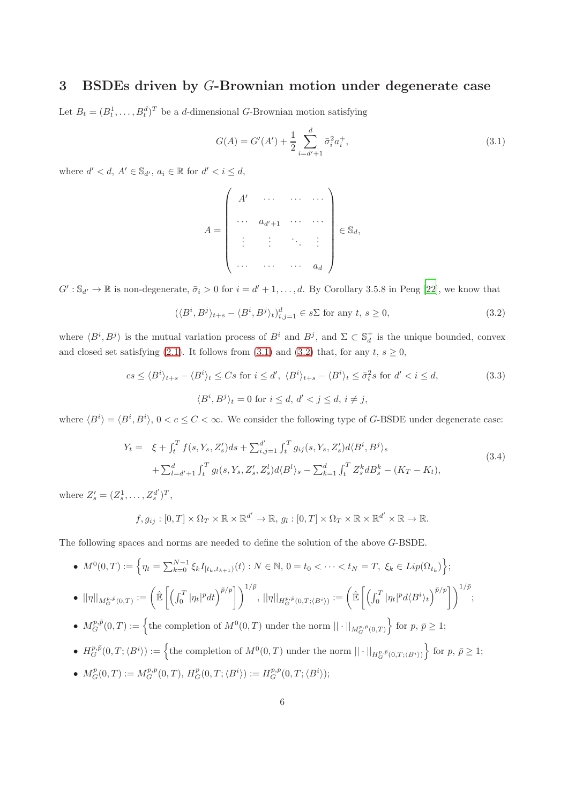# 3 BSDEs driven by G-Brownian motion under degenerate case

Let  $B_t = (B_t^1, \ldots, B_t^d)^T$  be a *d*-dimensional *G*-Brownian motion satisfying

<span id="page-5-1"></span>
$$
G(A) = G'(A') + \frac{1}{2} \sum_{i=d'+1}^{d} \bar{\sigma}_i^2 a_i^+, \tag{3.1}
$$

where  $d' < d$ ,  $A' \in \mathbb{S}_{d'}$ ,  $a_i \in \mathbb{R}$  for  $d' < i \leq d$ ,

$$
A = \left(\begin{array}{cccc} A' & \cdots & \cdots & \cdots \\ \cdots & a_{d'+1} & \cdots & \cdots \\ \vdots & \vdots & \ddots & \vdots \\ \cdots & \cdots & \cdots & a_d \end{array}\right) \in \mathbb{S}_d,
$$

 $G': \mathbb{S}_{d'} \to \mathbb{R}$  is non-degenerate,  $\bar{\sigma}_i > 0$  for  $i = d' + 1, \ldots, d$ . By Corollary 3.5.8 in Peng [\[22\]](#page-32-3), we know that

<span id="page-5-2"></span>
$$
(\langle B^i, B^j \rangle_{t+s} - \langle B^i, B^j \rangle_t)_{i,j=1}^d \in s\Sigma \text{ for any } t, s \ge 0,
$$
\n(3.2)

where  $\langle B^i, B^j \rangle$  is the mutual variation process of  $B^i$  and  $B^j$ , and  $\Sigma \subset \mathbb{S}^+_d$  is the unique bounded, convex and closed set satisfying [\(2.1\)](#page-2-0). It follows from [\(3.1\)](#page-5-1) and [\(3.2\)](#page-5-2) that, for any  $t, s \ge 0$ ,

<span id="page-5-3"></span>
$$
cs \le \langle B^i \rangle_{t+s} - \langle B^i \rangle_t \le Cs \text{ for } i \le d', \ \langle B^i \rangle_{t+s} - \langle B^i \rangle_t \le \bar{\sigma}_i^2 s \text{ for } d' < i \le d,
$$
  

$$
\langle B^i, B^j \rangle_t = 0 \text{ for } i \le d, d' < j \le d, i \ne j,
$$
  
(3.3)

where  $\langle B^i \rangle = \langle B^i, B^i \rangle$ ,  $0 < c \le C < \infty$ . We consider the following type of G-BSDE under degenerate case:

<span id="page-5-0"></span>
$$
Y_t = \xi + \int_t^T f(s, Y_s, Z_s')ds + \sum_{i,j=1}^{d'} \int_t^T g_{ij}(s, Y_s, Z_s')d\langle B^i, B^j \rangle_s
$$
  
+ 
$$
\sum_{l=d'+1}^{d} \int_t^T g_l(s, Y_s, Z_s', Z_s')d\langle B^l \rangle_s - \sum_{k=1}^{d} \int_t^T Z_s^k dB_s^k - (K_T - K_t),
$$
\n(3.4)

where  $Z'_s = (Z_s^1, \ldots, Z_s^{d'} )$  $\binom{d'}{s}$ ,

$$
f, g_{ij} : [0, T] \times \Omega_T \times \mathbb{R} \times \mathbb{R}^{d'} \to \mathbb{R}, g_l : [0, T] \times \Omega_T \times \mathbb{R} \times \mathbb{R}^{d'} \times \mathbb{R} \to \mathbb{R}.
$$

The following spaces and norms are needed to define the solution of the above G-BSDE.

• 
$$
M^0(0,T) := \left\{ \eta_t = \sum_{k=0}^{N-1} \xi_k I_{[t_k, t_{k+1})}(t) : N \in \mathbb{N}, 0 = t_0 < \cdots < t_N = T, \ \xi_k \in Lip(\Omega_{t_k}) \right\};
$$

$$
\bullet \ ||\eta||_{M_G^{p,\bar{p}}(0,T)} := \left(\mathbb{\hat{E}}\left[\left(\int_0^T |\eta_t|^p dt\right)^{\bar{p}/p}\right]\right)^{1/\bar{p}}, \ ||\eta||_{H_G^{p,\bar{p}}(0,T;(B^i))} := \left(\mathbb{\hat{E}}\left[\left(\int_0^T |\eta_t|^p d\langle B^i\rangle_t\right)^{\bar{p}/p}\right]\right)^{1/\bar{p}};
$$

- $M_G^{p,\bar{p}}(0,T) := \left\{ \text{the completion of } M^0(0,T) \text{ under the norm } || \cdot ||_{M_G^{p,\bar{p}}(0,T)} \right\} \text{ for } p, \bar{p} \geq 1;$
- $H_G^{p,\bar{p}}(0,T; \langle B^i \rangle) := \left\{$  the completion of  $M^0(0,T)$  under the norm  $|| \cdot ||_{H_G^{p,\bar{p}}(0,T; \langle B^i \rangle)} \right\}$  for  $p, \bar{p} \geq 1$ ;
- $M_G^p(0,T) := M_G^{p,p}(0,T), H_G^p(0,T; \langle B^i \rangle) := H_G^{p,p}(0,T; \langle B^i \rangle);$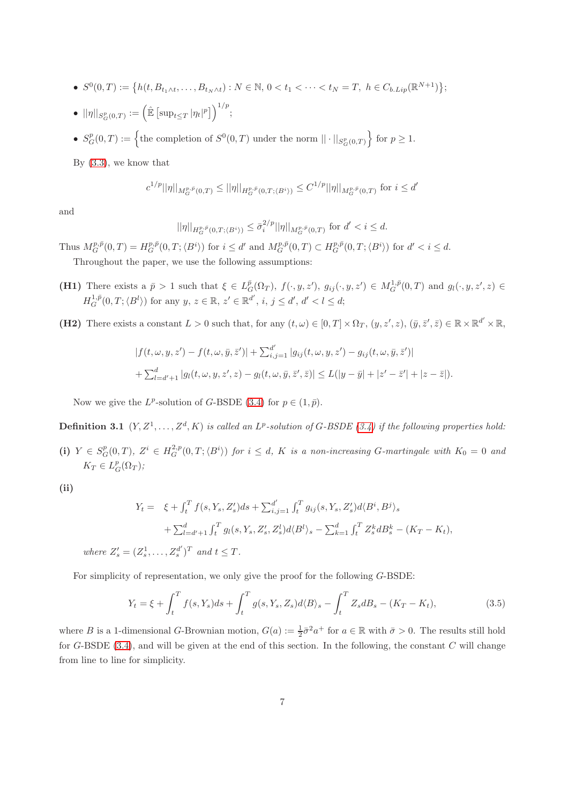- $S^0(0,T) := \{ h(t, B_{t_1 \wedge t}, \ldots, B_{t_N \wedge t}) : N \in \mathbb{N}, 0 < t_1 < \cdots < t_N = T, h \in C_{b.Lip}(\mathbb{R}^{N+1}) \};$
- $||\eta||_{S^p_G(0,T)} := \left(\mathbb{\hat{E}} \left[ \sup_{t \le T} |\eta_t|^p \right] \right)^{1/p};$
- $S_G^p(0,T) := \left\{$  the completion of  $S^0(0,T)$  under the norm  $|| \cdot ||_{S_G^p(0,T)} \right\}$  for  $p \geq 1$ .

By [\(3.3\)](#page-5-3), we know that

$$
c^{1/p} ||\eta||_{M_G^{p,\bar{p}}(0,T)} \le ||\eta||_{H_G^{p,\bar{p}}(0,T;(B^i))} \le C^{1/p} ||\eta||_{M_G^{p,\bar{p}}(0,T)} \text{ for } i \le d'
$$

and

$$
||\eta||_{H_G^{p,\bar{p}}(0,T;\langle B^i \rangle)} \le \bar{\sigma}_i^{2/p} ||\eta||_{M_G^{p,\bar{p}}(0,T)} \text{ for } d' < i \le d.
$$

Thus  $M_G^{p,\bar{p}}(0,T) = H_G^{p,\bar{p}}(0,T; \langle B^i \rangle)$  for  $i \leq d'$  and  $M_G^{p,\bar{p}}(0,T) \subset H_G^{p,\bar{p}}(0,T; \langle B^i \rangle)$  for  $d' < i \leq d$ .

Throughout the paper, we use the following assumptions:

- (H1) There exists a  $\bar{p} > 1$  such that  $\xi \in L^{\bar{p}}_G(\Omega_T)$ ,  $f(\cdot, y, z')$ ,  $g_{ij}(\cdot, y, z') \in M^{1, \bar{p}}_G(0,T)$  and  $g_l(\cdot, y, z', z) \in$  $H_G^{1,\bar{p}}(0,T; \langle B^l \rangle)$  for any  $y, z \in \mathbb{R}, z' \in \mathbb{R}^{d'}, i, j \leq d', d' < l \leq d;$
- (H2) There exists a constant  $L > 0$  such that, for any  $(t, \omega) \in [0, T] \times \Omega_T$ ,  $(y, z', z)$ ,  $(\bar{y}, \bar{z}', \bar{z}) \in \mathbb{R} \times \mathbb{R}^{d'} \times \mathbb{R}$ ,

$$
|f(t, \omega, y, z') - f(t, \omega, \bar{y}, \bar{z}')| + \sum_{i,j=1}^{d'} |g_{ij}(t, \omega, y, z') - g_{ij}(t, \omega, \bar{y}, \bar{z}')|
$$
  
+ 
$$
\sum_{l=d'+1}^{d} |g_l(t, \omega, y, z', z) - g_l(t, \omega, \bar{y}, \bar{z}', \bar{z})| \le L(|y - \bar{y}| + |z' - \bar{z}'| + |z - \bar{z}|).
$$

Now we give the L<sup>p</sup>-solution of G-BSDE [\(3.4\)](#page-5-0) for  $p \in (1, \bar{p})$ .

**Definition 3.1**  $(Y, Z^1, \ldots, Z^d, K)$  is called an  $L^p$ -solution of G-BSDE  $(3.4)$  if the following properties hold:

(i)  $Y \in S_G^p(0,T)$ ,  $Z^i \in H_G^{2,p}(0,T; \langle B^i \rangle)$  for  $i \leq d$ , K is a non-increasing G-martingale with  $K_0 = 0$  and  $K_T \in L_G^p(\Omega_T)$ ;

(ii)

$$
Y_t = \xi + \int_t^T f(s, Y_s, Z_s')ds + \sum_{i,j=1}^{d'} \int_t^T g_{ij}(s, Y_s, Z_s')d\langle B^i, B^j \rangle_s
$$
  
+ 
$$
\sum_{l=d'+1}^{d} \int_t^T g_l(s, Y_s, Z_s', Z_s')d\langle B^l \rangle_s - \sum_{k=1}^{d} \int_t^T Z_s^k dB_s^k - (K_T - K_t),
$$

*where*  $Z'_{s} = (Z_{s}^{1}, \ldots, Z_{s}^{d'})$  $(x_s^d')^T$  and  $t \leq T$ .

For simplicity of representation, we only give the proof for the following G-BSDE:

<span id="page-6-0"></span>
$$
Y_t = \xi + \int_t^T f(s, Y_s) ds + \int_t^T g(s, Y_s, Z_s) d\langle B \rangle_s - \int_t^T Z_s dB_s - (K_T - K_t), \tag{3.5}
$$

where B is a 1-dimensional G-Brownian motion,  $G(a) := \frac{1}{2}\bar{\sigma}^2 a^+$  for  $a \in \mathbb{R}$  with  $\bar{\sigma} > 0$ . The results still hold for G-BSDE  $(3.4)$ , and will be given at the end of this section. In the following, the constant C will change from line to line for simplicity.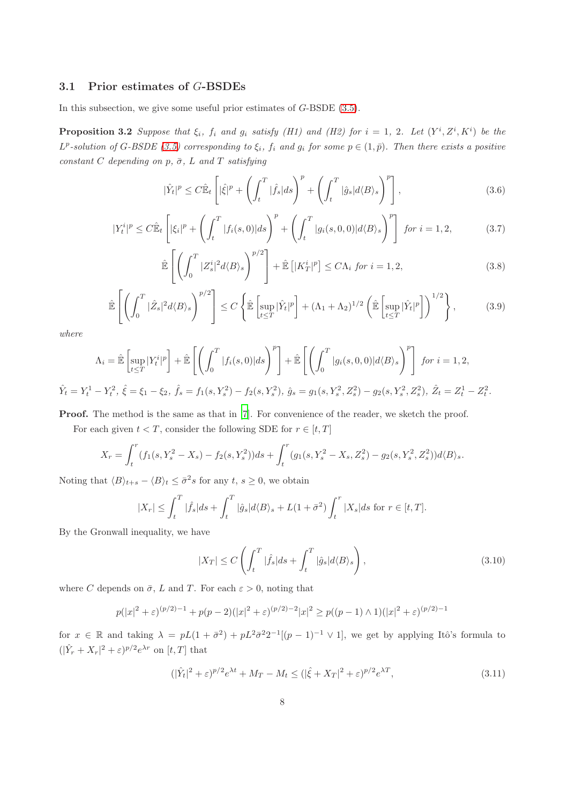#### 3.1 Prior estimates of G-BSDEs

<span id="page-7-6"></span>In this subsection, we give some useful prior estimates of G-BSDE [\(3.5\)](#page-6-0).

**Proposition 3.2** Suppose that  $\xi_i$ ,  $f_i$  and  $g_i$  satisfy (H1) and (H2) for  $i = 1, 2$ . Let  $(Y^i, Z^i, K^i)$  be the  $L^p$ -solution of  $G$ -BSDE [\(3.5\)](#page-6-0) corresponding to  $\xi_i$ ,  $f_i$  and  $g_i$  for some  $p \in (1, \bar{p})$ . Then there exists a positive *constant* C *depending* on  $p$ *,*  $\bar{\sigma}$ *,* L and T *satisfying* 

<span id="page-7-1"></span>
$$
|\hat{Y}_t|^p \le C \hat{\mathbb{E}}_t \left[ |\hat{\xi}|^p + \left( \int_t^T |\hat{f}_s| ds \right)^p + \left( \int_t^T |\hat{g}_s| d\langle B \rangle_s \right)^p \right],\tag{3.6}
$$

<span id="page-7-3"></span>
$$
|Y_t^i|^p \le C \widehat{\mathbb{E}}_t \left[ |\xi_i|^p + \left( \int_t^T |f_i(s,0)| ds \right)^p + \left( \int_t^T |g_i(s,0,0)| d\langle B \rangle_s \right)^p \right] \text{ for } i = 1, 2,
$$
 (3.7)

<span id="page-7-4"></span>
$$
\hat{\mathbb{E}}\left[\left(\int_0^T |Z_s^i|^2 d\langle B\rangle_s\right)^{p/2}\right] + \hat{\mathbb{E}}\left[|K_T^i|^p\right] \le C\Lambda_i \text{ for } i = 1, 2,
$$
\n(3.8)

<span id="page-7-5"></span>
$$
\hat{\mathbb{E}}\left[\left(\int_0^T |\hat{Z}_s|^2 d\langle B\rangle_s\right)^{p/2}\right] \le C\left\{\hat{\mathbb{E}}\left[\sup_{t\le T} |\hat{Y}_t|^p\right] + (\Lambda_1 + \Lambda_2)^{1/2} \left(\hat{\mathbb{E}}\left[\sup_{t\le T} |\hat{Y}_t|^p\right]\right)^{1/2}\right\},\tag{3.9}
$$

*where*

$$
\Lambda_i = \hat{\mathbb{E}} \left[ \sup_{t \le T} |Y_t^i|^p \right] + \hat{\mathbb{E}} \left[ \left( \int_0^T |f_i(s,0)| ds \right)^p \right] + \hat{\mathbb{E}} \left[ \left( \int_0^T |g_i(s,0,0)| d\langle B \rangle_s \right)^p \right] \text{ for } i = 1, 2,
$$
\n
$$
\hat{Y}_t = Y_t^1 - Y_t^2, \ \hat{\xi} = \xi_1 - \xi_2, \ \hat{f}_s = f_1(s, Y_s^2) - f_2(s, Y_s^2), \ \hat{g}_s = g_1(s, Y_s^2, Z_s^2) - g_2(s, Y_s^2, Z_s^2), \ \hat{Z}_t = Z_t^1 - Z_t^2.
$$

Proof. The method is the same as that in [\[7](#page-31-2)]. For convenience of the reader, we sketch the proof.

For each given  $t < T$ , consider the following SDE for  $r \in [t, T]$ 

$$
X_r = \int_t^r (f_1(s, Y_s^2 - X_s) - f_2(s, Y_s^2))ds + \int_t^r (g_1(s, Y_s^2 - X_s, Z_s^2) - g_2(s, Y_s^2, Z_s^2))d\langle B \rangle_s.
$$

Noting that  $\langle B \rangle_{t+s} - \langle B \rangle_t \leq \bar{\sigma}^2 s$  for any  $t, s \geq 0$ , we obtain

$$
|X_r| \leq \int_t^T |\hat{f}_s| ds + \int_t^T |\hat{g}_s| d\langle B \rangle_s + L(1 + \bar{\sigma}^2) \int_t^T |X_s| ds \text{ for } r \in [t, T].
$$

By the Gronwall inequality, we have

<span id="page-7-2"></span>
$$
|X_T| \le C \left( \int_t^T |\hat{f}_s| ds + \int_t^T |\hat{g}_s| d\langle B \rangle_s \right), \tag{3.10}
$$

where C depends on  $\bar{\sigma}$ , L and T. For each  $\varepsilon > 0$ , noting that

$$
p(|x|^2 + \varepsilon)^{(p/2)-1} + p(p-2)(|x|^2 + \varepsilon)^{(p/2)-2}|x|^2 \ge p((p-1) \wedge 1)(|x|^2 + \varepsilon)^{(p/2)-1}
$$

for  $x \in \mathbb{R}$  and taking  $\lambda = pL(1 + \bar{\sigma}^2) + pL^2\bar{\sigma}^2 2^{-1}[(p-1)^{-1} \vee 1]$ , we get by applying Itô's formula to  $(|\hat{Y}_r + X_r|^2 + \varepsilon)^{p/2} e^{\lambda r}$  on  $[t, T]$  that

<span id="page-7-0"></span>
$$
(|\hat{Y}_t|^2 + \varepsilon)^{p/2} e^{\lambda t} + M_T - M_t \le (|\hat{\xi} + X_T|^2 + \varepsilon)^{p/2} e^{\lambda T},\tag{3.11}
$$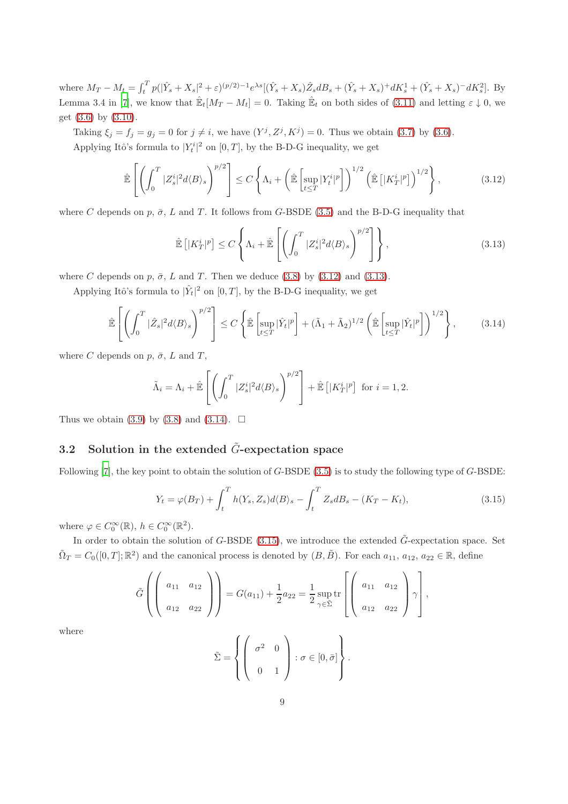where  $M_T - M_t = \int_t^T p(|\hat{Y}_s + X_s|^2 + \varepsilon)^{(p/2)-1} e^{\lambda s} [(\hat{Y}_s + X_s) \hat{Z}_s dB_s + (\hat{Y}_s + X_s)^+ dK_s^1 + (\hat{Y}_s + X_s)^- dK_s^2].$  By Lemma 3.4 in [\[7\]](#page-31-2), we know that  $\mathbb{E}_t[M_T - M_t] = 0$ . Taking  $\mathbb{E}_t$  on both sides of [\(3.11\)](#page-7-0) and letting  $\varepsilon \downarrow 0$ , we get  $(3.6)$  by  $(3.10)$ .

Taking  $\xi_j = f_j = g_j = 0$  for  $j \neq i$ , we have  $(Y^j, Z^j, K^j) = 0$ . Thus we obtain [\(3.7\)](#page-7-3) by [\(3.6\)](#page-7-1).

Applying Itô's formula to  $|Y_t^i|^2$  on  $[0, T]$ , by the B-D-G inequality, we get

<span id="page-8-0"></span>
$$
\hat{\mathbb{E}}\left[\left(\int_0^T |Z_s^i|^2 d\langle B\rangle_s\right)^{p/2}\right] \le C\left\{\Lambda_i + \left(\hat{\mathbb{E}}\left[\sup_{t\le T} |Y_t^i|^p\right]\right)^{1/2} \left(\hat{\mathbb{E}}\left[|K_T^i|^p\right]\right)^{1/2}\right\},\tag{3.12}
$$

where C depends on p,  $\bar{\sigma}$ , L and T. It follows from G-BSDE [\(3.5\)](#page-6-0) and the B-D-G inequality that

<span id="page-8-1"></span>
$$
\hat{\mathbb{E}}\left[|K_T^i|^p\right] \le C \left\{\Lambda_i + \hat{\mathbb{E}}\left[\left(\int_0^T |Z_s^i|^2 d\langle B\rangle_s\right)^{p/2}\right]\right\},\tag{3.13}
$$

where C depends on p,  $\bar{\sigma}$ , L and T. Then we deduce [\(3.8\)](#page-7-4) by [\(3.12\)](#page-8-0) and [\(3.13\)](#page-8-1).

Applying Itô's formula to  $|\hat{Y}_t|^2$  on  $[0, T]$ , by the B-D-G inequality, we get

<span id="page-8-2"></span>
$$
\hat{\mathbb{E}}\left[\left(\int_0^T |\hat{Z}_s|^2 d\langle B\rangle_s\right)^{p/2}\right] \le C \left\{\hat{\mathbb{E}}\left[\sup_{t\le T} |\hat{Y}_t|^p\right] + (\tilde{\Lambda}_1 + \tilde{\Lambda}_2)^{1/2} \left(\hat{\mathbb{E}}\left[\sup_{t\le T} |\hat{Y}_t|^p\right]\right)^{1/2}\right\},\tag{3.14}
$$

where C depends on  $p, \bar{\sigma}, L$  and T,

$$
\tilde{\Lambda}_i = \Lambda_i + \hat{\mathbb{E}} \left[ \left( \int_0^T |Z_s^i|^2 d\langle B \rangle_s \right)^{p/2} \right] + \hat{\mathbb{E}} \left[ |K_T^i|^p \right] \text{ for } i = 1, 2.
$$

Thus we obtain [\(3.9\)](#page-7-5) by [\(3.8\)](#page-7-4) and [\(3.14\)](#page-8-2).  $\Box$ 

# 3.2 Solution in the extended  $\tilde{G}$ -expectation space

Following [\[7\]](#page-31-2), the key point to obtain the solution of G-BSDE [\(3.5\)](#page-6-0) is to study the following type of G-BSDE:

<span id="page-8-3"></span>
$$
Y_t = \varphi(B_T) + \int_t^T h(Y_s, Z_s) d\langle B \rangle_s - \int_t^T Z_s dB_s - (K_T - K_t), \tag{3.15}
$$

where  $\varphi \in C_0^{\infty}(\mathbb{R}), h \in C_0^{\infty}(\mathbb{R}^2)$ .

In order to obtain the solution of G-BSDE [\(3.15\)](#page-8-3), we introduce the extended  $\tilde{G}$ -expectation space. Set  $\tilde{\Omega}_T = C_0([0,T];\mathbb{R}^2)$  and the canonical process is denoted by  $(B, \tilde{B})$ . For each  $a_{11}, a_{12}, a_{22} \in \mathbb{R}$ , define

$$
\tilde{G}\left(\begin{pmatrix} a_{11} & a_{12} \\ a_{12} & a_{22} \end{pmatrix}\right) = G(a_{11}) + \frac{1}{2}a_{22} = \frac{1}{2}\sup_{\gamma \in \tilde{\Sigma}} \text{tr}\left[\begin{pmatrix} a_{11} & a_{12} \\ a_{12} & a_{22} \end{pmatrix}\gamma\right],
$$

where

$$
\tilde{\Sigma} = \left\{ \left( \begin{array}{cc} \sigma^2 & 0 \\ 0 & 1 \end{array} \right) : \sigma \in [0, \bar{\sigma}] \right\}.
$$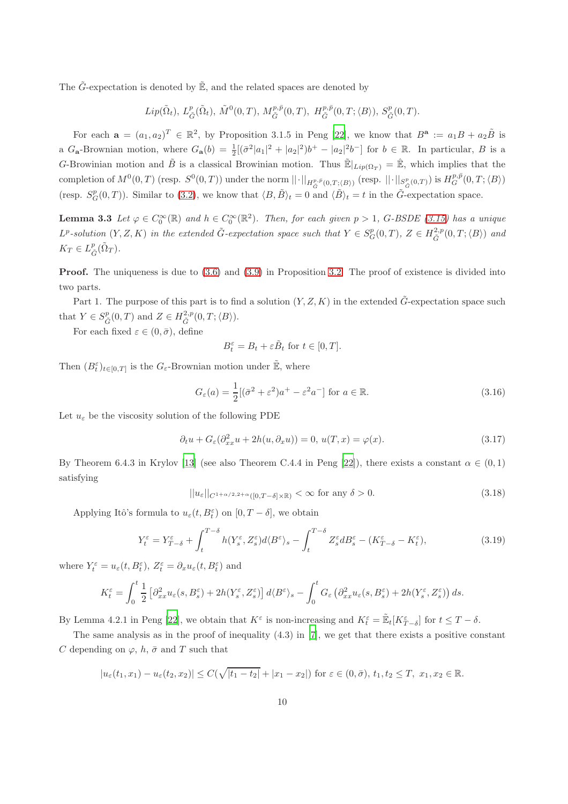The  $\tilde{G}$ -expectation is denoted by  $\tilde{E}$ , and the related spaces are denoted by

$$
Lip(\tilde{\Omega}_t), L^p_{\tilde{G}}(\tilde{\Omega}_t), \tilde{M}^0(0,T), M^{p,\bar{p}}_{\tilde{G}}(0,T), H^{p,\bar{p}}_{\tilde{G}}(0,T;\langle B \rangle), S^p_{\tilde{G}}(0,T).
$$

For each  $\mathbf{a} = (a_1, a_2)^T \in \mathbb{R}^2$ , by Proposition 3.1.5 in Peng [\[22\]](#page-32-3), we know that  $B^{\mathbf{a}} := a_1 B + a_2 \tilde{B}$  is a  $G_{\mathbf{a}}$ -Brownian motion, where  $G_{\mathbf{a}}(b) = \frac{1}{2}[(\bar{\sigma}^2|a_1|^2 + |a_2|^2)b^+ - |a_2|^2b^-]$  for  $b \in \mathbb{R}$ . In particular, B is a G-Browinian motion and  $\tilde{B}$  is a classical Browinian motion. Thus  $\mathbb{E}|_{Lip(\Omega_T)} = \mathbb{E}$ , which implies that the completion of  $M^0(0,T)$  (resp.  $S^0(0,T)$ ) under the norm  $||\cdot||_{H^{p,\bar{p}}_{\tilde{G}}(0,T;\langle B\rangle)}$  (resp.  $||\cdot||_{S_{\tilde{G}}^p(0,T)}$ ) is  $H^{p,\bar{p}}_G(0,T;\langle B\rangle)$ (resp.  $S_G^p(0,T)$ ). Similar to [\(3.2\)](#page-5-2), we know that  $\langle B, \tilde{B} \rangle_t = 0$  and  $\langle \tilde{B} \rangle_t = t$  in the  $\tilde{G}$ -expectation space.

<span id="page-9-2"></span>**Lemma 3.3** Let  $\varphi \in C_0^{\infty}(\mathbb{R})$  and  $h \in C_0^{\infty}(\mathbb{R}^2)$ . Then, for each given  $p > 1$ , G-BSDE [\(3.15\)](#page-8-3) has a unique  $L^p$ -solution  $(Y, Z, K)$  in the extended  $\tilde{G}$ -expectation space such that  $Y \in S_G^p(0,T)$ ,  $Z \in H^{2,p}_{\tilde{G}}(0,T; \langle B \rangle)$  and  $K_T \in L_{\tilde{G}}^p(\tilde{\Omega}_T).$ 

**Proof.** The uniqueness is due to [\(3.6\)](#page-7-1) and [\(3.9\)](#page-7-5) in Proposition [3.2.](#page-7-6) The proof of existence is divided into two parts.

Part 1. The purpose of this part is to find a solution  $(Y, Z, K)$  in the extended  $\tilde{G}$ -expectation space such that  $Y \in S_{\tilde{G}}^p(0,T)$  and  $Z \in H_{\tilde{G}}^{2,p}(0,T; \langle B \rangle)$ .

For each fixed  $\varepsilon \in (0, \bar{\sigma})$ , define

$$
B_t^{\varepsilon} = B_t + \varepsilon \tilde{B}_t \text{ for } t \in [0, T].
$$

Then  $(B_t^{\varepsilon})_{t \in [0,T]}$  is the  $G_{\varepsilon}$ -Brownian motion under  $\mathbb{E}$ , where

<span id="page-9-3"></span>
$$
G_{\varepsilon}(a) = \frac{1}{2} [(\bar{\sigma}^2 + \varepsilon^2) a^+ - \varepsilon^2 a^-] \text{ for } a \in \mathbb{R}.
$$
 (3.16)

Let  $u_{\varepsilon}$  be the viscosity solution of the following PDE

<span id="page-9-0"></span>
$$
\partial_t u + G_{\varepsilon} (\partial_{xx}^2 u + 2h(u, \partial_x u)) = 0, \ u(T, x) = \varphi(x). \tag{3.17}
$$

By Theorem 6.4.3 in Krylov [\[13](#page-32-13)] (see also Theorem C.4.4 in Peng [\[22](#page-32-3)]), there exists a constant  $\alpha \in (0,1)$ satisfying

$$
||u_{\varepsilon}||_{C^{1+\alpha/2,2+\alpha}([0,T-\delta]\times\mathbb{R})} < \infty \text{ for any } \delta > 0.
$$
 (3.18)

Applying Itô's formula to  $u_{\varepsilon}(t, B_t^{\varepsilon})$  on  $[0, T - \delta]$ , we obtain

<span id="page-9-1"></span>
$$
Y_t^{\varepsilon} = Y_{T-\delta}^{\varepsilon} + \int_t^{T-\delta} h(Y_s^{\varepsilon}, Z_s^{\varepsilon}) d\langle B^{\varepsilon} \rangle_s - \int_t^{T-\delta} Z_s^{\varepsilon} dB_s^{\varepsilon} - (K_{T-\delta}^{\varepsilon} - K_t^{\varepsilon}), \tag{3.19}
$$

where  $Y_t^{\varepsilon} = u_{\varepsilon}(t, B_t^{\varepsilon}), Z_t^{\varepsilon} = \partial_x u_{\varepsilon}(t, B_t^{\varepsilon})$  and

$$
K_t^\varepsilon=\int_0^t\frac{1}{2}\left[\partial_{xx}^2u_\varepsilon(s,B_s^\varepsilon)+2h(Y_s^\varepsilon,Z_s^\varepsilon)\right]d\langle B^\varepsilon\rangle_s-\int_0^tG_\varepsilon\left(\partial_{xx}^2u_\varepsilon(s,B_s^\varepsilon)+2h(Y_s^\varepsilon,Z_s^\varepsilon)\right)ds.
$$

By Lemma 4.2.1 in Peng [\[22\]](#page-32-3), we obtain that  $K^{\varepsilon}$  is non-increasing and  $K_t^{\varepsilon} = \mathbb{E}_t[K_{T-\delta}^{\varepsilon}]$  for  $t \leq T-\delta$ .

The same analysis as in the proof of inequality  $(4.3)$  in [\[7\]](#page-31-2), we get that there exists a positive constant C depending on  $\varphi$ , h,  $\bar{\sigma}$  and T such that

$$
|u_{\varepsilon}(t_1, x_1) - u_{\varepsilon}(t_2, x_2)| \le C(\sqrt{|t_1 - t_2|} + |x_1 - x_2|) \text{ for } \varepsilon \in (0, \bar{\sigma}), \ t_1, t_2 \le T, \ x_1, x_2 \in \mathbb{R}.
$$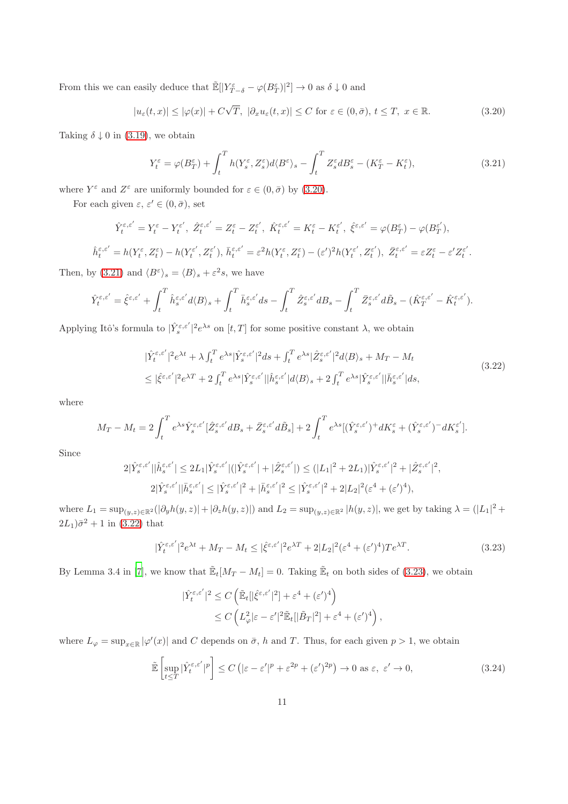From this we can easily deduce that  $\mathbb{E}[|Y_{T-\delta}^{\varepsilon} - \varphi(B_T^{\varepsilon})|^2] \to 0$  as  $\delta \downarrow 0$  and

<span id="page-10-0"></span>
$$
|u_{\varepsilon}(t,x)| \le |\varphi(x)| + C\sqrt{T}, \ |\partial_x u_{\varepsilon}(t,x)| \le C \text{ for } \varepsilon \in (0,\bar{\sigma}), \ t \le T, \ x \in \mathbb{R}.
$$

Taking  $\delta \downarrow 0$  in [\(3.19\)](#page-9-1), we obtain

<span id="page-10-1"></span>
$$
Y_t^{\varepsilon} = \varphi(B_T^{\varepsilon}) + \int_t^T h(Y_s^{\varepsilon}, Z_s^{\varepsilon}) d\langle B^{\varepsilon} \rangle_s - \int_t^T Z_s^{\varepsilon} dB_s^{\varepsilon} - (K_T^{\varepsilon} - K_t^{\varepsilon}), \tag{3.21}
$$

where  $Y^{\varepsilon}$  and  $Z^{\varepsilon}$  are uniformly bounded for  $\varepsilon \in (0, \bar{\sigma})$  by [\(3.20\)](#page-10-0).

For each given  $\varepsilon, \varepsilon' \in (0, \bar{\sigma}),$  set

$$
\hat{Y}_t^{\varepsilon,\varepsilon'} = Y_t^{\varepsilon} - Y_t^{\varepsilon'}, \quad \hat{Z}_t^{\varepsilon,\varepsilon'} = Z_t^{\varepsilon} - Z_t^{\varepsilon'}, \quad \hat{K}_t^{\varepsilon,\varepsilon'} = K_t^{\varepsilon} - K_t^{\varepsilon'}, \quad \hat{\xi}^{\varepsilon,\varepsilon'} = \varphi(B_T^{\varepsilon}) - \varphi(B_T^{\varepsilon'}),
$$
\n
$$
\hat{h}_t^{\varepsilon,\varepsilon'} = h(Y_t^{\varepsilon}, Z_t^{\varepsilon}) - h(Y_t^{\varepsilon'}, Z_t^{\varepsilon'}), \quad \bar{h}_t^{\varepsilon,\varepsilon'} = \varepsilon^2 h(Y_t^{\varepsilon}, Z_t^{\varepsilon}) - (\varepsilon')^2 h(Y_t^{\varepsilon'}, Z_t^{\varepsilon'}), \quad \bar{Z}_t^{\varepsilon,\varepsilon'} = \varepsilon Z_t^{\varepsilon} - \varepsilon' Z_t^{\varepsilon'}.
$$

Then, by [\(3.21\)](#page-10-1) and  $\langle B^{\varepsilon} \rangle_s = \langle B \rangle_s + \varepsilon^2 s$ , we have

$$
\hat{Y}_t^{\varepsilon,\varepsilon'}=\hat{\xi}^{\varepsilon,\varepsilon'}+\int_t^T\hat{h}_s^{\varepsilon,\varepsilon'}d\langle B\rangle_s+\int_t^T\bar{h}_s^{\varepsilon,\varepsilon'}ds-\int_t^T\hat{Z}_s^{\varepsilon,\varepsilon'}dB_s-\int_t^T\bar{Z}_s^{\varepsilon,\varepsilon'}d\tilde{B}_s-(\hat{K}_T^{\varepsilon,\varepsilon'}-\hat{K}_t^{\varepsilon,\varepsilon'}).
$$

Applying Itô's formula to  $|\hat{Y}_s^{\varepsilon,\varepsilon'}|^2 e^{\lambda s}$  on  $[t,T]$  for some positive constant  $\lambda$ , we obtain

<span id="page-10-2"></span>
$$
|\hat{Y}_t^{\varepsilon,\varepsilon'}|^2 e^{\lambda t} + \lambda \int_t^T e^{\lambda s} |\hat{Y}_s^{\varepsilon,\varepsilon'}|^2 ds + \int_t^T e^{\lambda s} |\hat{Z}_s^{\varepsilon,\varepsilon'}|^2 d\langle B \rangle_s + M_T - M_t
$$
  
\n
$$
\leq |\hat{\xi}^{\varepsilon,\varepsilon'}|^2 e^{\lambda T} + 2 \int_t^T e^{\lambda s} |\hat{Y}_s^{\varepsilon,\varepsilon'}| |\hat{h}_s^{\varepsilon,\varepsilon'}| d\langle B \rangle_s + 2 \int_t^T e^{\lambda s} |\hat{Y}_s^{\varepsilon,\varepsilon'}| |\bar{h}_s^{\varepsilon,\varepsilon'}| ds,
$$
\n(3.22)

where

$$
M_T - M_t = 2 \int_t^T e^{\lambda s} \hat{Y}_s^{\varepsilon, \varepsilon'} [\hat{Z}_s^{\varepsilon, \varepsilon'} dB_s + \bar{Z}_s^{\varepsilon, \varepsilon'} d\tilde{B}_s] + 2 \int_t^T e^{\lambda s} [(\hat{Y}_s^{\varepsilon, \varepsilon'})^+ dK_s^{\varepsilon} + (\hat{Y}_s^{\varepsilon, \varepsilon'})^- dK_s^{\varepsilon'}].
$$

Since

$$
\begin{split} 2|\hat{Y}^{\varepsilon,\varepsilon'}_{s}||\hat{h}^{\varepsilon,\varepsilon'}_{s}| \leq 2&L_{1}|\hat{Y}^{\varepsilon,\varepsilon'}_{s}||(|\hat{Y}^{\varepsilon,\varepsilon'}_{s}| + |\hat{Z}^{\varepsilon,\varepsilon'}_{s}|) \leq (|L_{1}|^{2} + 2L_{1})|\hat{Y}^{\varepsilon,\varepsilon'}_{s}|^{2} + |\hat{Z}^{\varepsilon,\varepsilon'}_{s}|^{2} \\ 2|\hat{Y}^{\varepsilon,\varepsilon'}_{s}||\bar{h}^{\varepsilon,\varepsilon'}_{s}| \leq |\hat{Y}^{\varepsilon,\varepsilon'}_{s}|^{2} + |\bar{h}^{\varepsilon,\varepsilon'}_{s}|^{2} \leq |\hat{Y}^{\varepsilon,\varepsilon'}_{s}|^{2} + 2|L_{2}|^{2}(\varepsilon^{4} + (\varepsilon')^{4}), \end{split}
$$

where  $L_1 = \sup_{(y,z)\in\mathbb{R}^2}(|\partial_y h(y,z)| + |\partial_z h(y,z)|)$  and  $L_2 = \sup_{(y,z)\in\mathbb{R}^2} |h(y,z)|$ , we get by taking  $\lambda = (|L_1|^2 +$  $(2L_1)\bar{\sigma}^2 + 1$  in  $(3.22)$  that

<span id="page-10-3"></span>
$$
|\hat{Y}_t^{\varepsilon,\varepsilon'}|^2 e^{\lambda t} + M_T - M_t \le |\hat{\xi}^{\varepsilon,\varepsilon'}|^2 e^{\lambda T} + 2|L_2|^2 (\varepsilon^4 + (\varepsilon')^4) T e^{\lambda T}.
$$
\n(3.23)

,

By Lemma 3.4 in [\[7](#page-31-2)], we know that  $\mathbb{E}_t[M_T - M_t] = 0$ . Taking  $\mathbb{E}_t$  on both sides of [\(3.23\)](#page-10-3), we obtain

$$
\begin{split} |\hat{Y}_t^{\varepsilon,\varepsilon'}|^2 &\leq C \left( \tilde{\mathbb{E}}_t[|\hat{\xi}^{\varepsilon,\varepsilon'}|^2] + \varepsilon^4 + (\varepsilon')^4 \right) \\ &\leq C \left( L_{\varphi}^2 |\varepsilon - \varepsilon'|^2 \tilde{\mathbb{E}}_t[|\tilde{B}_T|^2] + \varepsilon^4 + (\varepsilon')^4 \right), \end{split}
$$

where  $L_{\varphi} = \sup_{x \in \mathbb{R}} |\varphi'(x)|$  and C depends on  $\bar{\sigma}$ , h and T. Thus, for each given  $p > 1$ , we obtain

<span id="page-10-4"></span>
$$
\tilde{\mathbb{E}}\left[\sup_{t\leq T}|\hat{Y}_t^{\varepsilon,\varepsilon'}|^p\right] \leq C\left(|\varepsilon-\varepsilon'|^p+\varepsilon^{2p}+(\varepsilon')^{2p}\right) \to 0 \text{ as } \varepsilon, \ \varepsilon'\to 0,\tag{3.24}
$$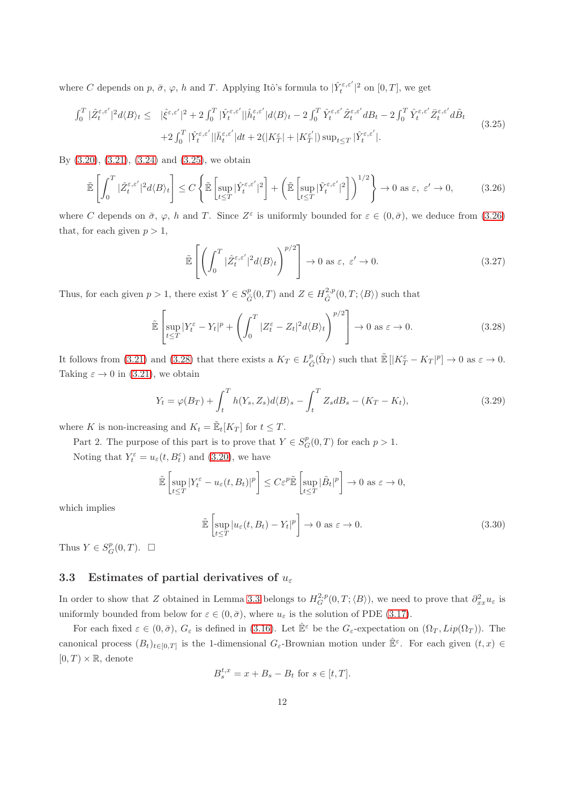where C depends on p,  $\bar{\sigma}$ ,  $\varphi$ , h and T. Applying Itô's formula to  $|\hat{Y}_t^{\varepsilon,\varepsilon'}|^2$  on  $[0,T]$ , we get

<span id="page-11-0"></span>
$$
\int_0^T |\hat{Z}_t^{\varepsilon,\varepsilon'}|^2 d\langle B \rangle_t \leq |\hat{\xi}^{\varepsilon,\varepsilon'}|^2 + 2 \int_0^T |\hat{Y}_t^{\varepsilon,\varepsilon'}| |\hat{h}_t^{\varepsilon,\varepsilon'}| d\langle B \rangle_t - 2 \int_0^T \hat{Y}_t^{\varepsilon,\varepsilon'} \hat{Z}_t^{\varepsilon,\varepsilon'} dB_t - 2 \int_0^T \hat{Y}_t^{\varepsilon,\varepsilon'} \tilde{Z}_t^{\varepsilon,\varepsilon'} d\tilde{B}_t
$$
  
+2 \int\_0^T |\hat{Y}\_t^{\varepsilon,\varepsilon'}| |\bar{h}\_t^{\varepsilon,\varepsilon'}| dt + 2(|K\_T^{\varepsilon}| + |K\_T^{\varepsilon'}|) \sup\_{t \leq T} |\hat{Y}\_t^{\varepsilon,\varepsilon'}|. (3.25)

By [\(3.20\)](#page-10-0), [\(3.21\)](#page-10-1), [\(3.24\)](#page-10-4) and [\(3.25\)](#page-11-0), we obtain

<span id="page-11-1"></span>
$$
\tilde{\mathbb{E}}\left[\int_0^T |\hat{Z}_t^{\varepsilon,\varepsilon'}|^2 d\langle B \rangle_t \right] \le C \left\{ \tilde{\mathbb{E}}\left[\sup_{t \le T} |\hat{Y}_t^{\varepsilon,\varepsilon'}|^2\right] + \left(\tilde{\mathbb{E}}\left[\sup_{t \le T} |\hat{Y}_t^{\varepsilon,\varepsilon'}|^2\right] \right)^{1/2} \right\} \to 0 \text{ as } \varepsilon, \ \varepsilon' \to 0,
$$
\n(3.26)

where C depends on  $\bar{\sigma}$ ,  $\varphi$ , h and T. Since  $Z^{\varepsilon}$  is uniformly bounded for  $\varepsilon \in (0, \bar{\sigma})$ , we deduce from  $(3.26)$ that, for each given  $p > 1$ ,

$$
\tilde{\mathbb{E}}\left[\left(\int_0^T |\hat{Z}_t^{\varepsilon,\varepsilon'}|^2 d\langle B \rangle_t\right)^{p/2}\right] \to 0 \text{ as } \varepsilon, \ \varepsilon' \to 0. \tag{3.27}
$$

Thus, for each given  $p > 1$ , there exist  $Y \in S_{\tilde{G}}^p(0,T)$  and  $Z \in H_{\tilde{G}}^{2,p}(0,T; \langle B \rangle)$  such that

<span id="page-11-2"></span>
$$
\tilde{\mathbb{E}}\left[\sup_{t\leq T}|Y_t^{\varepsilon}-Y_t|^p+\left(\int_0^T|Z_t^{\varepsilon}-Z_t|^2d\langle B\rangle_t\right)^{p/2}\right]\to 0 \text{ as } \varepsilon\to 0. \tag{3.28}
$$

It follows from [\(3.21\)](#page-10-1) and [\(3.28\)](#page-11-2) that there exists a  $K_T \in L_{\tilde{G}}^p(\tilde{\Omega}_T)$  such that  $\tilde{\mathbb{E}}\left[|K_T^{\varepsilon} - K_T|^p\right] \to 0$  as  $\varepsilon \to 0$ . Taking  $\varepsilon \to 0$  in [\(3.21\)](#page-10-1), we obtain

$$
Y_t = \varphi(B_T) + \int_t^T h(Y_s, Z_s) d\langle B \rangle_s - \int_t^T Z_s dB_s - (K_T - K_t), \tag{3.29}
$$

where K is non-increasing and  $K_t = \mathbb{E}_t[K_T]$  for  $t \leq T$ .

Part 2. The purpose of this part is to prove that  $Y \in S_G^p(0,T)$  for each  $p > 1$ .

Noting that  $Y_t^{\varepsilon} = u_{\varepsilon}(t, B_t^{\varepsilon})$  and [\(3.20\)](#page-10-0), we have

$$
\tilde{\mathbb{E}}\left[\sup_{t\leq T}|Y_t^{\varepsilon}-u_{\varepsilon}(t,B_t)|^p\right]\leq C\varepsilon^p\tilde{\mathbb{E}}\left[\sup_{t\leq T}|\tilde{B}_t|^p\right]\to 0\,\,\text{as}\,\,\varepsilon\to 0,
$$

which implies

$$
\tilde{\mathbb{E}}\left[\sup_{t\leq T}|u_{\varepsilon}(t,B_t)-Y_t|^p\right]\to 0 \text{ as } \varepsilon\to 0.
$$
\n(3.30)

Thus  $Y \in S_G^p(0,T)$ .  $\Box$ 

#### 3.3 Estimates of partial derivatives of  $u_{\varepsilon}$

In order to show that Z obtained in Lemma [3.3](#page-9-2) belongs to  $H_G^{2,p}(0,T; \langle B \rangle)$ , we need to prove that  $\partial_{xx}^2 u_{\varepsilon}$  is uniformly bounded from below for  $\varepsilon \in (0, \bar{\sigma})$ , where  $u_{\varepsilon}$  is the solution of PDE [\(3.17\)](#page-9-0).

For each fixed  $\varepsilon \in (0, \bar{\sigma})$ ,  $G_{\varepsilon}$  is defined in [\(3.16\)](#page-9-3). Let  $\hat{\mathbb{E}}^{\varepsilon}$  be the  $G_{\varepsilon}$ -expectation on  $(\Omega_T, Lip(\Omega_T))$ . The canonical process  $(B_t)_{t\in[0,T]}$  is the 1-dimensional  $G_{\varepsilon}$ -Brownian motion under  $\hat{\mathbb{E}}^{\varepsilon}$ . For each given  $(t,x)\in$  $[0, T] \times \mathbb{R}$ , denote

$$
B_s^{t,x} = x + B_s - B_t \text{ for } s \in [t, T].
$$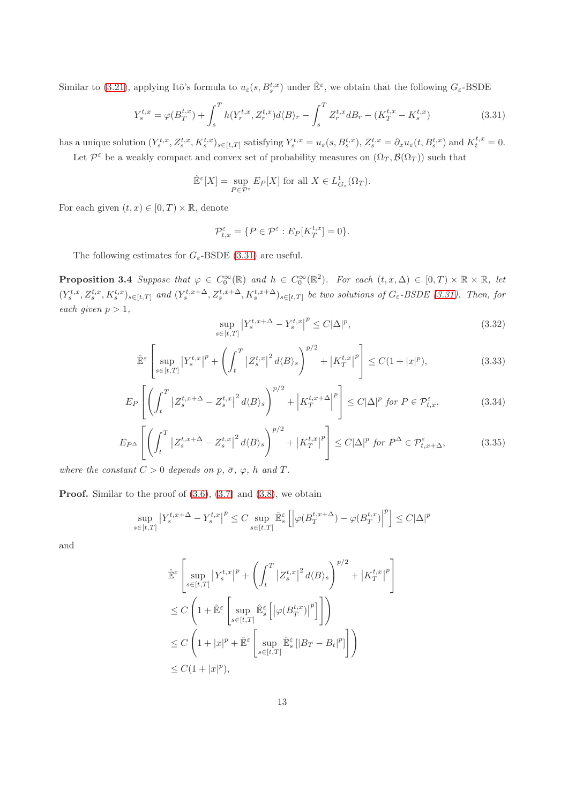Similar to [\(3.21\)](#page-10-1), applying Itô's formula to  $u_\varepsilon(s, B_s^{t,x})$  under  $\hat{\mathbb{E}}^\varepsilon$ , we obtain that the following  $G_\varepsilon$ -BSDE

<span id="page-12-0"></span>
$$
Y_s^{t,x} = \varphi(B_T^{t,x}) + \int_s^T h(Y_r^{t,x}, Z_r^{t,x})d\langle B \rangle_r - \int_s^T Z_r^{t,x}dB_r - (K_T^{t,x} - K_s^{t,x})
$$
(3.31)

has a unique solution  $(Y_s^{t,x}, Z_s^{t,x}, K_s^{t,x})_{s \in [t,T]}$  satisfying  $Y_s^{t,x} = u_\varepsilon(s, B_s^{t,x}), Z_s^{t,x} = \partial_x u_\varepsilon(t, B_s^{t,x})$  and  $K_t^{t,x} = 0$ . Let  $\mathcal{P}^{\varepsilon}$  be a weakly compact and convex set of probability measures on  $(\Omega_T, \mathcal{B}(\Omega_T))$  such that

$$
\hat{\mathbb{E}}^{\varepsilon}[X] = \sup_{P \in \mathcal{P}^{\varepsilon}} E_P[X] \text{ for all } X \in L^1_{G_{\varepsilon}}(\Omega_T).
$$

For each given  $(t, x) \in [0, T) \times \mathbb{R}$ , denote

$$
\mathcal{P}_{t,x}^{\varepsilon} = \{ P \in \mathcal{P}^{\varepsilon} : E_P[K_T^{t,x}] = 0 \}.
$$

<span id="page-12-4"></span>The following estimates for  $G_{\varepsilon}$ -BSDE [\(3.31\)](#page-12-0) are useful.

**Proposition 3.4** *Suppose that*  $\varphi \in C_0^{\infty}(\mathbb{R})$  *and*  $h \in C_0^{\infty}(\mathbb{R}^2)$ *. For each*  $(t, x, \Delta) \in [0, T) \times \mathbb{R} \times \mathbb{R}$ *, let*  $(Y_s^{t,x}, Z_s^{t,x}, K_s^{t,x})_{s \in [t,T]}$  and  $(Y_s^{t,x+\Delta}, Z_s^{t,x+\Delta}, K_s^{t,x+\Delta})_{s \in [t,T]}$  be two solutions of  $G_{\varepsilon}$ -BSDE [\(3.31\)](#page-12-0). Then, for *each given*  $p > 1$ ,

<span id="page-12-1"></span>
$$
\sup_{s \in [t,T]} \left| Y_s^{t,x+\Delta} - Y_s^{t,x} \right|^p \le C|\Delta|^p,\tag{3.32}
$$

$$
\widehat{\mathbb{E}}^{\varepsilon} \left[ \sup_{s \in [t,T]} \left| Y_s^{t,x} \right|^p + \left( \int_t^T \left| Z_s^{t,x} \right|^2 d\langle B \rangle_s \right)^{p/2} + \left| K_T^{t,x} \right|^p \right] \le C(1+|x|^p),\tag{3.33}
$$

<span id="page-12-2"></span>
$$
E_P\left[\left(\int_t^T \left|Z_s^{t,x+\Delta} - Z_s^{t,x}\right|^2 d\langle B\rangle_s\right)^{p/2} + \left|K_T^{t,x+\Delta}\right|^p\right] \le C|\Delta|^p \text{ for } P \in \mathcal{P}_{t,x}^{\varepsilon},\tag{3.34}
$$

<span id="page-12-3"></span>
$$
E_{P^{\Delta}}\left[\left(\int_{t}^{T} \left|Z_{s}^{t,x+\Delta} - Z_{s}^{t,x}\right|^{2} d\langle B\rangle_{s}\right)^{p/2} + \left|K_{T}^{t,x}\right|^{p}\right] \leq C|\Delta|^{p} \text{ for } P^{\Delta} \in \mathcal{P}_{t,x+\Delta}^{\varepsilon},\tag{3.35}
$$

*where the constant*  $C > 0$  *depends on*  $p, \bar{\sigma}, \varphi, h$  *and*  $T$ *.* 

**Proof.** Similar to the proof of  $(3.6)$ ,  $(3.7)$  and  $(3.8)$ , we obtain

$$
\sup_{s\in[t,T]}\left|Y^{t,x+\Delta}_s-Y^{t,x}_s\right|^p\leq C\sup_{s\in[t,T]}\hat{\mathbb{E}}^{\varepsilon}_s\left[\left|\varphi(B^{t,x+\Delta}_T)-\varphi(B^{t,x}_T)\right|^p\right]\leq C|\Delta|^p
$$

and

$$
\label{eq:3.1} \begin{split} &\hat{\mathbb{E}}^{\varepsilon}\left[\sup_{s\in[t,T]} \left|Y^{t,x}_s\right|^p + \left(\int_t^T \left|Z^{t,x}_s\right|^2 d\langle B\rangle_s\right)^{p/2} + \left|K^{t,x}_T\right|^p\right] \\ &\leq C\left(1 + \hat{\mathbb{E}}^{\varepsilon}\left[\sup_{s\in[t,T]} \hat{\mathbb{E}}^{\varepsilon}_s\left[\left|\varphi(B^{t,x}_T)\right|^p\right]\right]\right) \\ &\leq C\left(1 + |x|^p + \hat{\mathbb{E}}^{\varepsilon}\left[\sup_{s\in[t,T]} \hat{\mathbb{E}}^{\varepsilon}_s\left[\left|B_T-B_t\right|^p\right]\right]\right) \\ &\leq C(1+|x|^p), \end{split}
$$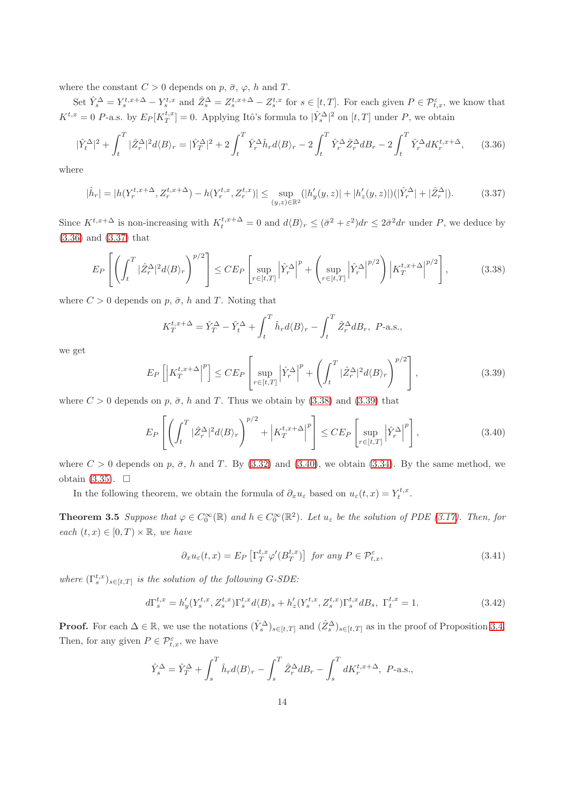where the constant  $C > 0$  depends on  $p, \bar{\sigma}, \varphi, h$  and T.

Set  $\hat{Y}_s^{\Delta} = Y_s^{t,x+\Delta} - Y_s^{t,x}$  and  $\hat{Z}_s^{\Delta} = Z_s^{t,x+\Delta} - Z_s^{t,x}$  for  $s \in [t,T]$ . For each given  $P \in \mathcal{P}_{t,x}^{\varepsilon}$ , we know that  $K^{t,x} = 0$  P-a.s. by  $E_P[K_T^{t,x}] = 0$ . Applying Itô's formula to  $|\hat{Y}_s^{\Delta}|^2$  on  $[t,T]$  under P, we obtain

<span id="page-13-0"></span>
$$
|\hat{Y}_t^{\Delta}|^2 + \int_t^T |\hat{Z}_r^{\Delta}|^2 d\langle B \rangle_r = |\hat{Y}_T^{\Delta}|^2 + 2 \int_t^T \hat{Y}_r^{\Delta} \hat{h}_r d\langle B \rangle_r - 2 \int_t^T \hat{Y}_r^{\Delta} \hat{Z}_r^{\Delta} dB_r - 2 \int_t^T \hat{Y}_r^{\Delta} dK_r^{t,x+\Delta}, \tag{3.36}
$$

where

<span id="page-13-1"></span>
$$
|\hat{h}_r| = |h(Y_r^{t,x+\Delta}, Z_r^{t,x+\Delta}) - h(Y_r^{t,x}, Z_r^{t,x})| \le \sup_{(y,z)\in\mathbb{R}^2} (|h'_y(y,z)| + |h'_z(y,z)|)(|\hat{Y}_r^{\Delta}| + |\hat{Z}_r^{\Delta}|). \tag{3.37}
$$

Since  $K^{t,x+\Delta}$  is non-increasing with  $K_t^{t,x+\Delta} = 0$  and  $d\langle B \rangle_r \leq (\bar{\sigma}^2 + \varepsilon^2)dr \leq 2\bar{\sigma}^2 dr$  under P, we deduce by [\(3.36\)](#page-13-0) and [\(3.37\)](#page-13-1) that

<span id="page-13-2"></span>
$$
E_P\left[\left(\int_t^T |\hat{Z}_r^{\Delta}|^2 d\langle B \rangle_r\right)^{p/2}\right] \leq CE_P\left[\sup_{r \in [t,T]} \left|\hat{Y}_r^{\Delta}\right|^p + \left(\sup_{r \in [t,T]} \left|\hat{Y}_r^{\Delta}\right|^{p/2}\right) \left|K_T^{t,x+\Delta}\right|^{p/2}\right],\tag{3.38}
$$

where  $C > 0$  depends on  $p, \bar{\sigma}, h$  and T. Noting that

$$
K_T^{t,x+\Delta} = \hat{Y}_T^{\Delta} - \hat{Y}_t^{\Delta} + \int_t^T \hat{h}_r d\langle B \rangle_r - \int_t^T \hat{Z}_r^{\Delta} dB_r, \ P\text{-a.s.},
$$

we get

<span id="page-13-3"></span>
$$
E_P\left[\left|K_T^{t,x+\Delta}\right|^p\right] \leq C E_P\left[\sup_{r\in[t,T]} \left|\hat{Y}_r^{\Delta}\right|^p + \left(\int_t^T |\hat{Z}_r^{\Delta}|^2 d\langle B\rangle_r\right)^{p/2}\right],\tag{3.39}
$$

where  $C > 0$  depends on p,  $\bar{\sigma}$ , h and T. Thus we obtain by [\(3.38\)](#page-13-2) and [\(3.39\)](#page-13-3) that

<span id="page-13-4"></span>
$$
E_P\left[\left(\int_t^T |\hat{Z}_r^{\Delta}|^2 d\langle B \rangle_r\right)^{p/2} + \left|K_T^{t,x+\Delta}\right|^p\right] \leq C E_P\left[\sup_{r \in [t,T]} \left|\hat{Y}_r^{\Delta}\right|^p\right],\tag{3.40}
$$

where  $C > 0$  depends on p,  $\bar{\sigma}$ , h and T. By [\(3.32\)](#page-12-1) and [\(3.40\)](#page-13-4), we obtain [\(3.34\)](#page-12-2). By the same method, we obtain  $(3.35)$ .  $\Box$ 

<span id="page-13-5"></span>In the following theorem, we obtain the formula of  $\partial_x u_{\varepsilon}$  based on  $u_{\varepsilon}(t,x) = Y_t^{t,x}$ .

**Theorem 3.5** *Suppose that*  $\varphi \in C_0^{\infty}(\mathbb{R})$  *and*  $h \in C_0^{\infty}(\mathbb{R}^2)$ *. Let*  $u_{\varepsilon}$  *be the solution of PDE* [\(3.17\)](#page-9-0)*. Then, for each*  $(t, x) \in [0, T) \times \mathbb{R}$ *, we have* 

$$
\partial_x u_{\varepsilon}(t,x) = E_P \left[ \Gamma_T^{t,x} \varphi'(B_T^{t,x}) \right] \text{ for any } P \in \mathcal{P}_{t,x}^{\varepsilon}, \tag{3.41}
$$

where  $(\Gamma_s^{t,x})_{s \in [t,T]}$  *is the solution of the following G-SDE*:

$$
d\Gamma_s^{t,x} = h'_y(Y_s^{t,x}, Z_s^{t,x})\Gamma_s^{t,x}d\langle B\rangle_s + h'_z(Y_s^{t,x}, Z_s^{t,x})\Gamma_s^{t,x}dB_s, \ \Gamma_t^{t,x} = 1. \tag{3.42}
$$

**Proof.** For each  $\Delta \in \mathbb{R}$ , we use the notations  $(\hat{Y}_s^{\Delta})_{s \in [t,T]}$  and  $(\hat{Z}_s^{\Delta})_{s \in [t,T]}$  as in the proof of Proposition [3.4.](#page-12-4) Then, for any given  $P \in \mathcal{P}^{\varepsilon}_{t,x}$ , we have

$$
\hat{Y}_s^{\Delta} = \hat{Y}_T^{\Delta} + \int_s^T \hat{h}_r d\langle B \rangle_r - \int_s^T \hat{Z}_r^{\Delta} dB_r - \int_s^T dK_r^{t,x+\Delta}, \ P\text{-a.s.},
$$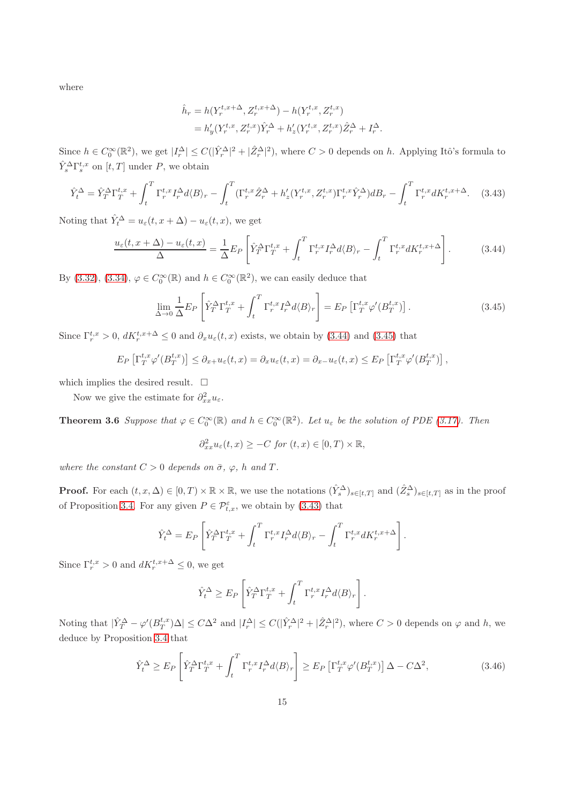where

$$
\begin{split} \hat{h}_r &= h(Y_r^{t,x+\Delta}, Z_r^{t,x+\Delta}) - h(Y_r^{t,x}, Z_r^{t,x}) \\ &= h_y'(Y_r^{t,x}, Z_r^{t,x})\hat{Y}_r^{\Delta} + h_z'(Y_r^{t,x}, Z_r^{t,x})\hat{Z}_r^{\Delta} + I_r^{\Delta}. \end{split}
$$

Since  $h \in C_0^{\infty}(\mathbb{R}^2)$ , we get  $|I_r^{\Delta}| \leq C(|\hat{Y}_r^{\Delta}|^2 + |\hat{Z}_r^{\Delta}|^2)$ , where  $C > 0$  depends on h. Applying Itô's formula to  $\hat{Y}_s^{\Delta} \Gamma_s^{t,x}$  on  $[t, T]$  under P, we obtain

<span id="page-14-2"></span>
$$
\hat{Y}_t^{\Delta} = \hat{Y}_T^{\Delta} \Gamma_T^{t,x} + \int_t^T \Gamma_r^{t,x} I_r^{\Delta} d\langle B \rangle_r - \int_t^T (\Gamma_r^{t,x} \hat{Z}_r^{\Delta} + h_z'(Y_r^{t,x}, Z_r^{t,x}) \Gamma_r^{t,x} \hat{Y}_r^{\Delta}) dB_r - \int_t^T \Gamma_r^{t,x} dK_r^{t,x+\Delta}.
$$
 (3.43)

Noting that  $\hat{Y}_t^{\Delta} = u_{\varepsilon}(t, x + \Delta) - u_{\varepsilon}(t, x)$ , we get

<span id="page-14-0"></span>
$$
\frac{u_{\varepsilon}(t, x + \Delta) - u_{\varepsilon}(t, x)}{\Delta} = \frac{1}{\Delta} E_P \left[ \hat{Y}_T^{\Delta} \Gamma_T^{t, x} + \int_t^T \Gamma_r^{t, x} I_r^{\Delta} d\langle B \rangle_r - \int_t^T \Gamma_r^{t, x} dK_r^{t, x + \Delta} \right].
$$
 (3.44)

By [\(3.32\)](#page-12-1), [\(3.34\)](#page-12-2),  $\varphi \in C_0^{\infty}(\mathbb{R})$  and  $h \in C_0^{\infty}(\mathbb{R}^2)$ , we can easily deduce that

<span id="page-14-1"></span>
$$
\lim_{\Delta \to 0} \frac{1}{\Delta} E_P \left[ \hat{Y}_T^{\Delta} \Gamma_T^{t,x} + \int_t^T \Gamma_r^{t,x} I_r^{\Delta} d\langle B \rangle_r \right] = E_P \left[ \Gamma_T^{t,x} \varphi'(B_T^{t,x}) \right]. \tag{3.45}
$$

Since  $\Gamma_r^{t,x} > 0$ ,  $dK_r^{t,x+\Delta} \leq 0$  and  $\partial_x u_\varepsilon(t,x)$  exists, we obtain by [\(3.44\)](#page-14-0) and [\(3.45\)](#page-14-1) that

$$
E_P\left[\Gamma_T^{t,x}\varphi'(B_T^{t,x})\right] \leq \partial_{x+}u_{\varepsilon}(t,x) = \partial_xu_{\varepsilon}(t,x) = \partial_{x-}u_{\varepsilon}(t,x) \leq E_P\left[\Gamma_T^{t,x}\varphi'(B_T^{t,x})\right],
$$

which implies the desired result.  $\square$ 

<span id="page-14-4"></span>Now we give the estimate for  $\partial_{xx}^2 u_{\varepsilon}$ .

**Theorem 3.6** *Suppose that*  $\varphi \in C_0^{\infty}(\mathbb{R})$  *and*  $h \in C_0^{\infty}(\mathbb{R}^2)$ *. Let*  $u_{\varepsilon}$  *be the solution of PDE* [\(3.17\)](#page-9-0)*. Then* 

$$
\partial_{xx}^2 u_{\varepsilon}(t,x) \geq -C \; \text{for} \; (t,x) \in [0,T) \times \mathbb{R},
$$

*where the constant*  $C > 0$  *depends on*  $\bar{\sigma}$ *,*  $\varphi$ *, h and*  $T$ *.* 

**Proof.** For each  $(t, x, \Delta) \in [0, T) \times \mathbb{R} \times \mathbb{R}$ , we use the notations  $(\hat{Y}_s^{\Delta})_{s \in [t,T]}$  and  $(\hat{Z}_s^{\Delta})_{s \in [t,T]}$  as in the proof of Proposition [3.4.](#page-12-4) For any given  $P \in \mathcal{P}^{\varepsilon}_{t,x}$ , we obtain by [\(3.43\)](#page-14-2) that

$$
\hat{Y}_t^{\Delta} = E_P \left[ \hat{Y}_T^{\Delta} \Gamma_T^{t,x} + \int_t^T \Gamma_r^{t,x} I_r^{\Delta} d\langle B \rangle_r - \int_t^T \Gamma_r^{t,x} dK_r^{t,x+\Delta} \right]
$$

Since  $\Gamma_r^{t,x} > 0$  and  $dK_r^{t,x+\Delta} \leq 0$ , we get

$$
\hat{Y}_t^{\Delta} \ge E_P \left[ \hat{Y}_T^{\Delta} \Gamma_T^{t,x} + \int_t^T \Gamma_r^{t,x} I_r^{\Delta} d\langle B \rangle_r \right].
$$

Noting that  $|\hat{Y}_T^{\Delta} - \varphi'(B_T^{t,x})\Delta| \leq C\Delta^2$  and  $|I_r^{\Delta}| \leq C(|\hat{Y}_r^{\Delta}|^2 + |\hat{Z}_r^{\Delta}|^2)$ , where  $C > 0$  depends on  $\varphi$  and h, we deduce by Proposition [3.4](#page-12-4) that

<span id="page-14-3"></span>
$$
\hat{Y}_t^{\Delta} \ge E_P \left[ \hat{Y}_T^{\Delta} \Gamma_T^{t,x} + \int_t^T \Gamma_r^{t,x} I_r^{\Delta} d\langle B \rangle_r \right] \ge E_P \left[ \Gamma_T^{t,x} \varphi'(B_T^{t,x}) \right] \Delta - C \Delta^2,
$$
\n(3.46)

.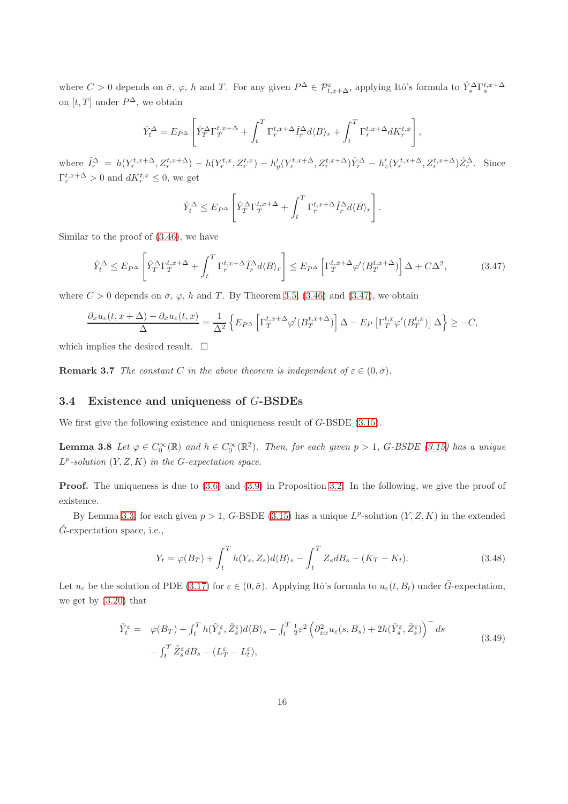where  $C > 0$  depends on  $\bar{\sigma}$ ,  $\varphi$ , h and T. For any given  $P^{\Delta} \in \mathcal{P}^{\varepsilon}_{t,x+\Delta}$ , applying Itô's formula to  $\hat{Y}^{\Delta}_{s} \Gamma^{t,x+\Delta}_{s}$ on  $[t, T]$  under  $P^{\Delta}$ , we obtain

$$
\hat{Y}_t^{\Delta} = E_{P^{\Delta}} \left[ \hat{Y}_T^{\Delta} \Gamma_T^{t,x+\Delta} + \int_t^T \Gamma_r^{t,x+\Delta} \tilde{I}_r^{\Delta} d\langle B \rangle_r + \int_t^T \Gamma_r^{t,x+\Delta} dK_r^{t,x} \right],
$$

where  $\tilde{I}_r^{\Delta} = h(Y_r^{t,x+\Delta}, Z_r^{t,x+\Delta}) - h(Y_r^{t,x}, Z_r^{t,x}) - h'_y(Y_r^{t,x+\Delta}, Z_r^{t,x+\Delta})\hat{Y}_r^{\Delta} - h'_z(Y_r^{t,x+\Delta}, Z_r^{t,x+\Delta})\hat{Z}_r^{\Delta}$ . Since  $\Gamma_r^{t,x+\Delta} > 0$  and  $dK_r^{t,x} \leq 0$ , we get

$$
\hat{Y}_t^{\Delta} \leq E_{P^{\Delta}} \left[ \hat{Y}_T^{\Delta} \Gamma_T^{t,x+\Delta} + \int_t^T \Gamma_r^{t,x+\Delta} \tilde{I}_r^{\Delta} d\langle B \rangle_r \right].
$$

Similar to the proof of [\(3.46\)](#page-14-3), we have

<span id="page-15-1"></span>
$$
\hat{Y}_t^{\Delta} \le E_{P^{\Delta}} \left[ \hat{Y}_T^{\Delta} \Gamma_T^{t,x+\Delta} + \int_t^T \Gamma_r^{t,x+\Delta} \tilde{I}_r^{\Delta} d\langle B \rangle_r \right] \le E_{P^{\Delta}} \left[ \Gamma_T^{t,x+\Delta} \varphi'(B_T^{t,x+\Delta}) \right] \Delta + C \Delta^2, \tag{3.47}
$$

where  $C > 0$  depends on  $\bar{\sigma}$ ,  $\varphi$ , h and T. By Theorem [3.5,](#page-13-5) [\(3.46\)](#page-14-3) and [\(3.47\)](#page-15-1), we obtain

$$
\frac{\partial_x u_{\varepsilon}(t, x + \Delta) - \partial_x u_{\varepsilon}(t, x)}{\Delta} = \frac{1}{\Delta^2} \left\{ E_{P^{\Delta}} \left[ \Gamma_T^{t, x + \Delta} \varphi'(B_T^{t, x + \Delta}) \right] \Delta - E_P \left[ \Gamma_T^{t, x} \varphi'(B_T^{t, x}) \right] \Delta \right\} \ge -C,
$$

which implies the desired result.  $\square$ 

**Remark 3.7** *The constant C in the above theorem is independent of*  $\varepsilon \in (0, \bar{\sigma})$ *.* 

#### 3.4 Existence and uniqueness of G-BSDEs

<span id="page-15-0"></span>We first give the following existence and uniqueness result of G-BSDE [\(3.15\)](#page-8-3).

**Lemma 3.8** Let  $\varphi \in C_0^{\infty}(\mathbb{R})$  and  $h \in C_0^{\infty}(\mathbb{R}^2)$ . Then, for each given  $p > 1$ , G-BSDE [\(3.15\)](#page-8-3) has a unique L p *-solution* (Y, Z, K) *in the* G*-expectation space.*

**Proof.** The uniqueness is due to [\(3.6\)](#page-7-1) and [\(3.9\)](#page-7-5) in Proposition [3.2.](#page-7-6) In the following, we give the proof of existence.

By Lemma [3.3,](#page-9-2) for each given  $p > 1$ , G-BSDE [\(3.15\)](#page-8-3) has a unique  $L^p$ -solution  $(Y, Z, K)$  in the extended  $\tilde{G}$ -expectation space, i.e.,

<span id="page-15-2"></span>
$$
Y_t = \varphi(B_T) + \int_t^T h(Y_s, Z_s) d\langle B \rangle_s - \int_t^T Z_s dB_s - (K_T - K_t). \tag{3.48}
$$

Let  $u_{\varepsilon}$  be the solution of PDE [\(3.17\)](#page-9-0) for  $\varepsilon \in (0, \bar{\sigma})$ . Applying Itô's formula to  $u_{\varepsilon}(t, B_t)$  under  $\tilde{G}$ -expectation, we get by [\(3.20\)](#page-10-0) that

<span id="page-15-3"></span>
$$
\tilde{Y}_t^{\varepsilon} = \varphi(B_T) + \int_t^T h(\tilde{Y}_s^{\varepsilon}, \tilde{Z}_s^{\varepsilon}) d\langle B \rangle_s - \int_t^T \frac{1}{2} \varepsilon^2 \left( \partial_{xx}^2 u_{\varepsilon}(s, B_s) + 2h(\tilde{Y}_s^{\varepsilon}, \tilde{Z}_s^{\varepsilon}) \right)^{-} ds \n- \int_t^T \tilde{Z}_s^{\varepsilon} dB_s - (L_T^{\varepsilon} - L_t^{\varepsilon}),
$$
\n(3.49)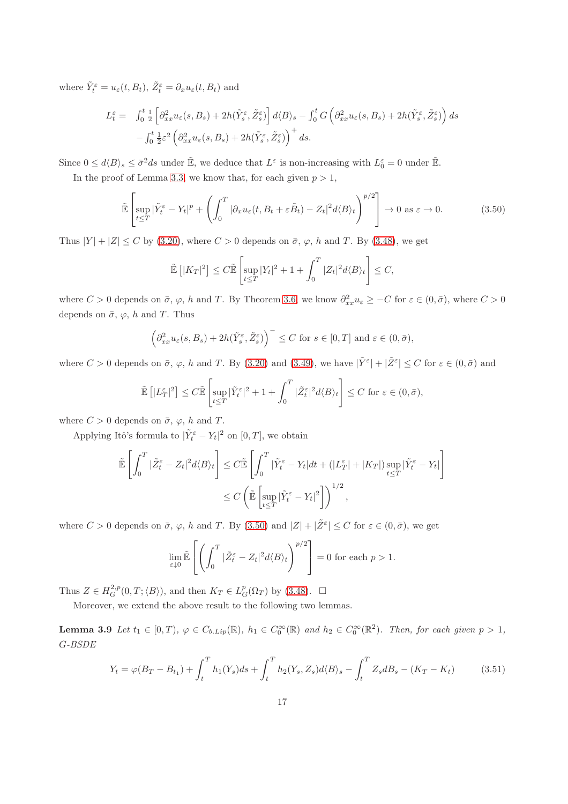where  $\tilde{Y}_t^{\varepsilon} = u_{\varepsilon}(t, B_t), \, \tilde{Z}_t^{\varepsilon} = \partial_x u_{\varepsilon}(t, B_t)$  and

$$
L_t^{\varepsilon} = \int_0^t \frac{1}{2} \left[ \partial_{xx}^2 u_{\varepsilon}(s, B_s) + 2h(\tilde{Y}_s^{\varepsilon}, \tilde{Z}_s^{\varepsilon}) \right] d\langle B \rangle_s - \int_0^t G \left( \partial_{xx}^2 u_{\varepsilon}(s, B_s) + 2h(\tilde{Y}_s^{\varepsilon}, \tilde{Z}_s^{\varepsilon}) \right) ds - \int_0^t \frac{1}{2} \varepsilon^2 \left( \partial_{xx}^2 u_{\varepsilon}(s, B_s) + 2h(\tilde{Y}_s^{\varepsilon}, \tilde{Z}_s^{\varepsilon}) \right)^+ ds.
$$

Since  $0 \leq d\langle B \rangle_s \leq \bar{\sigma}^2 ds$  under  $\mathbb{E}$ , we deduce that  $L^{\varepsilon}$  is non-increasing with  $L_0^{\varepsilon} = 0$  under  $\mathbb{E}$ .

In the proof of Lemma [3.3,](#page-9-2) we know that, for each given  $p > 1$ ,

<span id="page-16-0"></span>
$$
\tilde{\mathbb{E}}\left[\sup_{t\leq T}|\tilde{Y}_t^{\varepsilon}-Y_t|^p+\left(\int_0^T|\partial_x u_{\varepsilon}(t,B_t+\varepsilon\tilde{B}_t)-Z_t|^2d\langle B\rangle_t\right)^{p/2}\right]\to 0 \text{ as } \varepsilon\to 0.
$$
\n(3.50)

Thus  $|Y| + |Z| \le C$  by [\(3.20\)](#page-10-0), where  $C > 0$  depends on  $\bar{\sigma}$ ,  $\varphi$ , h and T. By [\(3.48\)](#page-15-2), we get

$$
\tilde{\mathbb{E}}\left[|K_T|^2\right] \leq C \tilde{\mathbb{E}}\left[\sup_{t \leq T} |Y_t|^2 + 1 + \int_0^T |Z_t|^2 d\langle B \rangle_t\right] \leq C,
$$

where  $C > 0$  depends on  $\bar{\sigma}$ ,  $\varphi$ , h and T. By Theorem [3.6,](#page-14-4) we know  $\partial_{xx}^2 u_{\varepsilon} \geq -C$  for  $\varepsilon \in (0, \bar{\sigma})$ , where  $C > 0$ depends on  $\bar{\sigma}$ ,  $\varphi$ , h and T. Thus

$$
\left(\partial_{xx}^2 u_{\varepsilon}(s,B_s) + 2h(\tilde{Y}_s^{\varepsilon},\tilde{Z}_s^{\varepsilon})\right)^{-} \leq C \text{ for } s \in [0,T] \text{ and } \varepsilon \in (0,\bar{\sigma}),
$$

where  $C > 0$  depends on  $\bar{\sigma}$ ,  $\varphi$ , h and T. By [\(3.20\)](#page-10-0) and [\(3.49\)](#page-15-3), we have  $|\tilde{Y}^{\varepsilon}| + |\tilde{Z}^{\varepsilon}| \leq C$  for  $\varepsilon \in (0, \bar{\sigma})$  and

$$
\tilde{\mathbb{E}}\left[|L^\varepsilon_T|^2\right]\leq C\tilde{\mathbb{E}}\left[\sup_{t\leq T}|\tilde{Y}^\varepsilon_t|^2+1+\int_0^T|\tilde{Z}^\varepsilon_t|^2d\langle B\rangle_t\right]\leq C\,\,\text{for}\,\,\varepsilon\in(0,\bar{\sigma}),
$$

where  $C > 0$  depends on  $\bar{\sigma}$ ,  $\varphi$ , h and T.

Applying Itô's formula to  $|\tilde{Y}_t^{\varepsilon} - Y_t|^2$  on  $[0, T]$ , we obtain

$$
\tilde{\mathbb{E}}\left[\int_0^T |\tilde{Z}_t^{\varepsilon} - Z_t|^2 d\langle B \rangle_t \right] \leq C \tilde{\mathbb{E}}\left[\int_0^T |\tilde{Y}_t^{\varepsilon} - Y_t| dt + (|L_T^{\varepsilon}| + |K_T|) \sup_{t \leq T} |\tilde{Y}_t^{\varepsilon} - Y_t| \right]
$$
\n
$$
\leq C \left( \tilde{\mathbb{E}}\left[\sup_{t \leq T} |\tilde{Y}_t^{\varepsilon} - Y_t|^2\right] \right)^{1/2},
$$

where  $C > 0$  depends on  $\bar{\sigma}$ ,  $\varphi$ , h and T. By [\(3.50\)](#page-16-0) and  $|Z| + |\tilde{Z}^{\varepsilon}| \leq C$  for  $\varepsilon \in (0, \bar{\sigma})$ , we get

$$
\lim_{\varepsilon \downarrow 0} \tilde{\mathbb{E}} \left[ \left( \int_0^T |\tilde{Z}_t^{\varepsilon} - Z_t|^2 d\langle B \rangle_t \right)^{p/2} \right] = 0 \text{ for each } p > 1.
$$

Thus  $Z \in H^{2,p}_G(0,T; \langle B \rangle)$ , and then  $K_T \in L^p_G(\Omega_T)$  by [\(3.48\)](#page-15-2).  $\Box$ 

<span id="page-16-2"></span>Moreover, we extend the above result to the following two lemmas.

**Lemma 3.9** Let  $t_1 \in [0,T)$ ,  $\varphi \in C_{b.Lip}(\mathbb{R})$ ,  $h_1 \in C_0^{\infty}(\mathbb{R})$  and  $h_2 \in C_0^{\infty}(\mathbb{R}^2)$ . Then, for each given  $p > 1$ , G*-BSDE*

<span id="page-16-1"></span>
$$
Y_t = \varphi(B_T - B_{t_1}) + \int_t^T h_1(Y_s)ds + \int_t^T h_2(Y_s, Z_s)d\langle B \rangle_s - \int_t^T Z_s dB_s - (K_T - K_t)
$$
(3.51)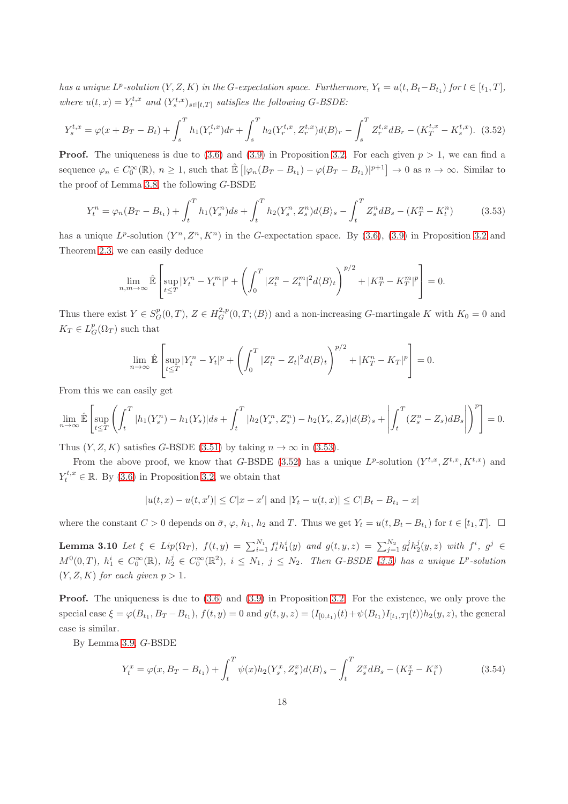*has a unique*  $L^p$ -solution  $(Y, Z, K)$  *in the G*-expectation space. Furthermore,  $Y_t = u(t, B_t - B_{t_1})$  for  $t \in [t_1, T]$ , where  $u(t, x) = Y_t^{t, x}$  and  $(Y_s^{t, x})_{s \in [t, T]}$  *satisfies the following G-BSDE:* 

<span id="page-17-1"></span>
$$
Y_s^{t,x} = \varphi(x + B_T - B_t) + \int_s^T h_1(Y_r^{t,x}) dr + \int_s^T h_2(Y_r^{t,x}, Z_r^{t,x}) d\langle B \rangle_r - \int_s^T Z_r^{t,x} dB_r - (K_T^{t,x} - K_s^{t,x}). \tag{3.52}
$$

**Proof.** The uniqueness is due to [\(3.6\)](#page-7-1) and [\(3.9\)](#page-7-5) in Proposition [3.2.](#page-7-6) For each given  $p > 1$ , we can find a sequence  $\varphi_n \in C_0^{\infty}(\mathbb{R})$ ,  $n \ge 1$ , such that  $\mathbb{E}\left[ |\varphi_n(B_T - B_{t_1}) - \varphi(B_T - B_{t_1})|^{p+1} \right] \to 0$  as  $n \to \infty$ . Similar to the proof of Lemma [3.8,](#page-15-0) the following G-BSDE

<span id="page-17-0"></span>
$$
Y_t^n = \varphi_n(B_T - B_{t_1}) + \int_t^T h_1(Y_s^n)ds + \int_t^T h_2(Y_s^n, Z_s^n) d\langle B \rangle_s - \int_t^T Z_s^n dB_s - (K_T^n - K_t^n) \tag{3.53}
$$

has a unique  $L^p$ -solution  $(Y^n, Z^n, K^n)$  in the G-expectation space. By  $(3.6)$ ,  $(3.9)$  in Proposition [3.2](#page-7-6) and Theorem [2.3,](#page-3-1) we can easily deduce

$$
\lim_{n,m \to \infty} \hat{\mathbb{E}} \left[ \sup_{t \leq T} |Y_t^n - Y_t^m|^p + \left( \int_0^T |Z_t^n - Z_t^m|^2 d\langle B \rangle_t \right)^{p/2} + |K_T^n - K_T^m|^p \right] = 0.
$$

Thus there exist  $Y \in S_G^p(0,T)$ ,  $Z \in H_G^{2,p}(0,T; \langle B \rangle)$  and a non-increasing G-martingale K with  $K_0 = 0$  and  $K_T \in L_G^p(\Omega_T)$  such that

$$
\lim_{n \to \infty} \hat{\mathbb{E}} \left[ \sup_{t \leq T} |Y_t^n - Y_t|^p + \left( \int_0^T |Z_t^n - Z_t|^2 d\langle B \rangle_t \right)^{p/2} + |K_T^n - K_T|^p \right] = 0.
$$

From this we can easily get

$$
\lim_{n\to\infty}\hat{\mathbb{E}}\left[\sup_{t\leq T}\left(\int_t^T |h_1(Y_s^n)-h_1(Y_s)|ds+\int_t^T |h_2(Y_s^n,Z_s^n)-h_2(Y_s,Z_s)|d\langle B\rangle_s+\left|\int_t^T (Z_s^n-Z_s)dB_s\right|\right)^p\right]=0.
$$

Thus  $(Y, Z, K)$  satisfies G-BSDE [\(3.51\)](#page-16-1) by taking  $n \to \infty$  in [\(3.53\)](#page-17-0).

From the above proof, we know that G-BSDE [\(3.52\)](#page-17-1) has a unique  $L^p$ -solution  $(Y^{t,x}, Z^{t,x}, K^{t,x})$  and  $Y_t^{t,x} \in \mathbb{R}$ . By [\(3.6\)](#page-7-1) in Proposition [3.2,](#page-7-6) we obtain that

$$
|u(t,x) - u(t,x')| \le C|x - x'|
$$
 and  $|Y_t - u(t,x)| \le C|B_t - B_{t_1} - x|$ 

<span id="page-17-3"></span>where the constant  $C > 0$  depends on  $\bar{\sigma}$ ,  $\varphi$ ,  $h_1$ ,  $h_2$  and T. Thus we get  $Y_t = u(t, B_t - B_{t_1})$  for  $t \in [t_1, T]$ .  $\Box$ 

Lemma 3.10 Let  $\xi \in Lip(\Omega_T)$ ,  $f(t,y) = \sum_{i=1}^{N_1} f_t^i h_1^i(y)$  and  $g(t,y,z) = \sum_{j=1}^{N_2} g_t^j h_2^j(y,z)$  with  $f^i$ ,  $g^j \in$  $M^0(0,T)$ ,  $h_1^i \in C_0^{\infty}(\mathbb{R})$ ,  $h_2^j \in C_0^{\infty}(\mathbb{R}^2)$ ,  $i \leq N_1$ ,  $j \leq N_2$ . Then G-BSDE [\(3.5\)](#page-6-0) has a unique L<sup>p</sup>-solution  $(Y, Z, K)$  *for each given*  $p > 1$ *.* 

**Proof.** The uniqueness is due to  $(3.6)$  and  $(3.9)$  in Proposition [3.2.](#page-7-6) For the existence, we only prove the special case  $\xi = \varphi(B_{t_1}, B_T - B_{t_1}), f(t, y) = 0$  and  $g(t, y, z) = (I_{[0,t_1)}(t) + \psi(B_{t_1})I_{[t_1,T]}(t))h_2(y, z)$ , the general case is similar.

By Lemma [3.9,](#page-16-2) G-BSDE

<span id="page-17-2"></span>
$$
Y_t^x = \varphi(x, B_T - B_{t_1}) + \int_t^T \psi(x) h_2(Y_s^x, Z_s^x) d\langle B \rangle_s - \int_t^T Z_s^x dB_s - (K_T^x - K_t^x)
$$
(3.54)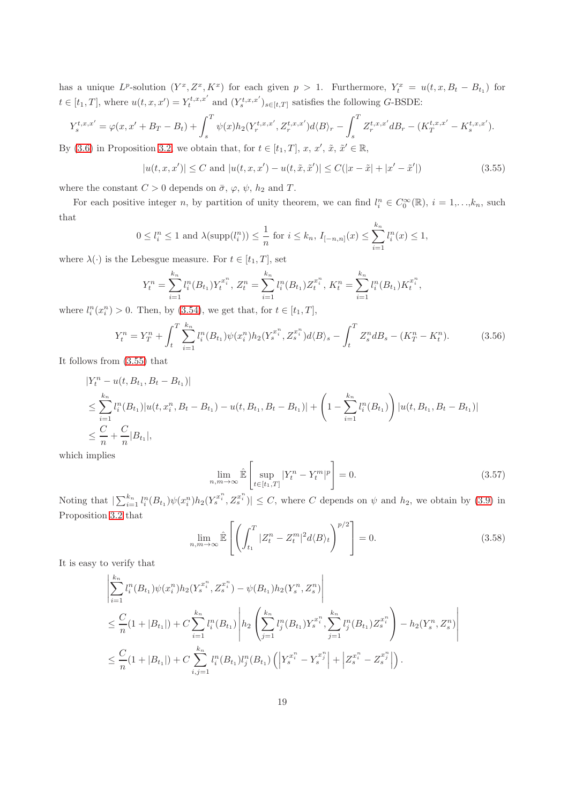has a unique  $L^p$ -solution  $(Y^x, Z^x, K^x)$  for each given  $p > 1$ . Furthermore,  $Y_t^x = u(t, x, B_t - B_{t_1})$  for  $t \in [t_1, T]$ , where  $u(t, x, x') = Y_t^{t, x, x'}$  and  $(Y_s^{t, x, x'})_{s \in [t, T]}$  satisfies the following G-BSDE:

$$
Y_s^{t,x,x'} = \varphi(x, x' + B_T - B_t) + \int_s^T \psi(x) h_2(Y_r^{t,x,x'}, Z_r^{t,x,x'}) d\langle B \rangle_r - \int_s^T Z_r^{t,x,x'} dB_r - (K_T^{t,x,x'} - K_s^{t,x,x'}).
$$

By [\(3.6\)](#page-7-1) in Proposition [3.2,](#page-7-6) we obtain that, for  $t \in [t_1, T]$ , x, x',  $\tilde{x}$ ,  $\tilde{x}' \in \mathbb{R}$ ,

<span id="page-18-0"></span>
$$
|u(t, x, x')| \le C \text{ and } |u(t, x, x') - u(t, \tilde{x}, \tilde{x}')| \le C(|x - \tilde{x}| + |x' - \tilde{x}'|)
$$
\n(3.55)

where the constant  $C > 0$  depends on  $\bar{\sigma}$ ,  $\varphi$ ,  $\psi$ ,  $h_2$  and  $T$ .

For each positive integer n, by partition of unity theorem, we can find  $l_i^n \in C_0^{\infty}(\mathbb{R})$ ,  $i = 1,...,k_n$ , such that

$$
0 \le l_i^n \le 1
$$
 and  $\lambda(\text{supp}(l_i^n)) \le \frac{1}{n}$  for  $i \le k_n$ ,  $I_{[-n,n]}(x) \le \sum_{i=1}^{k_n} l_i^n(x) \le 1$ ,

where  $\lambda(\cdot)$  is the Lebesgue measure. For  $t \in [t_1, T]$ , set

$$
Y_t^n = \sum_{i=1}^{k_n} l_i^n(B_{t_1}) Y_t^{x_i^n}, Z_t^n = \sum_{i=1}^{k_n} l_i^n(B_{t_1}) Z_t^{x_i^n}, K_t^n = \sum_{i=1}^{k_n} l_i^n(B_{t_1}) K_t^{x_i^n},
$$

where  $l_i^n(x_i^n) > 0$ . Then, by [\(3.54\)](#page-17-2), we get that, for  $t \in [t_1, T]$ ,

<span id="page-18-1"></span>
$$
Y_t^n = Y_T^n + \int_t^T \sum_{i=1}^{k_n} l_i^n(B_{t_1}) \psi(x_i^n) h_2(Y_s^{x_i^n}, Z_s^{x_i^n}) d\langle B \rangle_s - \int_t^T Z_s^n dB_s - (K_T^n - K_t^n). \tag{3.56}
$$

It follows from [\(3.55\)](#page-18-0) that

$$
\begin{aligned} &|Y_t^n - u(t, B_{t_1}, B_t - B_{t_1})| \\ &\le \sum_{i=1}^{k_n} l_i^n(B_{t_1}) |u(t, x_i^n, B_t - B_{t_1}) - u(t, B_{t_1}, B_t - B_{t_1})| + \left(1 - \sum_{i=1}^{k_n} l_i^n(B_{t_1})\right) |u(t, B_{t_1}, B_t - B_{t_1})| \\ &\le \frac{C}{n} + \frac{C}{n} |B_{t_1}|, \end{aligned}
$$

which implies

<span id="page-18-2"></span>
$$
\lim_{n,m \to \infty} \hat{\mathbb{E}} \left[ \sup_{t \in [t_1,T]} |Y_t^n - Y_t^m|^p \right] = 0. \tag{3.57}
$$

Noting that  $|\sum_{i=1}^{k_n} l_i^n(B_{t_1})\psi(x_i^n)h_2(Y_s^{x_i^n}, Z_s^{x_i^n})| \leq C$ , where C depends on  $\psi$  and  $h_2$ , we obtain by [\(3.9\)](#page-7-5) in Proposition [3.2](#page-7-6) that

<span id="page-18-3"></span>
$$
\lim_{n,m\to\infty} \hat{\mathbb{E}}\left[\left(\int_{t_1}^T |Z_t^n - Z_t^m|^2 d\langle B \rangle_t\right)^{p/2}\right] = 0. \tag{3.58}
$$

It is easy to verify that

$$
\begin{split}\n&\left|\sum_{i=1}^{k_{n}} l_{i}^{n}(B_{t_{1}})\psi(x_{i}^{n})h_{2}(Y_{s}^{x_{i}^{n}},Z_{s}^{x_{i}^{n}})-\psi(B_{t_{1}})h_{2}(Y_{s}^{n},Z_{s}^{n})\right| \\
&\leq \frac{C}{n}(1+|B_{t_{1}}|)+C\sum_{i=1}^{k_{n}} l_{i}^{n}(B_{t_{1}})\left|h_{2}\left(\sum_{j=1}^{k_{n}} l_{j}^{n}(B_{t_{1}})Y_{s}^{x_{i}^{n}},\sum_{j=1}^{k_{n}} l_{j}^{n}(B_{t_{1}})Z_{s}^{x_{i}^{n}}\right)-h_{2}(Y_{s}^{n},Z_{s}^{n})\right| \\
&\leq \frac{C}{n}(1+|B_{t_{1}}|)+C\sum_{i,j=1}^{k_{n}} l_{i}^{n}(B_{t_{1}})l_{j}^{n}(B_{t_{1}})\left(\left|Y_{s}^{x_{i}^{n}}-Y_{s}^{x_{j}^{n}}\right|+\left|Z_{s}^{x_{i}^{n}}-Z_{s}^{x_{j}^{n}}\right|\right).\n\end{split}
$$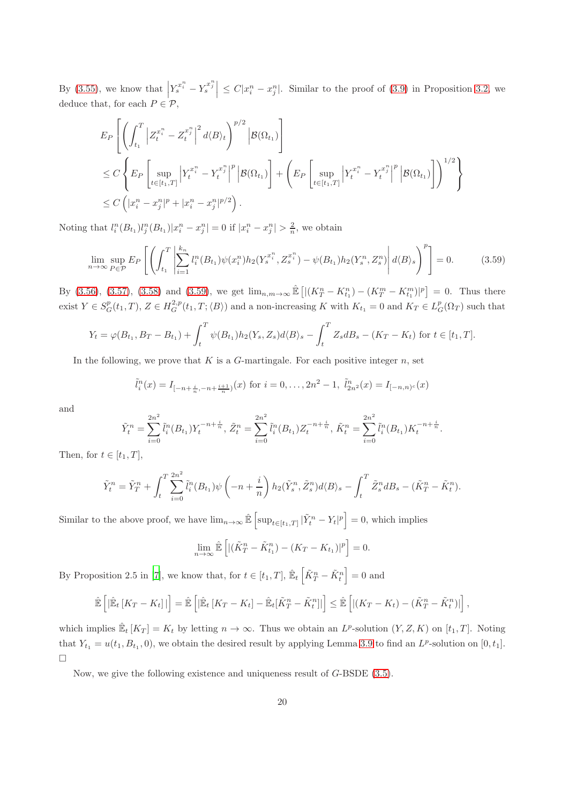By [\(3.55\)](#page-18-0), we know that  $\left| Y_s^{x_i^n} - Y_s^{x_j^n} \right| \leq C |x_i^n - x_j^n|$ . Similar to the proof of [\(3.9\)](#page-7-5) in Proposition [3.2,](#page-7-6) we deduce that, for each  $P \in \mathcal{P}$ ,

$$
E_{P}\left[\left(\int_{t_{1}}^{T}\left|Z_{t}^{x_{i}^{n}}-Z_{t}^{x_{j}^{n}}\right|^{2}d\langle B\rangle_{t}\right)^{p/2}\Big|\mathcal{B}(\Omega_{t_{1}})\right]
$$
  
\n
$$
\leq C\left\{E_{P}\left[\sup_{t\in[t_{1},T]}\left|Y_{t}^{x_{i}^{n}}-Y_{t}^{x_{j}^{n}}\right|^{p}\Big|\mathcal{B}(\Omega_{t_{1}})\right]+\left(E_{P}\left[\sup_{t\in[t_{1},T]}\left|Y_{t}^{x_{i}^{n}}-Y_{t}^{x_{j}^{n}}\right|^{p}\Big|\mathcal{B}(\Omega_{t_{1}})\right]\right)^{1/2}\right\}
$$
  
\n
$$
\leq C\left(|x_{i}^{n}-x_{j}^{n}|^{p}+|x_{i}^{n}-x_{j}^{n}|^{p/2}\right).
$$

Noting that  $l_i^n(B_{t_1})l_j^n(B_{t_1})|x_i^n - x_j^n| = 0$  if  $|x_i^n - x_j^n| > \frac{2}{n}$ , we obtain

<span id="page-19-0"></span>
$$
\lim_{n \to \infty} \sup_{P \in \mathcal{P}} E_P \left[ \left( \int_{t_1}^T \left| \sum_{i=1}^{k_n} l_i^n(B_{t_1}) \psi(x_i^n) h_2(Y_s^{x_i^n}, Z_s^{x_i^n}) - \psi(B_{t_1}) h_2(Y_s^n, Z_s^n) \right| d\langle B \rangle_s \right)^p \right] = 0. \tag{3.59}
$$

By [\(3.56\)](#page-18-1), [\(3.57\)](#page-18-2), [\(3.58\)](#page-18-3) and [\(3.59\)](#page-19-0), we get  $\lim_{n,m\to\infty} \mathbb{E}\left[|(K_T^n - K_{t_1}^n) - (K_T^m - K_{t_1}^m)|^p\right] = 0$ . Thus there exist  $Y \in S_G^p(t_1, T), Z \in H_G^{2,p}(t_1, T; \langle B \rangle)$  and a non-increasing K with  $K_{t_1} = 0$  and  $K_T \in L_G^p(\Omega_T)$  such that

$$
Y_t = \varphi(B_{t_1}, B_T - B_{t_1}) + \int_t^T \psi(B_{t_1}) h_2(Y_s, Z_s) d\langle B \rangle_s - \int_t^T Z_s dB_s - (K_T - K_t) \text{ for } t \in [t_1, T].
$$

In the following, we prove that  $K$  is a  $G$ -martingale. For each positive integer  $n$ , set

$$
\tilde{l}_i^n(x) = I_{[-n+\frac{i}{n}, -n+\frac{i+1}{n})}(x)
$$
 for  $i = 0, ..., 2n^2 - 1$ ,  $\tilde{l}_{2n^2}^n(x) = I_{[-n,n)^c}(x)$ 

and

$$
\tilde{Y}_t^n = \sum_{i=0}^{2n^2} \tilde{l}_i^n(B_{t_1}) Y_t^{-n+\frac{i}{n}}, \ \tilde{Z}_t^n = \sum_{i=0}^{2n^2} \tilde{l}_i^n(B_{t_1}) Z_t^{-n+\frac{i}{n}}, \ \tilde{K}_t^n = \sum_{i=0}^{2n^2} \tilde{l}_i^n(B_{t_1}) K_t^{-n+\frac{i}{n}}.
$$

Then, for  $t \in [t_1, T]$ ,

$$
\tilde{Y}_t^n = \tilde{Y}_T^n + \int_t^T \sum_{i=0}^{2n^2} \tilde{l}_i^n(B_{t_1}) \psi\left(-n + \frac{i}{n}\right) h_2(\tilde{Y}_s^n, \tilde{Z}_s^n) d\langle B \rangle_s - \int_t^T \tilde{Z}_s^n dB_s - (\tilde{K}_T^n - \tilde{K}_t^n).
$$

Similar to the above proof, we have  $\lim_{n\to\infty} \mathbb{E}\left[\sup_{t\in[t_1,T]}|\tilde{Y}^n_t-Y_t|^p\right] = 0$ , which implies

$$
\lim_{n \to \infty} \hat{\mathbb{E}} \left[ |(\tilde{K}_T^n - \tilde{K}_{t_1}^n) - (K_T - K_{t_1})|^p \right] = 0.
$$

By Proposition 2.5 in [\[7\]](#page-31-2), we know that, for  $t \in [t_1, T]$ ,  $\hat{\mathbb{E}}_t \left[ \tilde{K}_T^n - \tilde{K}_t^n \right] = 0$  and

$$
\hat{\mathbb{E}}\left[|\hat{\mathbb{E}}_t\left[K_T-K_t\right]|\right] = \hat{\mathbb{E}}\left[|\hat{\mathbb{E}}_t\left[K_T-K_t\right] - \hat{\mathbb{E}}_t[\tilde{K}^n_T-\tilde{K}^n_t]| \right] \leq \hat{\mathbb{E}}\left[|(K_T-K_t)-(\tilde{K}^n_T-\tilde{K}^n_t)|\right],
$$

which implies  $\mathbb{E}_t [K_T] = K_t$  by letting  $n \to \infty$ . Thus we obtain an  $L^p$ -solution  $(Y, Z, K)$  on  $[t_1, T]$ . Noting that  $Y_{t_1} = u(t_1, B_{t_1}, 0)$ , we obtain the desired result by applying Lemma [3.9](#page-16-2) to find an  $L^p$ -solution on  $[0, t_1]$ .  $\Box$ 

<span id="page-19-1"></span>Now, we give the following existence and uniqueness result of G-BSDE [\(3.5\)](#page-6-0).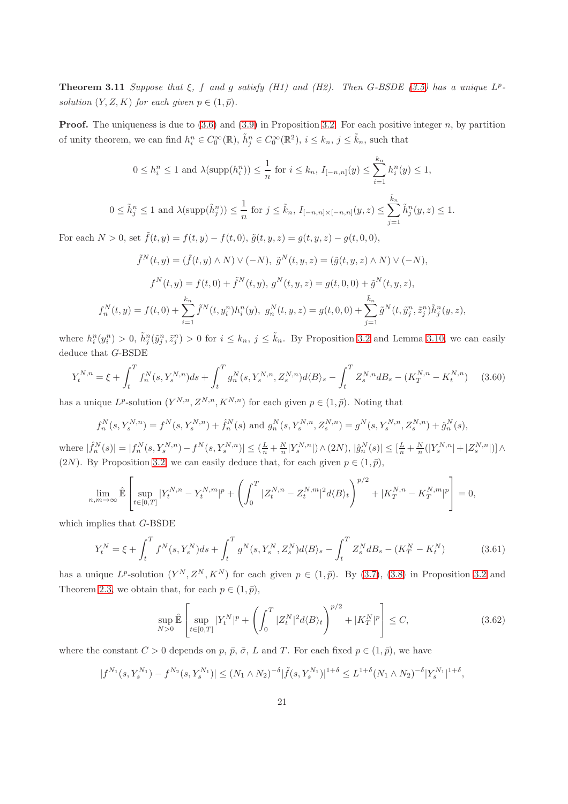**Theorem 3.11** *Suppose that*  $\xi$ ,  $f$  *and*  $g$  *satisfy* (*H1*) *and* (*H2*). *Then G-BSDE* [\(3.5\)](#page-6-0) *has a unique*  $L^p$ *solution*  $(Y, Z, K)$  *for each given*  $p \in (1, \bar{p})$ *.* 

**Proof.** The uniqueness is due to  $(3.6)$  and  $(3.9)$  in Proposition [3.2.](#page-7-6) For each positive integer n, by partition of unity theorem, we can find  $h_i^n \in C_0^{\infty}(\mathbb{R})$ ,  $\tilde{h}_j^n \in C_0^{\infty}(\mathbb{R}^2)$ ,  $i \leq k_n$ ,  $j \leq \tilde{k}_n$ , such that

$$
0 \le h_i^n \le 1
$$
 and  $\lambda(\text{supp}(h_i^n)) \le \frac{1}{n}$  for  $i \le k_n$ ,  $I_{[-n,n]}(y) \le \sum_{i=1}^{k_n} h_i^n(y) \le 1$ ,

$$
0 \leq \tilde{h}_j^n \leq 1 \text{ and } \lambda(\mathrm{supp}(\tilde{h}_j^n)) \leq \frac{1}{n} \text{ for } j \leq \tilde{k}_n, I_{[-n,n] \times [-n,n]}(y,z) \leq \sum_{j=1}^{\tilde{k}_n} \tilde{h}_j^n(y,z) \leq 1.
$$

For each  $N > 0$ , set  $\tilde{f}(t, y) = f(t, y) - f(t, 0), \tilde{g}(t, y, z) = g(t, y, z) - g(t, 0, 0),$ 

$$
\tilde{f}^{N}(t, y) = (\tilde{f}(t, y) \wedge N) \vee (-N), \ \tilde{g}^{N}(t, y, z) = (\tilde{g}(t, y, z) \wedge N) \vee (-N),
$$

$$
f^{N}(t, y) = f(t, 0) + \tilde{f}^{N}(t, y), \ g^{N}(t, y, z) = g(t, 0, 0) + \tilde{g}^{N}(t, y, z),
$$

$$
f_{n}^{N}(t, y) = f(t, 0) + \sum_{i=1}^{k_{n}} \tilde{f}^{N}(t, y_{i}^{n}) h_{i}^{n}(y), \ g_{n}^{N}(t, y, z) = g(t, 0, 0) + \sum_{j=1}^{\tilde{k}_{n}} \tilde{g}^{N}(t, \tilde{y}_{j}^{n}, \tilde{z}_{j}^{n}) \tilde{h}_{j}^{n}(y, z),
$$

where  $h_i^n(y_i^n) > 0$ ,  $\tilde{h}_j^n(\tilde{y}_j^n, \tilde{z}_j^n) > 0$  for  $i \leq k_n$ ,  $j \leq \tilde{k}_n$ . By Proposition [3.2](#page-7-6) and Lemma [3.10,](#page-17-3) we can easily deduce that G-BSDE

$$
Y_t^{N,n} = \xi + \int_t^T f_n^N(s, Y_s^{N,n}) ds + \int_t^T g_n^N(s, Y_s^{N,n}, Z_s^{N,n}) d\langle B \rangle_s - \int_t^T Z_s^{N,n} dB_s - (K_T^{N,n} - K_t^{N,n}) \tag{3.60}
$$

has a unique  $L^p$ -solution  $(Y^{N,n}, Z^{N,n}, K^{N,n})$  for each given  $p \in (1, \bar{p})$ . Noting that

$$
f_n^N(s, Y_s^{N,n}) = f^N(s, Y_s^{N,n}) + \hat{f}_n^N(s) \text{ and } g_n^N(s, Y_s^{N,n}, Z_s^{N,n}) = g^N(s, Y_s^{N,n}, Z_s^{N,n}) + \hat{g}_n^N(s),
$$

where  $|\hat{f}_n^N(s)| = |f_n^N(s,Y_s^{N,n}) - f^N(s,Y_s^{N,n})| \leq (\frac{L}{n} + \frac{N}{n}|Y_s^{N,n}|) \wedge (2N), |\hat{g}_n^N(s)| \leq [\frac{L}{n} + \frac{N}{n}(|Y_s^{N,n}| + |Z_s^{N,n}|)] \wedge (2N),$ (2N). By Proposition [3.2,](#page-7-6) we can easily deduce that, for each given  $p \in (1, \bar{p})$ ,

$$
\lim_{n,m \to \infty} \hat{\mathbb{E}} \left[ \sup_{t \in [0,T]} |Y_t^{N,n} - Y_t^{N,m}|^p + \left( \int_0^T |Z_t^{N,n} - Z_t^{N,m}|^2 d\langle B \rangle_t \right)^{p/2} + |K_T^{N,n} - K_T^{N,m}|^p \right] = 0,
$$

which implies that G-BSDE

<span id="page-20-1"></span>
$$
Y_t^N = \xi + \int_t^T f^N(s, Y_s^N) ds + \int_t^T g^N(s, Y_s^N, Z_s^N) d\langle B \rangle_s - \int_t^T Z_s^N dB_s - (K_T^N - K_t^N) \tag{3.61}
$$

has a unique  $L^p$ -solution  $(Y^N, Z^N, K^N)$  for each given  $p \in (1, \bar{p})$ . By  $(3.7)$ ,  $(3.8)$  in Proposition [3.2](#page-7-6) and Theorem [2.3,](#page-3-1) we obtain that, for each  $p \in (1, \bar{p})$ ,

<span id="page-20-0"></span>
$$
\sup_{N>0} \hat{\mathbb{E}} \left[ \sup_{t \in [0,T]} |Y_t^N|^p + \left( \int_0^T |Z_t^N|^2 d\langle B \rangle_t \right)^{p/2} + |K_T^N|^p \right] \le C,\tag{3.62}
$$

where the constant  $C > 0$  depends on p,  $\bar{p}$ ,  $\bar{\sigma}$ , L and T. For each fixed  $p \in (1, \bar{p})$ , we have

$$
|f^{N_1}(s,Y_s^{N_1}) - f^{N_2}(s,Y_s^{N_1})| \le (N_1 \wedge N_2)^{-\delta} |\tilde{f}(s,Y_s^{N_1})|^{1+\delta} \le L^{1+\delta}(N_1 \wedge N_2)^{-\delta} |Y_s^{N_1}|^{1+\delta},
$$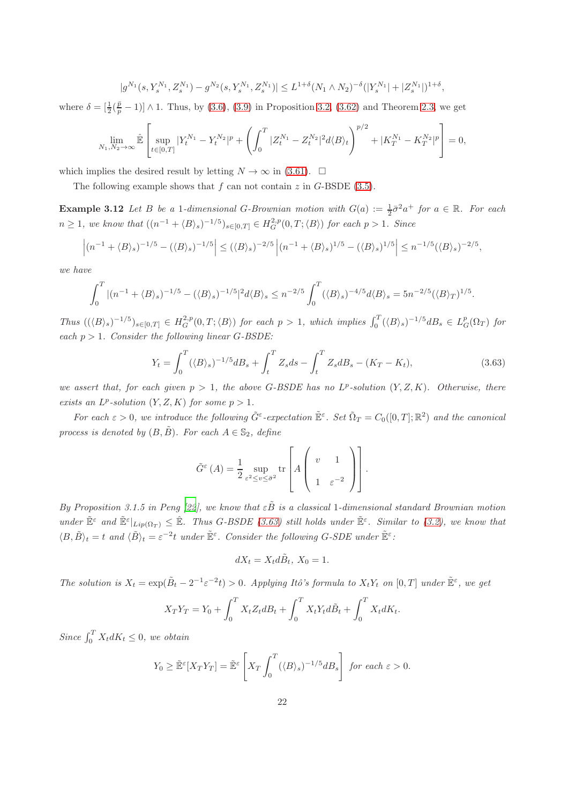$$
|g^{N_1}(s, Y_s^{N_1}, Z_s^{N_1}) - g^{N_2}(s, Y_s^{N_1}, Z_s^{N_1})| \leq L^{1+\delta}(N_1 \wedge N_2)^{-\delta}(|Y_s^{N_1}| + |Z_s^{N_1}|)^{1+\delta},
$$

where  $\delta = [\frac{1}{2}(\frac{\bar{p}}{p}-1)] \wedge 1$ . Thus, by [\(3.6\)](#page-7-1), [\(3.9\)](#page-7-5) in Proposition [3.2,](#page-7-6) [\(3.62\)](#page-20-0) and Theorem [2.3,](#page-3-1) we get

$$
\lim_{N_1, N_2 \to \infty} \hat{\mathbb{E}} \left[ \sup_{t \in [0,T]} |Y_t^{N_1} - Y_t^{N_2}|^p + \left( \int_0^T |Z_t^{N_1} - Z_t^{N_2}|^2 d\langle B \rangle_t \right)^{p/2} + |K_T^{N_1} - K_T^{N_2}|^p \right] = 0,
$$

which implies the desired result by letting  $N \to \infty$  in [\(3.61\)](#page-20-1).  $\Box$ 

The following example shows that  $f$  can not contain  $z$  in  $G$ -BSDE [\(3.5\)](#page-6-0).

**Example 3.12** Let B be a 1-dimensional G-Brownian motion with  $G(a) := \frac{1}{2}\bar{\sigma}^2 a^+$  for  $a \in \mathbb{R}$ . For each  $n \ge 1$ , we know that  $((n^{-1} + \langle B \rangle_s)^{-1/5})_{s \in [0,T]}$  ∈  $H_G^{2,p}(0,T; \langle B \rangle)$  for each  $p > 1$ *. Since* 

$$
\left| \left( n^{-1} + \langle B \rangle_s \right)^{-1/5} - \left( \langle B \rangle_s \right)^{-1/5} \right| \leq (\langle B \rangle_s)^{-2/5} \left| \left( n^{-1} + \langle B \rangle_s \right)^{1/5} - \left( \langle B \rangle_s \right)^{1/5} \right| \leq n^{-1/5} (\langle B \rangle_s)^{-2/5},
$$

*we have*

$$
\int_0^T |(n^{-1} + \langle B \rangle_s)^{-1/5} - (\langle B \rangle_s)^{-1/5}|^2 d\langle B \rangle_s \le n^{-2/5} \int_0^T (\langle B \rangle_s)^{-4/5} d\langle B \rangle_s = 5n^{-2/5} (\langle B \rangle_T)^{1/5}.
$$

 $Thus \left( (\langle B \rangle_s)^{-1/5} \right)_{s \in [0,T]} \in H_G^{2,p}(0,T; \langle B \rangle)$  *for each*  $p > 1$ *, which implies*  $\int_0^T (\langle B \rangle_s)^{-1/5} dB_s \in L_G^p(\Omega_T)$  *for each*  $p > 1$ *. Consider the following linear G-BSDE:* 

<span id="page-21-0"></span>
$$
Y_t = \int_0^T (\langle B \rangle_s)^{-1/5} dB_s + \int_t^T Z_s ds - \int_t^T Z_s dB_s - (K_T - K_t), \tag{3.63}
$$

we assert that, for each given  $p > 1$ , the above G-BSDE has no  $L^p$ -solution  $(Y, Z, K)$ . Otherwise, there *exists an L<sup>p</sup>-solution*  $(Y, Z, K)$  *for some*  $p > 1$ *.* 

*For each*  $\varepsilon > 0$ , we introduce the following  $\tilde{G}^{\varepsilon}$ -expectation  $\tilde{\mathbb{E}}^{\varepsilon}$ . *Set*  $\tilde{\Omega}_T = C_0([0,T]; \mathbb{R}^2)$  and the canonical *process is denoted by*  $(B, \tilde{B})$ *. For each*  $A \in \mathbb{S}_2$ *, define* 

$$
\tilde{G}^{\varepsilon}(A) = \frac{1}{2} \sup_{\varepsilon^2 \le v \le \bar{\sigma}^2} \text{tr}\left[A\left(v - 1\atop 1 - \varepsilon^{-2}\right)\right].
$$

*By Proposition 3.1.5 in Peng* [\[22](#page-32-3)], we know that  $\epsilon \tilde{B}$  is a classical 1-dimensional standard Brownian motion  $under \tilde{E}^{\varepsilon}$  and  $\tilde{E}^{\varepsilon}|_{Lip(\Omega_T)} \leq \hat{E}$ *. Thus G-BSDE* [\(3.63\)](#page-21-0) still holds under  $\tilde{E}^{\varepsilon}$ *. Similar to* [\(3.2\)](#page-5-2), we know that  $\langle B, \tilde{B} \rangle_t = t$  and  $\langle \tilde{B} \rangle_t = \varepsilon^{-2} t$  under  $\tilde{\mathbb{E}}^{\varepsilon}$ . Consider the following G-SDE under  $\tilde{\mathbb{E}}^{\varepsilon}$ .

$$
dX_t = X_t d\tilde{B}_t, \ X_0 = 1.
$$

*The solution is*  $X_t = \exp(\tilde{B}_t - 2^{-1}\varepsilon^{-2}t) > 0$ . Applying Itô's formula to  $X_tY_t$  on  $[0,T]$  under  $\tilde{\mathbb{E}}^{\varepsilon}$ , we get

$$
X_T Y_T = Y_0 + \int_0^T X_t Z_t dB_t + \int_0^T X_t Y_t d\tilde{B}_t + \int_0^T X_t dK_t.
$$

*Since*  $\int_0^T X_t dK_t \leq 0$ *, we obtain* 

$$
Y_0 \ge \tilde{\mathbb{E}}^{\varepsilon}[X_T Y_T] = \tilde{\mathbb{E}}^{\varepsilon} \left[ X_T \int_0^T (\langle B \rangle_s)^{-1/5} dB_s \right] \text{ for each } \varepsilon > 0.
$$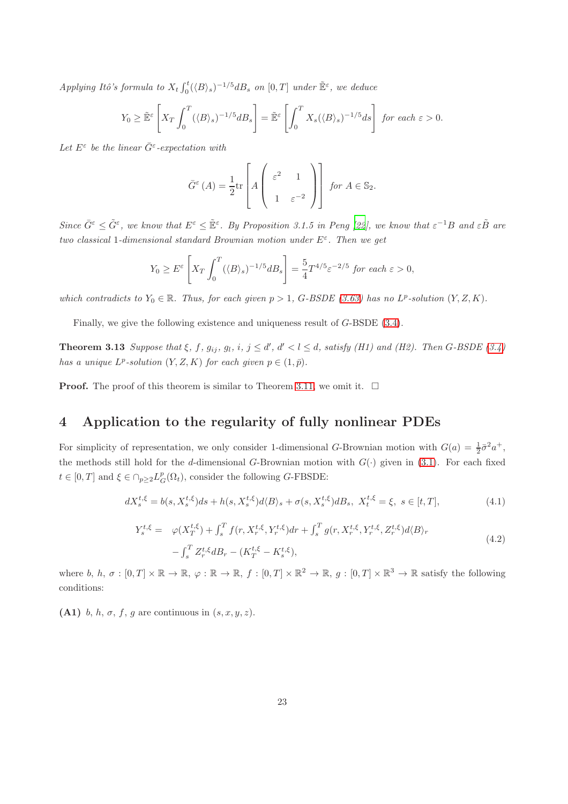*Applying Itô's formula to*  $X_t \int_0^t (\langle B \rangle_s)^{-1/5} dB_s$  *on*  $[0, T]$  *under*  $\mathbb{E}^{\varepsilon}$ *, we deduce* 

$$
Y_0 \ge \tilde{\mathbb{E}}^{\varepsilon} \left[ X_T \int_0^T (\langle B \rangle_s)^{-1/5} dB_s \right] = \tilde{\mathbb{E}}^{\varepsilon} \left[ \int_0^T X_s (\langle B \rangle_s)^{-1/5} ds \right] \text{ for each } \varepsilon > 0.
$$

Let  $E^{\varepsilon}$  be the linear  $\bar{G}^{\varepsilon}$ -expectation with

$$
\bar{G}^{\varepsilon}\left(A\right) = \frac{1}{2} \text{tr}\left[A\left(\begin{array}{c} \varepsilon^{2} & 1\\ 1 & \varepsilon^{-2} \end{array}\right)\right] \text{ for } A \in \mathbb{S}_{2}.
$$

 $Sine \ \bar{G}^{\varepsilon} \leq \tilde{G}^{\varepsilon}$ , we know that  $E^{\varepsilon} \leq \tilde{E}^{\varepsilon}$ . By Proposition 3.1.5 in Peng [\[22\]](#page-32-3), we know that  $\varepsilon^{-1}B$  and  $\varepsilon\tilde{B}$  are *two classical* 1*-dimensional standard Brownian motion under* E<sup>ε</sup> *. Then we get*

$$
Y_0 \ge E^{\varepsilon} \left[ X_T \int_0^T (\langle B \rangle_s)^{-1/5} dB_s \right] = \frac{5}{4} T^{4/5} \varepsilon^{-2/5} \text{ for each } \varepsilon > 0,
$$

*which contradicts to*  $Y_0 \in \mathbb{R}$ *. Thus, for each given*  $p > 1$ *, G-BSDE* [\(3.63\)](#page-21-0) *has no*  $L^p$ -solution  $(Y, Z, K)$ *.* 

Finally, we give the following existence and uniqueness result of G-BSDE [\(3.4\)](#page-5-0).

**Theorem 3.13** *Suppose that*  $\xi$ *,*  $f$ *,*  $g_{ij}$ *,*  $g_l$ *,*  $i$ *,*  $j \le d'$ *,*  $d' < l \le d$ *, satisfy (H1) and (H2). Then G-BSDE* [\(3.4\)](#page-5-0) *has a unique*  $L^p$ -solution  $(Y, Z, K)$  *for each given*  $p \in (1, \bar{p})$ *.* 

**Proof.** The proof of this theorem is similar to Theorem [3.11,](#page-19-1) we omit it.  $\Box$ 

## 4 Application to the regularity of fully nonlinear PDEs

For simplicity of representation, we only consider 1-dimensional G-Brownian motion with  $G(a) = \frac{1}{2}\bar{\sigma}^2 a^+$ , the methods still hold for the d-dimensional G-Brownian motion with  $G(\cdot)$  given in [\(3.1\)](#page-5-1). For each fixed  $t \in [0, T]$  and  $\xi \in \cap_{p \geq 2} L_G^p(\Omega_t)$ , consider the following G-FBSDE:

<span id="page-22-0"></span>
$$
dX_s^{t,\xi} = b(s, X_s^{t,\xi})ds + h(s, X_s^{t,\xi})d\langle B \rangle_s + \sigma(s, X_s^{t,\xi})dB_s, \ X_t^{t,\xi} = \xi, \ s \in [t, T], \tag{4.1}
$$

<span id="page-22-1"></span>
$$
Y_s^{t,\xi} = \varphi(X_T^{t,\xi}) + \int_s^T f(r, X_r^{t,\xi}, Y_r^{t,\xi}) dr + \int_s^T g(r, X_r^{t,\xi}, Y_r^{t,\xi}, Z_r^{t,\xi}) d\langle B \rangle_r - \int_s^T Z_r^{t,\xi} dB_r - (K_T^{t,\xi} - K_s^{t,\xi}),
$$
\n(4.2)

where b, h,  $\sigma : [0, T] \times \mathbb{R} \to \mathbb{R}$ ,  $\varphi : \mathbb{R} \to \mathbb{R}$ ,  $f : [0, T] \times \mathbb{R}^2 \to \mathbb{R}$ ,  $g : [0, T] \times \mathbb{R}^3 \to \mathbb{R}$  satisfy the following conditions:

(A1) b, h,  $\sigma$ , f, g are continuous in  $(s, x, y, z)$ .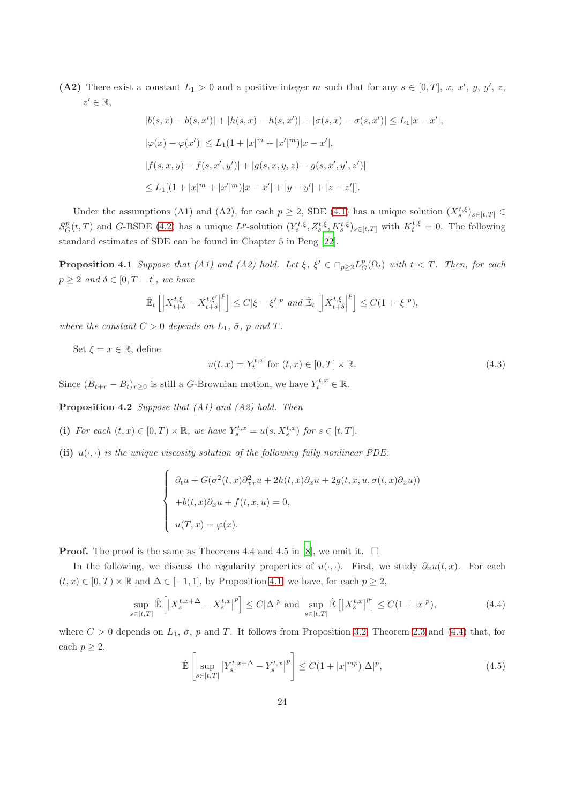(A2) There exist a constant  $L_1 > 0$  and a positive integer m such that for any  $s \in [0, T]$ , x, x', y, y', z,  $z' \in \mathbb{R},$ 

$$
|b(s, x) - b(s, x')| + |h(s, x) - h(s, x')| + |\sigma(s, x) - \sigma(s, x')| \le L_1 |x - x|
$$
  

$$
|\varphi(x) - \varphi(x')| \le L_1 (1 + |x|^m + |x'|^m) |x - x'|,
$$
  

$$
|f(s, x, y) - f(s, x', y')| + |g(s, x, y, z) - g(s, x', y', z')|
$$
  

$$
\le L_1 [(1 + |x|^m + |x'|^m) |x - x'| + |y - y'| + |z - z'|].
$$

Under the assumptions (A1) and (A2), for each  $p \ge 2$ , SDE [\(4.1\)](#page-22-0) has a unique solution  $(X_s^{t,\xi})_{s \in [t,T]} \in$  $S_G^p(t,T)$  and G-BSDE [\(4.2\)](#page-22-1) has a unique  $L^p$ -solution  $(Y_s^{t,\xi}, Z_s^{t,\xi}, K_s^{t,\xi})_{s\in[t,T]}$  with  $K_t^{t,\xi} = 0$ . The following standard estimates of SDE can be found in Chapter 5 in Peng [\[22\]](#page-32-3).

<span id="page-23-0"></span>**Proposition 4.1** *Suppose that* (A1) and (A2) hold. Let  $\xi$ ,  $\xi' \in \bigcap_{p\geq 2} L_G^p(\Omega_t)$  with  $t < T$ . Then, for each  $p \geq 2$  *and*  $\delta \in [0, T - t]$ *, we have* 

$$
\hat{\mathbb{E}}_t\left[\left|X^{t,\xi}_{t+\delta}-X^{t,\xi'}_{t+\delta}\right|^p\right]\leq C|\xi-\xi'|^p\ \ and\ \hat{\mathbb{E}}_t\left[\left|X^{t,\xi}_{t+\delta}\right|^p\right]\leq C(1+|\xi|^p),
$$

*where the constant*  $C > 0$  *depends on*  $L_1$ *,*  $\bar{\sigma}$ *,*  $p$  *and*  $T$ *.* 

Set  $\xi = x \in \mathbb{R}$ , define

$$
u(t,x) = Y_t^{t,x} \text{ for } (t,x) \in [0,T] \times \mathbb{R}.
$$
 (4.3)

 $^{\prime}|,$ 

<span id="page-23-3"></span>Since  $(B_{t+r} - B_t)_{r \geq 0}$  is still a G-Brownian motion, we have  $Y_t^{t,x} \in \mathbb{R}$ .

Proposition 4.2 *Suppose that (A1) and (A2) hold. Then*

(i) *For each*  $(t, x) \in [0, T) \times \mathbb{R}$ *, we have*  $Y_s^{t, x} = u(s, X_s^{t, x})$  *for*  $s \in [t, T]$ *.* 

(ii)  $u(\cdot, \cdot)$  *is the unique viscosity solution of the following fully nonlinear PDE:* 

$$
\begin{cases}\n\partial_t u + G(\sigma^2(t, x)\partial_{xx}^2 u + 2h(t, x)\partial_x u + 2g(t, x, u, \sigma(t, x)\partial_x u)) \\
+ b(t, x)\partial_x u + f(t, x, u) = 0, \\
u(T, x) = \varphi(x).\n\end{cases}
$$

**Proof.** The proof is the same as Theorems 4.4 and 4.5 in [\[8\]](#page-31-6), we omit it.  $\Box$ 

In the following, we discuss the regularity properties of  $u(\cdot, \cdot)$ . First, we study  $\partial_x u(t, x)$ . For each  $(t, x) \in [0, T] \times \mathbb{R}$  and  $\Delta \in [-1, 1]$ , by Proposition [4.1,](#page-23-0) we have, for each  $p \geq 2$ ,

<span id="page-23-1"></span>
$$
\sup_{s\in[t,T]} \hat{\mathbb{E}}\left[\left|X_s^{t,x+\Delta} - X_s^{t,x}\right|^p\right] \le C|\Delta|^p \text{ and } \sup_{s\in[t,T]} \hat{\mathbb{E}}\left[\left|X_s^{t,x}\right|^p\right] \le C(1+|x|^p),\tag{4.4}
$$

where  $C > 0$  depends on  $L_1$ ,  $\bar{\sigma}$ , p and T. It follows from Proposition [3.2,](#page-7-6) Theorem [2.3](#page-3-1) and [\(4.4\)](#page-23-1) that, for each  $p \geq 2$ ,

<span id="page-23-2"></span>
$$
\hat{\mathbb{E}}\left[\sup_{s\in[t,T]} \left|Y_s^{t,x+\Delta} - Y_s^{t,x}\right|^p\right] \le C(1+|x|^{mp})|\Delta|^p,\tag{4.5}
$$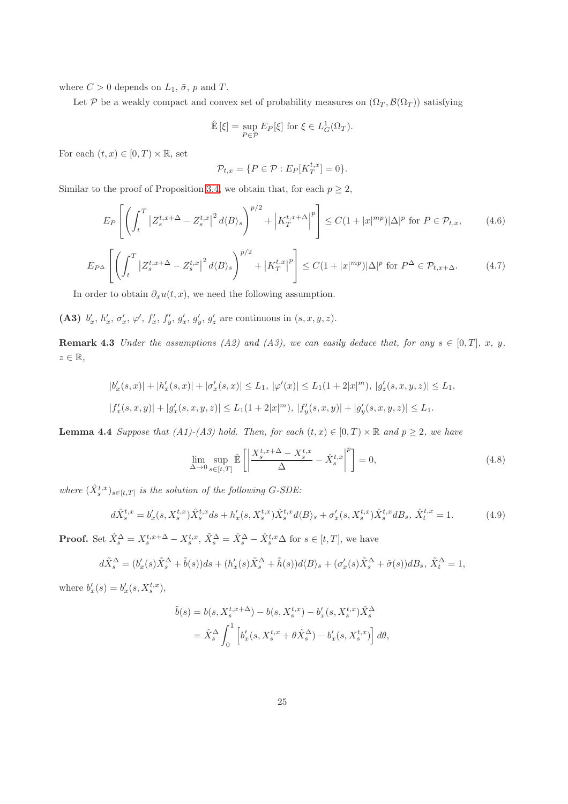where  $C > 0$  depends on  $L_1$ ,  $\bar{\sigma}$ , p and T.

Let P be a weakly compact and convex set of probability measures on  $(\Omega_T, \mathcal{B}(\Omega_T))$  satisfying

$$
\hat{\mathbb{E}}\left[\xi\right] = \sup_{P \in \mathcal{P}} E_P[\xi] \text{ for } \xi \in L_G^1(\Omega_T).
$$

For each  $(t, x) \in [0, T) \times \mathbb{R}$ , set

$$
\mathcal{P}_{t,x} = \{ P \in \mathcal{P} : E_P[K_T^{t,x}] = 0 \}.
$$

Similar to the proof of Proposition [3.4,](#page-12-4) we obtain that, for each  $p \geq 2$ ,

<span id="page-24-1"></span>
$$
E_P\left[\left(\int_t^T \left|Z_s^{t,x+\Delta} - Z_s^{t,x}\right|^2 d\langle B\rangle_s\right)^{p/2} + \left|K_T^{t,x+\Delta}\right|^p\right] \le C(1+|x|^{mp})|\Delta|^p \text{ for } P \in \mathcal{P}_{t,x},\tag{4.6}
$$

$$
E_{P^{\Delta}}\left[\left(\int_{t}^{T} \left|Z_{s}^{t,x+\Delta}-Z_{s}^{t,x}\right|^{2} d\langle B\rangle_{s}\right)^{p/2}+ \left|K_{T}^{t,x}\right|^{p}\right] \leq C(1+|x|^{mp})|\Delta|^{p} \text{ for } P^{\Delta} \in \mathcal{P}_{t,x+\Delta}.\tag{4.7}
$$

In order to obtain  $\partial_x u(t, x)$ , we need the following assumption.

(A3)  $b'_x, h'_x, \sigma'_x, \varphi', f'_x, f'_y, g'_x, g'_y, g'_z$  are continuous in  $(s, x, y, z)$ .

**Remark 4.3** *Under the assumptions (A2) and (A3), we can easily deduce that, for any*  $s \in [0, T]$ *, x, y,* <sup>z</sup> <sup>∈</sup> <sup>R</sup>*,*

$$
|b'_x(s,x)| + |h'_x(s,x)| + |\sigma'_x(s,x)| \le L_1, |\varphi'(x)| \le L_1(1+2|x|^m), |g'_z(s,x,y,z)| \le L_1,
$$
  

$$
|f'_x(s,x,y)| + |g'_x(s,x,y,z)| \le L_1(1+2|x|^m), |f'_y(s,x,y)| + |g'_y(s,x,y,z)| \le L_1.
$$

<span id="page-24-3"></span>**Lemma 4.4** *Suppose that*  $(A1)-(A3)$  *hold. Then, for each*  $(t, x) \in [0, T) \times \mathbb{R}$  *and*  $p \ge 2$ *, we have* 

<span id="page-24-2"></span>
$$
\lim_{\Delta \to 0} \sup_{s \in [t,T]} \hat{\mathbb{E}} \left[ \left| \frac{X_s^{t,x+\Delta} - X_s^{t,x}}{\Delta} - \hat{X}_s^{t,x} \right|^p \right] = 0,\tag{4.8}
$$

where  $(\hat{X}_{s}^{t,x})_{s\in[t,T]}$  *is the solution of the following G-SDE*:

<span id="page-24-0"></span>
$$
d\hat{X}_{s}^{t,x} = b'_{x}(s, X_{s}^{t,x})\hat{X}_{s}^{t,x}ds + h'_{x}(s, X_{s}^{t,x})\hat{X}_{s}^{t,x}d\langle B\rangle_{s} + \sigma'_{x}(s, X_{s}^{t,x})\hat{X}_{s}^{t,x}dB_{s}, \ \hat{X}_{t}^{t,x} = 1. \tag{4.9}
$$

**Proof.** Set  $\hat{X}_s^{\Delta} = X_s^{t,x+\Delta} - X_s^{t,x}, \ \tilde{X}_s^{\Delta} = \hat{X}_s^{\Delta} - \hat{X}_s^{t,x}\Delta$  for  $s \in [t,T]$ , we have

$$
d\tilde{X}_s^{\Delta} = (b_x'(s)\tilde{X}_s^{\Delta} + \tilde{b}(s))ds + (h_x'(s)\tilde{X}_s^{\Delta} + \tilde{h}(s))d\langle B\rangle_s + (\sigma_x'(s)\tilde{X}_s^{\Delta} + \tilde{\sigma}(s))dB_s, \tilde{X}_t^{\Delta} = 1,
$$

where  $b'_x(s) = b'_x(s, X_s^{t,x}),$ 

$$
\tilde{b}(s) = b(s, X_s^{t, x + \Delta}) - b(s, X_s^{t, x}) - b'_x(s, X_s^{t, x})\hat{X}_s^{\Delta}
$$
  
=  $\hat{X}_s^{\Delta} \int_0^1 \left[ b'_x(s, X_s^{t, x} + \theta \hat{X}_s^{\Delta}) - b'_x(s, X_s^{t, x}) \right] d\theta,$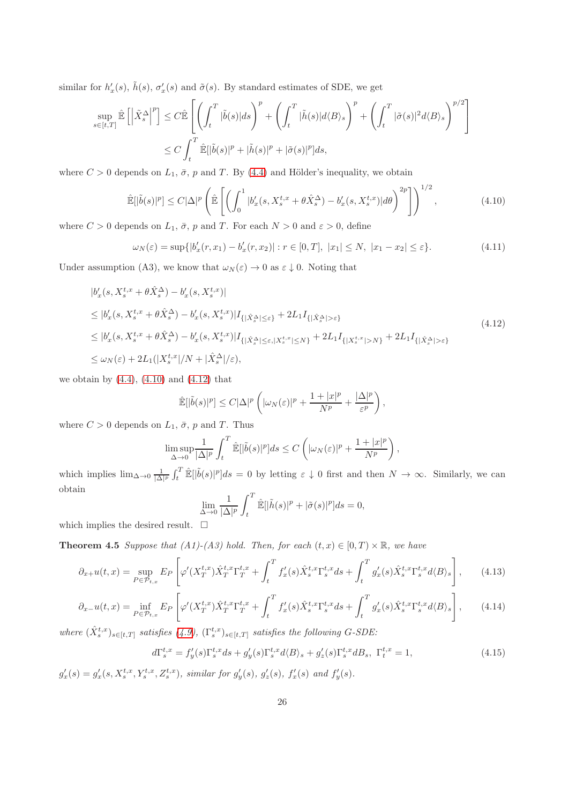similar for  $h'_x(s)$ ,  $\tilde{h}(s)$ ,  $\sigma'_x(s)$  and  $\tilde{\sigma}(s)$ . By standard estimates of SDE, we get

$$
\sup_{s \in [t,T]} \hat{\mathbb{E}} \left[ \left| \tilde{X}_s^{\Delta} \right|^p \right] \leq C \hat{\mathbb{E}} \left[ \left( \int_t^T |\tilde{b}(s)| ds \right)^p + \left( \int_t^T |\tilde{h}(s)| d\langle B \rangle_s \right)^p + \left( \int_t^T |\tilde{\sigma}(s)|^2 d\langle B \rangle_s \right)^{p/2} \right]
$$
  

$$
\leq C \int_t^T \hat{\mathbb{E}} [|\tilde{b}(s)|^p + |\tilde{h}(s)|^p + |\tilde{\sigma}(s)|^p] ds,
$$

where  $C > 0$  depends on  $L_1$ ,  $\bar{\sigma}$ ,  $p$  and  $T$ . By [\(4.4\)](#page-23-1) and Hölder's inequality, we obtain

<span id="page-25-0"></span>
$$
\hat{\mathbb{E}}[|\tilde{b}(s)|^p] \le C|\Delta|^p \left(\hat{\mathbb{E}}\left[\left(\int_0^1 |b_x'(s,X_s^{t,x} + \theta \hat{X}_s^{\Delta}) - b_x'(s,X_s^{t,x})|d\theta\right)^{2p}\right]\right)^{1/2},\tag{4.10}
$$

where  $C > 0$  depends on  $L_1$ ,  $\bar{\sigma}$ ,  $p$  and  $T$ . For each  $N > 0$  and  $\varepsilon > 0$ , define

$$
\omega_N(\varepsilon) = \sup\{|b_x'(r, x_1) - b_x'(r, x_2)| : r \in [0, T], \ |x_1| \le N, \ |x_1 - x_2| \le \varepsilon\}.
$$
\n(4.11)

Under assumption (A3), we know that  $\omega_N(\varepsilon) \to 0$  as  $\varepsilon \downarrow 0$ . Noting that

<span id="page-25-1"></span>
$$
|b'_{x}(s, X_{s}^{t,x} + \theta \hat{X}_{s}^{\Delta}) - b'_{x}(s, X_{s}^{t,x})|
$$
  
\n
$$
\leq |b'_{x}(s, X_{s}^{t,x} + \theta \hat{X}_{s}^{\Delta}) - b'_{x}(s, X_{s}^{t,x})|I_{\{|\hat{X}_{s}^{\Delta}| \leq \varepsilon\}} + 2L_{1}I_{\{|\hat{X}_{s}^{\Delta}| > \varepsilon\}}
$$
  
\n
$$
\leq |b'_{x}(s, X_{s}^{t,x} + \theta \hat{X}_{s}^{\Delta}) - b'_{x}(s, X_{s}^{t,x})|I_{\{|\hat{X}_{s}^{\Delta}| \leq \varepsilon, |X_{s}^{t,x}| \leq N\}} + 2L_{1}I_{\{|X_{s}^{t,x}| > N\}} + 2L_{1}I_{\{|\hat{X}_{s}^{\Delta}| > \varepsilon\}}
$$
  
\n
$$
\leq \omega_{N}(\varepsilon) + 2L_{1}(|X_{s}^{t,x}|/N + |\hat{X}_{s}^{\Delta}|/\varepsilon),
$$
\n(4.12)

we obtain by  $(4.4)$ ,  $(4.10)$  and  $(4.12)$  that

$$
\mathbb{\hat{E}}[|\tilde{b}(s)|^p] \leq C|\Delta|^p \left( |\omega_N(\varepsilon)|^p + \frac{1+|x|^p}{N^p} + \frac{|\Delta|^p}{\varepsilon^p} \right),
$$

where  $C > 0$  depends on  $L_1$ ,  $\bar{\sigma}$ ,  $p$  and  $T$ . Thus

$$
\limsup_{\Delta \to 0} \frac{1}{|\Delta|^p} \int_t^T \hat{\mathbb{E}}[|\tilde{b}(s)|^p] ds \le C \left( |\omega_N(\varepsilon)|^p + \frac{1+|x|^p}{N^p} \right),
$$

which implies  $\lim_{\Delta\to 0} \frac{1}{|\Delta|^p} \int_t^T \hat{\mathbb{E}}[|\tilde{b}(s)|^p]ds = 0$  by letting  $\varepsilon \downarrow 0$  first and then  $N \to \infty$ . Similarly, we can obtain

$$
\lim_{\Delta \to 0} \frac{1}{|\Delta|^p} \int_t^T \hat{\mathbb{E}}[|\tilde{h}(s)|^p + |\tilde{\sigma}(s)|^p] ds = 0,
$$

<span id="page-25-5"></span>which implies the desired result.  $\square$ 

**Theorem 4.5** *Suppose that*  $(A1)-(A3)$  *hold. Then, for each*  $(t, x) \in [0, T) \times \mathbb{R}$ *, we have* 

<span id="page-25-2"></span>
$$
\partial_{x+}u(t,x) = \sup_{P \in \mathcal{P}_{t,x}} E_P \left[ \varphi'(X_T^{t,x}) \hat{X}_T^{t,x} \Gamma_T^{t,x} + \int_t^T f'_x(s) \hat{X}_s^{t,x} \Gamma_s^{t,x} ds + \int_t^T g'_x(s) \hat{X}_s^{t,x} \Gamma_s^{t,x} d\langle B \rangle_s \right], \tag{4.13}
$$

<span id="page-25-3"></span>
$$
\partial_{x-}u(t,x) = \inf_{P \in \mathcal{P}_{t,x}} E_P \left[ \varphi'(X_T^{t,x}) \hat{X}_T^{t,x} \Gamma_T^{t,x} + \int_t^T f_x'(s) \hat{X}_s^{t,x} \Gamma_s^{t,x} ds + \int_t^T g_x'(s) \hat{X}_s^{t,x} \Gamma_s^{t,x} d\langle B \rangle_s \right], \tag{4.14}
$$

 $where \ (\hat{X}_{s}^{t,x})_{s \in [t,T]}$  *satisfies* [\(4.9\)](#page-24-0),  $(\Gamma_{s}^{t,x})_{s \in [t,T]}$  *satisfies the following G-SDE*:

<span id="page-25-4"></span>
$$
d\Gamma_s^{t,x} = f'_y(s)\Gamma_s^{t,x}ds + g'_y(s)\Gamma_s^{t,x}d\langle B \rangle_s + g'_z(s)\Gamma_s^{t,x}dB_s, \ \Gamma_t^{t,x} = 1,\tag{4.15}
$$

 $g'_x(s) = g'_x(s, X_s^{t,x}, Y_s^{t,x}, Z_s^{t,x}),$  similar for  $g'_y(s), g'_z(s), f'_x(s)$  and  $f'_y(s)$ .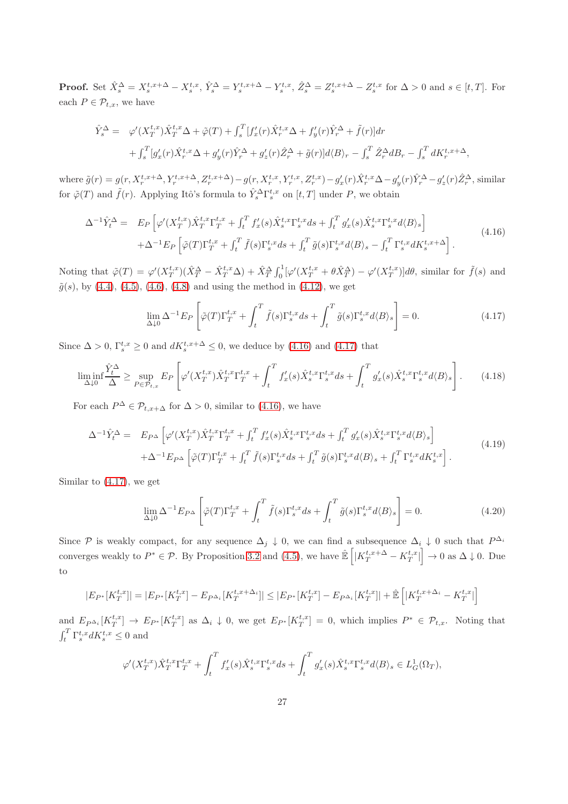**Proof.** Set  $\hat{X}_s^{\Delta} = X_s^{t,x+\Delta} - X_s^{t,x}, \hat{Y}_s^{\Delta} = Y_s^{t,x+\Delta} - Y_s^{t,x}, \hat{Z}_s^{\Delta} = Z_s^{t,x+\Delta} - Z_s^{t,x}$  for  $\Delta > 0$  and  $s \in [t,T]$ . For each  $P \in \mathcal{P}_{t,x}$ , we have

$$
\hat{Y}_s^{\Delta} = \varphi'(X_T^{t,x}) \hat{X}_T^{t,x} \Delta + \tilde{\varphi}(T) + \int_s^T [f'_x(r) \hat{X}_r^{t,x} \Delta + f'_y(r) \hat{Y}_r^{\Delta} + \tilde{f}(r)] dr \n+ \int_s^T [g'_x(r) \hat{X}_r^{t,x} \Delta + g'_y(r) \hat{Y}_r^{\Delta} + g'_z(r) \hat{Z}_r^{\Delta} + \tilde{g}(r)] d\langle B \rangle_r - \int_s^T \hat{Z}_r^{\Delta} dB_r - \int_s^T dK_r^{t,x+\Delta},
$$

where  $\tilde{g}(r) = g(r, X_r^{t,x+\Delta}, Y_r^{t,x+\Delta}, Z_r^{t,x+\Delta}) - g(r, X_r^{t,x}, Y_r^{t,x}, Z_r^{t,x}) - g'_x(r)\hat{X}_r^{t,x}\Delta - g'_y(r)\hat{Y}_r^{\Delta} - g'_z(r)\hat{Z}_r^{\Delta}$ , similar for  $\tilde{\varphi}(T)$  and  $\tilde{f}(r)$ . Applying Itô's formula to  $\hat{Y}_s^{\Delta} \Gamma_s^{t,x}$  on  $[t, T]$  under P, we obtain

<span id="page-26-0"></span>
$$
\Delta^{-1}\hat{Y}_{t}^{\Delta} = E_{P} \left[ \varphi'(X_{T}^{t,x}) \hat{X}_{T}^{t,x} \Gamma_{T}^{t,x} + \int_{t}^{T} f'_{x}(s) \hat{X}_{s}^{t,x} \Gamma_{s}^{t,x} ds + \int_{t}^{T} g'_{x}(s) \hat{X}_{s}^{t,x} \Gamma_{s}^{t,x} d\langle B \rangle_{s} \right] + \Delta^{-1} E_{P} \left[ \tilde{\varphi}(T) \Gamma_{T}^{t,x} + \int_{t}^{T} \tilde{f}(s) \Gamma_{s}^{t,x} ds + \int_{t}^{T} \tilde{g}(s) \Gamma_{s}^{t,x} d\langle B \rangle_{s} - \int_{t}^{T} \Gamma_{s}^{t,x} dK_{s}^{t,x+\Delta} \right].
$$
\n(4.16)

Noting that  $\tilde{\varphi}(T) = \varphi'(X_T^{t,x})(\hat{X}_T^{\Delta} - \hat{X}_T^{t,x}\Delta) + \hat{X}_T^{\Delta} \int_0^1 [\varphi'(X_T^{t,x} + \theta \hat{X}_T^{\Delta}) - \varphi'(X_T^{t,x})] d\theta$ , similar for  $\tilde{f}(s)$  and  $\tilde{g}(s)$ , by [\(4.4\)](#page-23-1), [\(4.5\)](#page-23-2), [\(4.6\)](#page-24-1), [\(4.8\)](#page-24-2) and using the method in [\(4.12\)](#page-25-1), we get

<span id="page-26-1"></span>
$$
\lim_{\Delta \downarrow 0} \Delta^{-1} E_P \left[ \tilde{\varphi}(T) \Gamma_T^{t,x} + \int_t^T \tilde{f}(s) \Gamma_s^{t,x} ds + \int_t^T \tilde{g}(s) \Gamma_s^{t,x} d\langle B \rangle_s \right] = 0. \tag{4.17}
$$

Since  $\Delta > 0$ ,  $\Gamma_s^{t,x} \ge 0$  and  $dK_s^{t,x+\Delta} \le 0$ , we deduce by [\(4.16\)](#page-26-0) and [\(4.17\)](#page-26-1) that

<span id="page-26-4"></span>
$$
\liminf_{\Delta \downarrow 0} \frac{\hat{Y}_t^{\Delta}}{\Delta} \ge \sup_{P \in \mathcal{P}_{t,x}} E_P \left[ \varphi'(X_T^{t,x}) \hat{X}_T^{t,x} \Gamma_T^{t,x} + \int_t^T f_x'(s) \hat{X}_s^{t,x} \Gamma_s^{t,x} ds + \int_t^T g_x'(s) \hat{X}_s^{t,x} \Gamma_s^{t,x} d\langle B \rangle_s \right]. \tag{4.18}
$$

For each  $P^{\Delta} \in \mathcal{P}_{t,x+\Delta}$  for  $\Delta > 0$ , similar to [\(4.16\)](#page-26-0), we have

<span id="page-26-2"></span>
$$
\Delta^{-1}\hat{Y}_{t}^{\Delta} = E_{P^{\Delta}} \left[ \varphi'(X_{T}^{t,x}) \hat{X}_{T}^{t,x} \Gamma_{T}^{t,x} + \int_{t}^{T} f'_{x}(s) \hat{X}_{s}^{t,x} \Gamma_{s}^{t,x} ds + \int_{t}^{T} g'_{x}(s) \hat{X}_{s}^{t,x} \Gamma_{s}^{t,x} d\langle B \rangle_{s} \right] + \Delta^{-1} E_{P^{\Delta}} \left[ \tilde{\varphi}(T) \Gamma_{T}^{t,x} + \int_{t}^{T} \tilde{f}(s) \Gamma_{s}^{t,x} ds + \int_{t}^{T} \tilde{g}(s) \Gamma_{s}^{t,x} d\langle B \rangle_{s} + \int_{t}^{T} \Gamma_{s}^{t,x} dK_{s}^{t,x} \right].
$$
\n(4.19)

Similar to [\(4.17\)](#page-26-1), we get

<span id="page-26-3"></span>
$$
\lim_{\Delta \downarrow 0} \Delta^{-1} E_{P^{\Delta}} \left[ \tilde{\varphi}(T) \Gamma_T^{t,x} + \int_t^T \tilde{f}(s) \Gamma_s^{t,x} ds + \int_t^T \tilde{g}(s) \Gamma_s^{t,x} d\langle B \rangle_s \right] = 0.
$$
 (4.20)

Since P is weakly compact, for any sequence  $\Delta_j \downarrow 0$ , we can find a subsequence  $\Delta_i \downarrow 0$  such that  $P^{\Delta_i}$ converges weakly to  $P^* \in \mathcal{P}$ . By Proposition [3.2](#page-7-6) and [\(4.5\)](#page-23-2), we have  $\mathbb{E}\left[|K_T^{t,x+\Delta} - K_T^{t,x}|\right] \to 0$  as  $\Delta \downarrow 0$ . Due to

$$
|E_{P^*}[K_T^{t,x}]| = |E_{P^*}[K_T^{t,x}] - E_{P^{\Delta_i}}[K_T^{t,x+\Delta_i}]| \le |E_{P^*}[K_T^{t,x}] - E_{P^{\Delta_i}}[K_T^{t,x}]| + \hat{\mathbb{E}}\left[|K_T^{t,x+\Delta_i} - K_T^{t,x}|\right]
$$

and  $E_{P^{\Delta_i}}[K_T^{t,x}] \to E_{P^*}[K_T^{t,x}]$  as  $\Delta_i \downarrow 0$ , we get  $E_{P^*}[K_T^{t,x}] = 0$ , which implies  $P^* \in \mathcal{P}_{t,x}$ . Noting that  $\int_t^T \Gamma_s^{t,x} dK_s^{t,x} \leq 0$  and

$$
\varphi'(X_T^{t,x})\hat{X}_T^{t,x}\Gamma_T^{t,x} + \int_t^T f'_x(s)\hat{X}_s^{t,x}\Gamma_s^{t,x}ds + \int_t^T g'_x(s)\hat{X}_s^{t,x}\Gamma_s^{t,x}d\langle B \rangle_s \in L_G^1(\Omega_T),
$$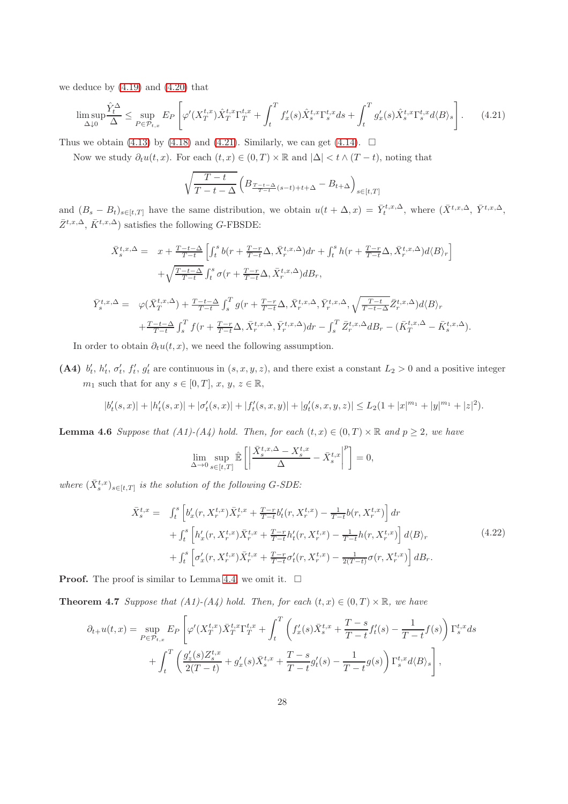we deduce by  $(4.19)$  and  $(4.20)$  that

<span id="page-27-0"></span>
$$
\limsup_{\Delta \downarrow 0} \frac{\hat{Y}_t^{\Delta}}{\Delta} \le \sup_{P \in \mathcal{P}_{t,x}} E_P \left[ \varphi'(X_T^{t,x}) \hat{X}_T^{t,x} \Gamma_T^{t,x} + \int_t^T f'_x(s) \hat{X}_s^{t,x} \Gamma_s^{t,x} ds + \int_t^T g'_x(s) \hat{X}_s^{t,x} \Gamma_s^{t,x} d\langle B \rangle_s \right]. \tag{4.21}
$$

Thus we obtain [\(4.13\)](#page-25-2) by [\(4.18\)](#page-26-4) and [\(4.21\)](#page-27-0). Similarly, we can get [\(4.14\)](#page-25-3).  $\Box$ 

Now we study  $\partial_t u(t, x)$ . For each  $(t, x) \in (0, T) \times \mathbb{R}$  and  $|\Delta| < t \wedge (T - t)$ , noting that

$$
\sqrt{\frac{T-t}{T-t-\Delta}} \left( B_{\frac{T-t-\Delta}{T-t}(s-t)+t+\Delta} - B_{t+\Delta} \right)_{s \in [t,T]}
$$

and  $(B_s - B_t)_{s \in [t,T]}$  have the same distribution, we obtain  $u(t + \Delta, x) = \overline{Y}_t^{t,x,\Delta}$ , where  $(\overline{X}^{t,x,\Delta}, \overline{Y}^{t,x,\Delta}, \overline{Y}_t^{t,x,\Delta})$  $\bar{Z}^{t,x,\Delta}, \bar{K}^{t,x,\Delta}$  satisfies the following G-FBSDE:

$$
\begin{split}\n\bar{X}_{s}^{t,x,\Delta} &= x + \frac{T-t-\Delta}{T-t} \left[ \int_{t}^{s} b(r + \frac{T-r}{T-t}\Delta, \bar{X}_{r}^{t,x,\Delta}) dr + \int_{t}^{s} h(r + \frac{T-r}{T-t}\Delta, \bar{X}_{r}^{t,x,\Delta}) d\langle B \rangle_{r} \right] \\
&+ \sqrt{\frac{T-t-\Delta}{T-t}} \int_{t}^{s} \sigma(r + \frac{T-r}{T-t}\Delta, \bar{X}_{r}^{t,x,\Delta}) dB_{r}, \\
\bar{Y}_{s}^{t,x,\Delta} &= \varphi(\bar{X}_{T}^{t,x,\Delta}) + \frac{T-t-\Delta}{T-t} \int_{s}^{T} g(r + \frac{T-r}{T-t}\Delta, \bar{X}_{r}^{t,x,\Delta}, \bar{Y}_{r}^{t,x,\Delta}, \sqrt{\frac{T-t}{T-t-\Delta}} \bar{Z}_{r}^{t,x,\Delta}) d\langle B \rangle_{r} \\
&+ \frac{T-t-\Delta}{T-t} \int_{s}^{T} f(r + \frac{T-r}{T-t}\Delta, \bar{X}_{r}^{t,x,\Delta}, \bar{Y}_{r}^{t,x,\Delta}) dr - \int_{s}^{T} \bar{Z}_{r}^{t,x,\Delta} dB_{r} - (\bar{K}_{T}^{t,x,\Delta} - \bar{K}_{s}^{t,x,\Delta}).\n\end{split}
$$

In order to obtain  $\partial_t u(t,x)$ , we need the following assumption.

(A4)  $b'_t$ ,  $h'_t$ ,  $\sigma'_t$ ,  $f'_t$ ,  $g'_t$  are continuous in  $(s, x, y, z)$ , and there exist a constant  $L_2 > 0$  and a positive integer  $m_1$  such that for any  $s \in [0, T]$ ,  $x, y, z \in \mathbb{R}$ ,

$$
|b'_t(s,x)|+|h'_t(s,x)|+|\sigma'_t(s,x)|+|f'_t(s,x,y)|+|g'_t(s,x,y,z)|\leq L_2(1+|x|^{m_1}+|y|^{m_1}+|z|^2).
$$

**Lemma 4.6** *Suppose that (A1)-(A4) hold. Then, for each*  $(t, x) \in (0, T) \times \mathbb{R}$  *and*  $p \ge 2$ *, we have* 

$$
\lim_{\Delta \to 0} \sup_{s \in [t,T]} \hat{\mathbb{E}} \left[ \left| \frac{\bar{X}_s^{t,x,\Delta} - X_s^{t,x}}{\Delta} - \bar{X}_s^{t,x} \right|^p \right] = 0,
$$

where  $(\bar{X}_{s}^{t,x})_{s\in[t,T]}$  *is the solution of the following G-SDE*:

<span id="page-27-1"></span>
$$
\bar{X}_{s}^{t,x} = \int_{t}^{s} \left[ b'_{x}(r, X_{r}^{t,x}) \bar{X}_{r}^{t,x} + \frac{T-r}{T-t} b'_{t}(r, X_{r}^{t,x}) - \frac{1}{T-t} b(r, X_{r}^{t,x}) \right] dr \n+ \int_{t}^{s} \left[ h'_{x}(r, X_{r}^{t,x}) \bar{X}_{r}^{t,x} + \frac{T-r}{T-t} h'_{t}(r, X_{r}^{t,x}) - \frac{1}{T-t} h(r, X_{r}^{t,x}) \right] d\langle B \rangle_{r} \n+ \int_{t}^{s} \left[ \sigma'_{x}(r, X_{r}^{t,x}) \bar{X}_{r}^{t,x} + \frac{T-r}{T-t} \sigma'_{t}(r, X_{r}^{t,x}) - \frac{1}{2(T-t)} \sigma(r, X_{r}^{t,x}) \right] dB_{r}.
$$
\n(4.22)

<span id="page-27-2"></span>**Proof.** The proof is similar to Lemma [4.4,](#page-24-3) we omit it.  $\Box$ 

**Theorem 4.7** *Suppose that*  $(A1)-(A4)$  *hold. Then, for each*  $(t, x) \in (0, T) \times \mathbb{R}$ *, we have* 

$$
\partial_{t+}u(t,x) = \sup_{P \in \mathcal{P}_{t,x}} E_P \left[ \varphi'(X_T^{t,x}) \bar{X}_T^{t,x} \Gamma_T^{t,x} + \int_t^T \left( f'_x(s) \bar{X}_s^{t,x} + \frac{T-s}{T-t} f'_t(s) - \frac{1}{T-t} f(s) \right) \Gamma_s^{t,x} ds \right. \\ \left. + \int_t^T \left( \frac{g'_z(s) Z_s^{t,x}}{2(T-t)} + g'_x(s) \bar{X}_s^{t,x} + \frac{T-s}{T-t} g'_t(s) - \frac{1}{T-t} g(s) \right) \Gamma_s^{t,x} d\langle B \rangle_s \right],
$$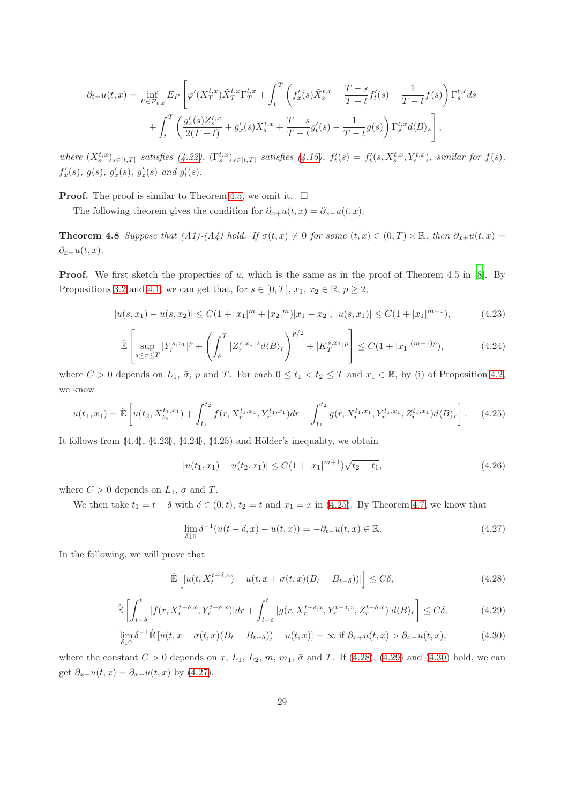$$
\partial_{t-}u(t,x) = \inf_{P \in \mathcal{P}_{t,x}} E_P \left[ \varphi'(X_T^{t,x}) \bar{X}_T^{t,x} \Gamma_T^{t,x} + \int_t^T \left( f'_x(s) \bar{X}_s^{t,x} + \frac{T-s}{T-t} f'_t(s) - \frac{1}{T-t} f(s) \right) \Gamma_s^{t,x} ds \right. \\ \left. + \int_t^T \left( \frac{g'_z(s) Z_s^{t,x}}{2(T-t)} + g'_x(s) \bar{X}_s^{t,x} + \frac{T-s}{T-t} g'_t(s) - \frac{1}{T-t} g(s) \right) \Gamma_s^{t,x} d\langle B \rangle_s \right],
$$

 $where \ (\bar{X}_{s}^{t,x})_{s\in[t,T]}$  *satisfies*  $(4.22), \ (\Gamma_{s}^{t,x})_{s\in[t,T]}$  *satisfies*  $(4.15), f'_{t}(s) = f'_{t}(s, X_{s}^{t,x}, Y_{s}^{t,x}),$  *similar for*  $f(s)$ *,*  $f'_x(s)$ *,*  $g(s)$ *,*  $g'_x(s)$ *,*  $g'_z(s)$  *and*  $g'_t(s)$ *.* 

**Proof.** The proof is similar to Theorem [4.5,](#page-25-5) we omit it.  $\Box$ 

The following theorem gives the condition for  $\partial_{x+}u(t,x) = \partial_{x-}u(t,x)$ .

**Theorem 4.8** *Suppose that*  $(A1)-(A4)$  *hold.* If  $\sigma(t,x) \neq 0$  for some  $(t,x) \in (0,T) \times \mathbb{R}$ , then  $\partial_{x+}u(t,x) =$  $\partial_{x-}u(t,x)$ .

**Proof.** We first sketch the properties of u, which is the same as in the proof of Theorem 4.5 in  $[8]$ . By Propositions [3.2](#page-7-6) and [4.1,](#page-23-0) we can get that, for  $s \in [0, T]$ ,  $x_1, x_2 \in \mathbb{R}$ ,  $p \ge 2$ ,

<span id="page-28-0"></span>
$$
|u(s, x_1) - u(s, x_2)| \le C(1 + |x_1|^m + |x_2|^m)|x_1 - x_2|, \ |u(s, x_1)| \le C(1 + |x_1|^{m+1}),\tag{4.23}
$$

<span id="page-28-1"></span>
$$
\hat{\mathbb{E}}\left[\sup_{s\leq r\leq T}|Y_r^{s,x_1}|^p+\left(\int_s^T|Z_r^{s,x_1}|^2d\langle B\rangle_r\right)^{p/2}+|K_T^{s,x_1}|^p\right]\leq C(1+|x_1|^{(m+1)p}),\tag{4.24}
$$

where  $C > 0$  depends on  $L_1$ ,  $\bar{\sigma}$ ,  $p$  and  $T$ . For each  $0 \le t_1 < t_2 \le T$  and  $x_1 \in \mathbb{R}$ , by (i) of Proposition [4.2,](#page-23-3) we know

<span id="page-28-2"></span>
$$
u(t_1, x_1) = \hat{\mathbb{E}}\left[u(t_2, X_{t_2}^{t_1, x_1}) + \int_{t_1}^{t_2} f(r, X_r^{t_1, x_1}, Y_r^{t_1, x_1}) dr + \int_{t_1}^{t_2} g(r, X_r^{t_1, x_1}, Y_r^{t_1, x_1}, Z_r^{t_1, x_1}) d\langle B \rangle_r\right].
$$
 (4.25)

It follows from  $(4.4)$ ,  $(4.23)$ ,  $(4.24)$ ,  $(4.25)$  and Hölder's inequality, we obtain

<span id="page-28-7"></span>
$$
|u(t_1, x_1) - u(t_2, x_1)| \le C(1 + |x_1|^{m+1})\sqrt{t_2 - t_1},
$$
\n(4.26)

where  $C > 0$  depends on  $L_1$ ,  $\bar{\sigma}$  and T.

We then take  $t_1 = t - \delta$  with  $\delta \in (0, t)$ ,  $t_2 = t$  and  $x_1 = x$  in [\(4.25\)](#page-28-2). By Theorem [4.7,](#page-27-2) we know that

<span id="page-28-6"></span>
$$
\lim_{\delta \downarrow 0} \delta^{-1}(u(t - \delta, x) - u(t, x)) = -\partial_{t-}u(t, x) \in \mathbb{R}.
$$
\n(4.27)

In the following, we will prove that

<span id="page-28-3"></span>
$$
\hat{\mathbb{E}}\left[|u(t, X_t^{t-\delta,x}) - u(t, x + \sigma(t,x)(B_t - B_{t-\delta}))|\right] \le C\delta,
$$
\n(4.28)

<span id="page-28-4"></span>
$$
\hat{\mathbb{E}}\left[\int_{t-\delta}^{t} |f(r, X_r^{t-\delta,x}, Y_r^{t-\delta,x})| dr + \int_{t-\delta}^{t} |g(r, X_r^{t-\delta,x}, Y_r^{t-\delta,x}, Z_r^{t-\delta,x})| d\langle B \rangle_r \right] \le C\delta,
$$
\n(4.29)

<span id="page-28-5"></span>
$$
\lim_{\delta \downarrow 0} \delta^{-1} \hat{\mathbb{E}} \left[ u(t, x + \sigma(t, x)(B_t - B_{t-\delta})) - u(t, x) \right] = \infty \text{ if } \partial_{x+} u(t, x) > \partial_{x-} u(t, x), \tag{4.30}
$$

where the constant  $C > 0$  depends on x,  $L_1$ ,  $L_2$ , m,  $m_1$ ,  $\bar{\sigma}$  and T. If [\(4.28\)](#page-28-3), [\(4.29\)](#page-28-4) and [\(4.30\)](#page-28-5) hold, we can get  $\partial_{x+}u(t,x)=\partial_{x-}u(t,x)$  by [\(4.27\)](#page-28-6).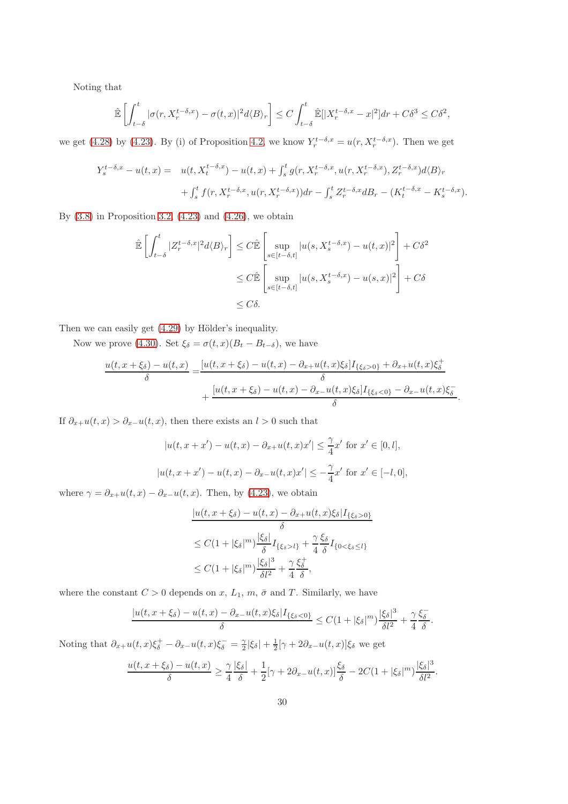Noting that

$$
\hat{\mathbb{E}}\left[\int_{t-\delta}^t |\sigma(r, X_r^{t-\delta,x}) - \sigma(t,x)|^2 d\langle B \rangle_r\right] \le C \int_{t-\delta}^t \hat{\mathbb{E}}[|X_r^{t-\delta,x} - x|^2] dr + C\delta^3 \le C\delta^2,
$$

we get [\(4.28\)](#page-28-3) by [\(4.23\)](#page-28-0). By (i) of Proposition [4.2,](#page-23-3) we know  $Y_r^{t-\delta,x} = u(r, X_r^{t-\delta,x})$ . Then we get

$$
Y_s^{t-\delta,x} - u(t,x) = u(t, X_t^{t-\delta,x}) - u(t,x) + \int_s^t g(r, X_r^{t-\delta,x}, u(r, X_r^{t-\delta,x}), Z_r^{t-\delta,x})d\langle B \rangle_r + \int_s^t f(r, X_r^{t-\delta,x}, u(r, X_r^{t-\delta,x}))dr - \int_s^t Z_r^{t-\delta,x}dB_r - (K_t^{t-\delta,x} - K_s^{t-\delta,x}).
$$

By  $(3.8)$  in Proposition [3.2,](#page-7-6)  $(4.23)$  and  $(4.26)$ , we obtain

$$
\hat{\mathbb{E}}\left[\int_{t-\delta}^{t} |Z_r^{t-\delta,x}|^2 d\langle B\rangle_r\right] \leq C \hat{\mathbb{E}}\left[\sup_{s\in[t-\delta,t]} |u(s,X_s^{t-\delta,x}) - u(t,x)|^2\right] + C\delta^2
$$
\n
$$
\leq C \hat{\mathbb{E}}\left[\sup_{s\in[t-\delta,t]} |u(s,X_s^{t-\delta,x}) - u(s,x)|^2\right] + C\delta
$$
\n
$$
\leq C\delta.
$$

Then we can easily get  $(4.29)$  by Hölder's inequality.

Now we prove [\(4.30\)](#page-28-5). Set  $\xi_{\delta} = \sigma(t, x)(B_t - B_{t-\delta})$ , we have

$$
\frac{u(t, x + \xi_{\delta}) - u(t, x)}{\delta} = \frac{[u(t, x + \xi_{\delta}) - u(t, x) - \partial_{x+}u(t, x)\xi_{\delta}]I_{\{\xi_{\delta} > 0\}} + \partial_{x+}u(t, x)\xi_{\delta}^{+} + \frac{[u(t, x + \xi_{\delta}) - u(t, x) - \partial_{x-}u(t, x)\xi_{\delta}]I_{\{\xi_{\delta} < 0\}} - \partial_{x-}u(t, x)\xi_{\delta}^{-}}{\delta}
$$

.

If  $\partial_{x+}u(t,x) > \partial_{x-}u(t,x)$ , then there exists an  $l > 0$  such that

$$
|u(t, x + x') - u(t, x) - \partial_{x+}u(t, x)x'| \le \frac{\gamma}{4}x' \text{ for } x' \in [0, l],
$$
  

$$
|u(t, x + x') - u(t, x) - \partial_{x-}u(t, x)x'| \le -\frac{\gamma}{4}x' \text{ for } x' \in [-l, 0],
$$

where  $\gamma = \partial_{x+}u(t,x) - \partial_{x-}u(t,x)$ . Then, by [\(4.23\)](#page-28-0), we obtain

$$
\frac{|u(t, x + \xi_{\delta}) - u(t, x) - \partial_{x+}u(t, x)\xi_{\delta}|I_{\{\xi_{\delta} > 0\}}}{\delta}
$$
  
\n
$$
\leq C(1 + |\xi_{\delta}|^{m}) \frac{|\xi_{\delta}|}{\delta} I_{\{\xi_{\delta} > l\}} + \frac{\gamma}{4} \frac{\xi_{\delta}}{\delta} I_{\{0 < \xi_{\delta} \leq l\}}
$$
  
\n
$$
\leq C(1 + |\xi_{\delta}|^{m}) \frac{|\xi_{\delta}|^{3}}{\delta l^{2}} + \frac{\gamma}{4} \frac{\xi_{\delta}^{+}}{\delta},
$$

where the constant  $C > 0$  depends on x,  $L_1$ ,  $m$ ,  $\bar{\sigma}$  and T. Similarly, we have

$$
\frac{|u(t, x+\xi_{\delta}) - u(t, x) - \partial_{x-}u(t, x)\xi_{\delta}|I_{\{\xi_{\delta} < 0\}}}{\delta} \leq C(1 + |\xi_{\delta}|^{m})\frac{|\xi_{\delta}|^{3}}{\delta l^{2}} + \frac{\gamma}{4}\frac{\xi_{\delta}^{-}}{\delta}.
$$

Noting that  $\partial_{x+}u(t,x)\xi^+_{\delta}-\partial_{x-}u(t,x)\xi^-_{\delta}=\frac{\gamma}{2}|\xi_{\delta}|+\frac{1}{2}[\gamma+2\partial_{x-}u(t,x)]\xi_{\delta}$  we get

$$
\frac{u(t, x+\xi_{\delta})-u(t, x)}{\delta} \geq \frac{\gamma}{4} \frac{|\xi_{\delta}|}{\delta} + \frac{1}{2} [\gamma + 2\partial_{x-}u(t, x)] \frac{\xi_{\delta}}{\delta} - 2C(1 + |\xi_{\delta}|^{m}) \frac{|\xi_{\delta}|^{3}}{\delta l^{2}}.
$$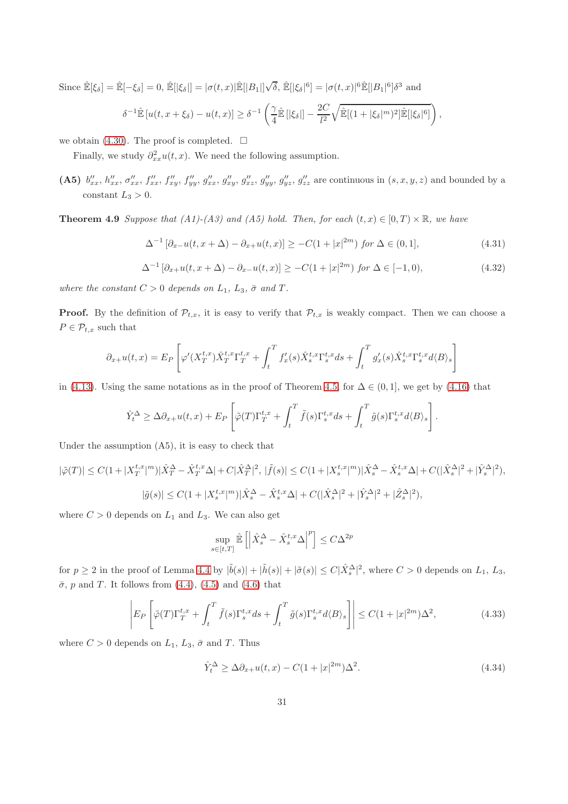Since  $\mathbb{E}[\xi_{\delta}] = \mathbb{E}[-\xi_{\delta}] = 0$ ,  $\mathbb{E}[|\xi_{\delta}|] = |\sigma(t,x)|\mathbb{E}[|B_1|] \sqrt{\delta}$ ,  $\mathbb{E}[|\xi_{\delta}|^6] = |\sigma(t,x)|^6 \mathbb{E}[|B_1|^6] \delta^3$  and

$$
\delta^{-1}\hat{\mathbb{E}}\left[u(t,x+\xi_{\delta})-u(t,x)\right] \geq \delta^{-1}\left(\frac{\gamma}{4}\hat{\mathbb{E}}\left[\left|\xi_{\delta}\right|\right]-\frac{2C}{l^{2}}\sqrt{\hat{\mathbb{E}}\left[(1+\left|\xi_{\delta}\right|^{m})^{2}\right]}\hat{\mathbb{E}}\left[\left|\xi_{\delta}\right|^{6}\right]\right),
$$

we obtain [\(4.30\)](#page-28-5). The proof is completed.  $\Box$ 

Finally, we study  $\partial_{xx}^2 u(t, x)$ . We need the following assumption.

(A5)  $b''_{xx}$ ,  $h''_{xx}$ ,  $\sigma''_{xx}$ ,  $f''_{xx}$ ,  $f''_{xy}$ ,  $f''_{yy}$ ,  $g''_{xx}$ ,  $g''_{yy}$ ,  $g''_{yz}$ ,  $g''_{yz}$ ,  $g''_{zz}$  are continuous in  $(s, x, y, z)$  and bounded by a constant  $L_3 > 0$ .

**Theorem 4.9** *Suppose that (A1)-(A3) and (A5) hold. Then, for each*  $(t, x) \in [0, T) \times \mathbb{R}$ *, we have* 

<span id="page-30-1"></span>
$$
\Delta^{-1} [\partial_{x-} u(t, x + \Delta) - \partial_{x+} u(t, x)] \ge -C(1 + |x|^{2m}) \text{ for } \Delta \in (0, 1],
$$
\n(4.31)

<span id="page-30-3"></span>
$$
\Delta^{-1} \left[ \partial_{x+} u(t, x + \Delta) - \partial_{x-} u(t, x) \right] \ge -C(1 + |x|^{2m}) \text{ for } \Delta \in [-1, 0), \tag{4.32}
$$

*where the constant*  $C > 0$  *depends on*  $L_1$ *,*  $L_3$ *,*  $\bar{\sigma}$  *and*  $T$ *.* 

**Proof.** By the definition of  $\mathcal{P}_{t,x}$ , it is easy to verify that  $\mathcal{P}_{t,x}$  is weakly compact. Then we can choose a  $P \in \mathcal{P}_{t,x}$  such that

$$
\partial_{x+}u(t,x) = E_P\left[\varphi'(X_T^{t,x})\hat{X}_T^{t,x}\Gamma_T^{t,x} + \int_t^T f'_x(s)\hat{X}_s^{t,x}\Gamma_s^{t,x}ds + \int_t^T g'_x(s)\hat{X}_s^{t,x}\Gamma_s^{t,x}d\langle B\rangle_s\right]
$$

in [\(4.13\)](#page-25-2). Using the same notations as in the proof of Theorem [4.5,](#page-25-5) for  $\Delta \in (0,1]$ , we get by [\(4.16\)](#page-26-0) that

$$
\hat{Y}_t^{\Delta} \geq \Delta \partial_{x+} u(t,x) + E_P \left[ \tilde{\varphi}(T) \Gamma_T^{t,x} + \int_t^T \tilde{f}(s) \Gamma_s^{t,x} ds + \int_t^T \tilde{g}(s) \Gamma_s^{t,x} d\langle B \rangle_s \right].
$$

Under the assumption (A5), it is easy to check that

$$
|\tilde{\varphi}(T)| \leq C(1+|X^{t,x}_T|^m)|\hat{X}^{\Delta}_T - \hat{X}^{t,x}_T\Delta| + C|\hat{X}^{\Delta}_T|^2, |\tilde{f}(s)| \leq C(1+|X^{t,x}_s|^m)|\hat{X}^{\Delta}_s - \hat{X}^{t,x}_s\Delta| + C(|\hat{X}^{\Delta}_s|^2 + |\hat{Y}^{\Delta}_s|^2),
$$
  

$$
|\tilde{g}(s)| \leq C(1+|X^{t,x}_s|^m)|\hat{X}^{\Delta}_s - \hat{X}^{t,x}_s\Delta| + C(|\hat{X}^{\Delta}_s|^2 + |\hat{Y}^{\Delta}_s|^2 + |\hat{Z}^{\Delta}_s|^2),
$$

where  $C > 0$  depends on  $L_1$  and  $L_3$ . We can also get

$$
\sup_{s \in [t,T]} \hat{\mathbb{E}} \left[ \left| \hat{X}_s^{\Delta} - \hat{X}_s^{t,x} \Delta \right|^p \right] \leq C \Delta^{2p}
$$

for  $p \ge 2$  in the proof of Lemma [4.4](#page-24-3) by  $|\tilde{b}(s)| + |\tilde{h}(s)| + |\tilde{\sigma}(s)| \le C|\hat{X}_{s}^{\Delta}|^{2}$ , where  $C > 0$  depends on  $L_1, L_3$ ,  $\bar{\sigma}$ , p and T. It follows from [\(4.4\)](#page-23-1), [\(4.5\)](#page-23-2) and [\(4.6\)](#page-24-1) that

<span id="page-30-0"></span>
$$
\left| E_P \left[ \tilde{\varphi}(T) \Gamma_T^{t,x} + \int_t^T \tilde{f}(s) \Gamma_s^{t,x} ds + \int_t^T \tilde{g}(s) \Gamma_s^{t,x} d\langle B \rangle_s \right] \right| \le C(1+|x|^{2m})\Delta^2,
$$
\n(4.33)

where  $C > 0$  depends on  $L_1$ ,  $L_3$ ,  $\bar{\sigma}$  and T. Thus

<span id="page-30-2"></span>
$$
\hat{Y}_t^{\Delta} \ge \Delta \partial_{x+} u(t, x) - C(1+|x|^{2m})\Delta^2. \tag{4.34}
$$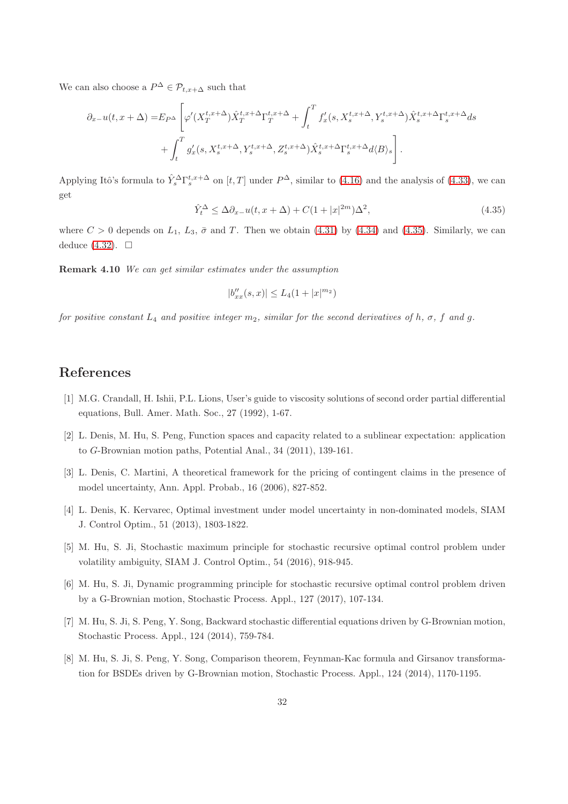We can also choose a  $P^{\Delta} \in \mathcal{P}_{t,x+\Delta}$  such that

$$
\partial_{x-}u(t,x+\Delta) = E_{P\Delta} \left[ \varphi'(X_T^{t,x+\Delta}) \hat{X}_T^{t,x+\Delta} \Gamma_T^{t,x+\Delta} + \int_t^T f'_x(s,X_s^{t,x+\Delta},Y_s^{t,x+\Delta}) \hat{X}_s^{t,x+\Delta} \Gamma_s^{t,x+\Delta} ds \right. \\ \left. + \int_t^T g'_x(s,X_s^{t,x+\Delta},Y_s^{t,x+\Delta},Z_s^{t,x+\Delta}) \hat{X}_s^{t,x+\Delta} \Gamma_s^{t,x+\Delta} d\langle B \rangle_s \right].
$$

Applying Itô's formula to  $\hat{Y}_s^{\Delta} \Gamma_s^{t,x+\Delta}$  on  $[t, T]$  under  $P^{\Delta}$ , similar to [\(4.16\)](#page-26-0) and the analysis of [\(4.33\)](#page-30-0), we can get

<span id="page-31-7"></span>
$$
\hat{Y}_t^{\Delta} \le \Delta \partial_{x-} u(t, x + \Delta) + C(1+|x|^{2m})\Delta^2,\tag{4.35}
$$

where  $C > 0$  depends on  $L_1$ ,  $L_3$ ,  $\bar{\sigma}$  and T. Then we obtain [\(4.31\)](#page-30-1) by [\(4.34\)](#page-30-2) and [\(4.35\)](#page-31-7). Similarly, we can deduce  $(4.32)$ .  $\Box$ 

Remark 4.10 *We can get similar estimates under the assumption*

$$
|b_{xx}''(s,x)| \le L_4(1+|x|^{m_2})
$$

*for positive constant*  $L_4$  *and positive integer*  $m_2$ *, similar for the second derivatives of*  $h$ *,*  $\sigma$ *,*  $f$  *and*  $g$ *.* 

# References

- <span id="page-31-5"></span>[1] M.G. Crandall, H. Ishii, P.L. Lions, User's guide to viscosity solutions of second order partial differential equations, Bull. Amer. Math. Soc., 27 (1992), 1-67.
- <span id="page-31-0"></span>[2] L. Denis, M. Hu, S. Peng, Function spaces and capacity related to a sublinear expectation: application to G-Brownian motion paths, Potential Anal., 34 (2011), 139-161.
- <span id="page-31-1"></span>[3] L. Denis, C. Martini, A theoretical framework for the pricing of contingent claims in the presence of model uncertainty, Ann. Appl. Probab., 16 (2006), 827-852.
- <span id="page-31-3"></span>[4] L. Denis, K. Kervarec, Optimal investment under model uncertainty in non-dominated models, SIAM J. Control Optim., 51 (2013), 1803-1822.
- [5] M. Hu, S. Ji, Stochastic maximum principle for stochastic recursive optimal control problem under volatility ambiguity, SIAM J. Control Optim., 54 (2016), 918-945.
- <span id="page-31-4"></span>[6] M. Hu, S. Ji, Dynamic programming principle for stochastic recursive optimal control problem driven by a G-Brownian motion, Stochastic Process. Appl., 127 (2017), 107-134.
- <span id="page-31-2"></span>[7] M. Hu, S. Ji, S. Peng, Y. Song, Backward stochastic differential equations driven by G-Brownian motion, Stochastic Process. Appl., 124 (2014), 759-784.
- <span id="page-31-6"></span>[8] M. Hu, S. Ji, S. Peng, Y. Song, Comparison theorem, Feynman-Kac formula and Girsanov transformation for BSDEs driven by G-Brownian motion, Stochastic Process. Appl., 124 (2014), 1170-1195.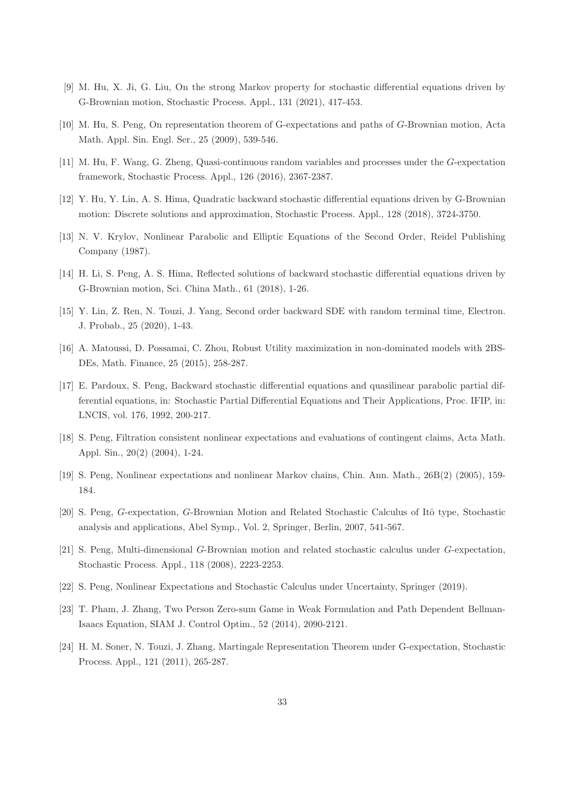- <span id="page-32-12"></span>[9] M. Hu, X. Ji, G. Liu, On the strong Markov property for stochastic differential equations driven by G-Brownian motion, Stochastic Process. Appl., 131 (2021), 417-453.
- <span id="page-32-2"></span>[10] M. Hu, S. Peng, On representation theorem of G-expectations and paths of G-Brownian motion, Acta Math. Appl. Sin. Engl. Ser., 25 (2009), 539-546.
- <span id="page-32-8"></span>[11] M. Hu, F. Wang, G. Zheng, Quasi-continuous random variables and processes under the G-expectation framework, Stochastic Process. Appl., 126 (2016), 2367-2387.
- <span id="page-32-4"></span>[12] Y. Hu, Y. Lin, A. S. Hima, Quadratic backward stochastic differential equations driven by G-Brownian motion: Discrete solutions and approximation, Stochastic Process. Appl., 128 (2018), 3724-3750.
- <span id="page-32-13"></span>[13] N. V. Krylov, Nonlinear Parabolic and Elliptic Equations of the Second Order, Reidel Publishing Company (1987).
- <span id="page-32-5"></span>[14] H. Li, S. Peng, A. S. Hima, Reflected solutions of backward stochastic differential equations driven by G-Brownian motion, Sci. China Math., 61 (2018), 1-26.
- [15] Y. Lin, Z. Ren, N. Touzi, J. Yang, Second order backward SDE with random terminal time, Electron. J. Probab., 25 (2020), 1-43.
- <span id="page-32-6"></span>[16] A. Matoussi, D. Possamai, C. Zhou, Robust Utility maximization in non-dominated models with 2BS-DEs, Math. Finance, 25 (2015), 258-287.
- <span id="page-32-10"></span>[17] E. Pardoux, S. Peng, Backward stochastic differential equations and quasilinear parabolic partial differential equations, in: Stochastic Partial Differential Equations and Their Applications, Proc. IFIP, in: LNCIS, vol. 176, 1992, 200-217.
- <span id="page-32-0"></span>[18] S. Peng, Filtration consistent nonlinear expectations and evaluations of contingent claims, Acta Math. Appl. Sin., 20(2) (2004), 1-24.
- [19] S. Peng, Nonlinear expectations and nonlinear Markov chains, Chin. Ann. Math., 26B(2) (2005), 159- 184.
- <span id="page-32-11"></span>[20] S. Peng, G-expectation, G-Brownian Motion and Related Stochastic Calculus of Itô type, Stochastic analysis and applications, Abel Symp., Vol. 2, Springer, Berlin, 2007, 541-567.
- <span id="page-32-1"></span>[21] S. Peng, Multi-dimensional G-Brownian motion and related stochastic calculus under G-expectation, Stochastic Process. Appl., 118 (2008), 2223-2253.
- <span id="page-32-3"></span>[22] S. Peng, Nonlinear Expectations and Stochastic Calculus under Uncertainty, Springer (2019).
- <span id="page-32-7"></span>[23] T. Pham, J. Zhang, Two Person Zero-sum Game in Weak Formulation and Path Dependent Bellman-Isaacs Equation, SIAM J. Control Optim., 52 (2014), 2090-2121.
- <span id="page-32-9"></span>[24] H. M. Soner, N. Touzi, J. Zhang, Martingale Representation Theorem under G-expectation, Stochastic Process. Appl., 121 (2011), 265-287.